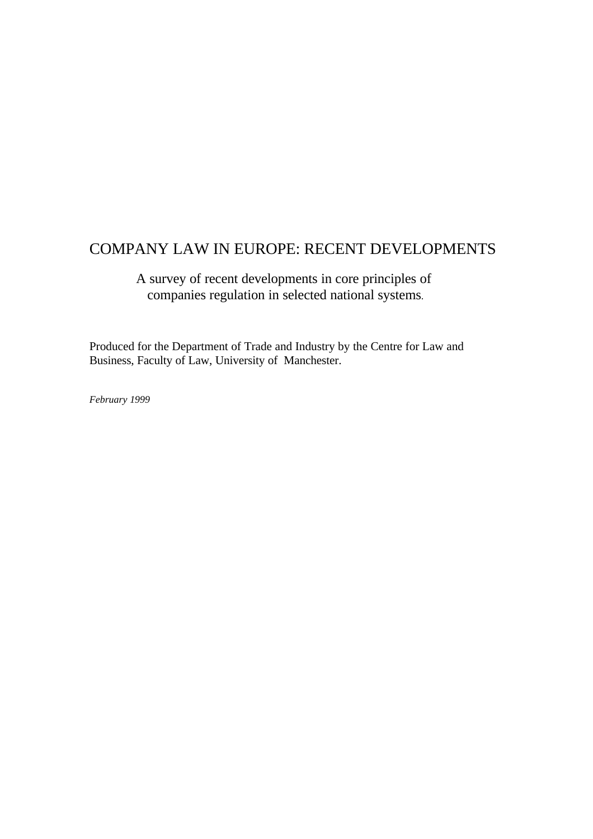# COMPANY LAW IN EUROPE: RECENT DEVELOPMENTS

 A survey of recent developments in core principles of companies regulation in selected national systems.

Produced for the Department of Trade and Industry by the Centre for Law and Business, Faculty of Law, University of Manchester.

*February 1999*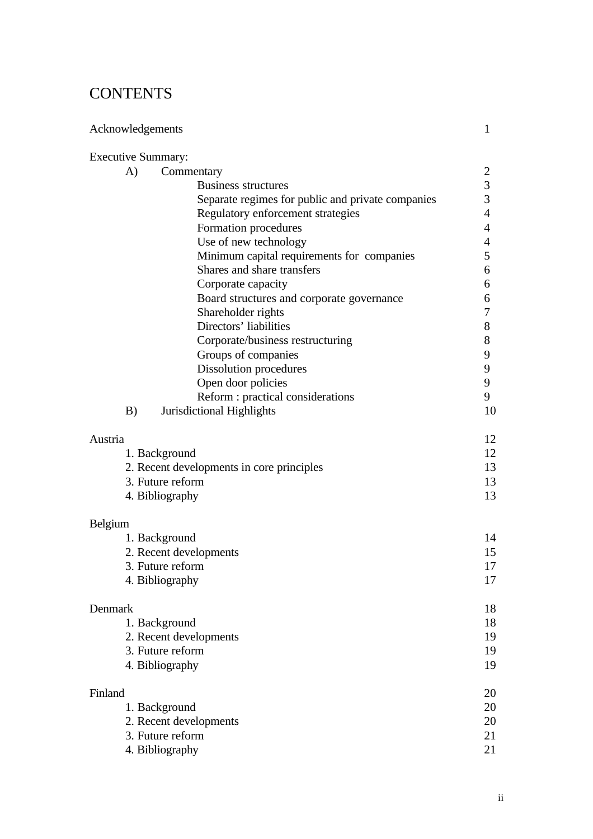# **CONTENTS**

| Acknowledgements                          |                                                   | 1                       |
|-------------------------------------------|---------------------------------------------------|-------------------------|
| <b>Executive Summary:</b>                 |                                                   |                         |
| A)                                        | Commentary                                        | 2                       |
|                                           | <b>Business structures</b>                        | $\mathfrak{Z}$          |
|                                           | Separate regimes for public and private companies | $\overline{\mathbf{3}}$ |
|                                           | Regulatory enforcement strategies                 | $\overline{4}$          |
|                                           | Formation procedures                              | 4                       |
|                                           | Use of new technology                             | $\overline{4}$          |
|                                           | Minimum capital requirements for companies        | 5                       |
|                                           | Shares and share transfers                        | 6                       |
|                                           | Corporate capacity                                | 6                       |
|                                           | Board structures and corporate governance         | 6                       |
|                                           | Shareholder rights                                | 7                       |
|                                           | Directors' liabilities                            | $8\,$                   |
|                                           | Corporate/business restructuring                  | 8                       |
|                                           | Groups of companies                               | 9                       |
|                                           | Dissolution procedures                            | 9                       |
|                                           | Open door policies                                | 9                       |
|                                           | Reform : practical considerations                 | 9                       |
| B)                                        | Jurisdictional Highlights                         | 10                      |
| Austria                                   |                                                   | 12                      |
| 1. Background                             |                                                   | 12                      |
| 2. Recent developments in core principles |                                                   | 13                      |
| 3. Future reform                          |                                                   | 13                      |
|                                           | 4. Bibliography                                   | 13                      |
| Belgium                                   |                                                   |                         |
|                                           | 1. Background                                     | 14                      |
|                                           | 2. Recent developments                            | 15                      |
|                                           | 3. Future reform                                  | 17                      |
|                                           | 4. Bibliography                                   | 17                      |
| Denmark                                   |                                                   | 18                      |
|                                           | 1. Background                                     | 18                      |
|                                           | 2. Recent developments                            | 19                      |
|                                           | 3. Future reform                                  | 19                      |
|                                           | 4. Bibliography                                   | 19                      |
| Finland                                   |                                                   | 20                      |
|                                           | 1. Background                                     | 20                      |
|                                           | 2. Recent developments                            | 20                      |
|                                           | 3. Future reform                                  | 21                      |
|                                           | 4. Bibliography                                   | 21                      |
|                                           |                                                   |                         |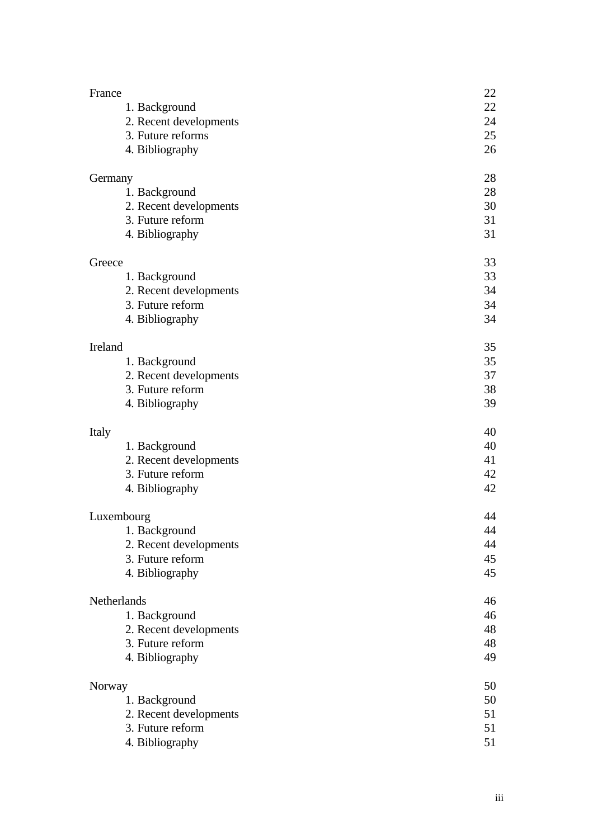| France                              | 22       |
|-------------------------------------|----------|
| 1. Background                       | 22       |
| 2. Recent developments              | 24       |
| 3. Future reforms                   | 25       |
| 4. Bibliography                     | 26       |
| Germany                             | 28       |
| 1. Background                       | 28       |
| 2. Recent developments              | 30       |
| 3. Future reform                    | 31       |
| 4. Bibliography                     | 31       |
| Greece                              | 33       |
| 1. Background                       | 33       |
| 2. Recent developments              | 34       |
| 3. Future reform                    | 34       |
| 4. Bibliography                     | 34       |
| Ireland                             | 35       |
| 1. Background                       | 35       |
| 2. Recent developments              | 37       |
| 3. Future reform                    | 38       |
| 4. Bibliography                     | 39       |
| Italy                               | 40       |
| 1. Background                       | 40       |
| 2. Recent developments              | 41       |
| 3. Future reform                    | 42       |
| 4. Bibliography                     | 42       |
| Luxembourg                          |          |
|                                     | 44       |
| 1. Background                       | 44       |
| 2. Recent developments              | 44       |
| 3. Future reform                    | 45       |
| 4. Bibliography                     | 45       |
| Netherlands                         | 46       |
| 1. Background                       | 46       |
| 2. Recent developments              | 48       |
| 3. Future reform                    | 48       |
| 4. Bibliography                     | 49       |
| Norway                              | 50       |
| 1. Background                       |          |
| 2. Recent developments              | 50<br>51 |
| 3. Future reform<br>4. Bibliography | 51<br>51 |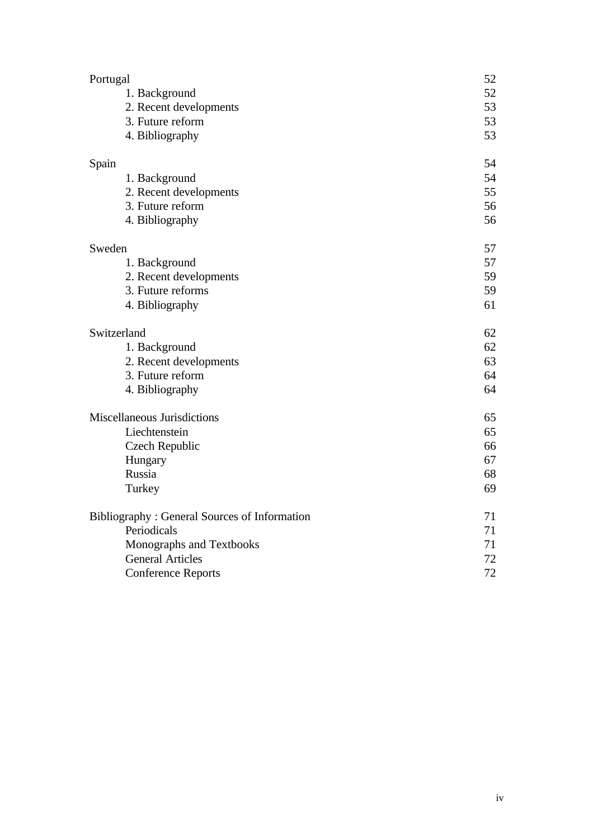| Portugal                                            | 52       |
|-----------------------------------------------------|----------|
| 1. Background                                       | 52       |
| 2. Recent developments                              | 53       |
| 3. Future reform                                    | 53<br>53 |
| 4. Bibliography                                     |          |
| Spain                                               | 54       |
| 1. Background                                       | 54       |
| 2. Recent developments                              | 55       |
| 3. Future reform                                    | 56       |
| 4. Bibliography                                     | 56       |
| Sweden                                              | 57       |
| 1. Background                                       | 57       |
| 2. Recent developments                              | 59       |
| 3. Future reforms                                   | 59       |
| 4. Bibliography                                     | 61       |
| Switzerland                                         |          |
| 1. Background                                       | 62       |
| 2. Recent developments                              | 63       |
| 3. Future reform                                    | 64       |
| 4. Bibliography                                     | 64       |
| Miscellaneous Jurisdictions                         | 65       |
| Liechtenstein                                       | 65       |
| Czech Republic                                      | 66       |
| Hungary                                             | 67       |
| Russia                                              | 68       |
| Turkey                                              | 69       |
| <b>Bibliography: General Sources of Information</b> | 71       |
| Periodicals                                         |          |
| Monographs and Textbooks                            | 71       |
| <b>General Articles</b>                             | 72       |
| <b>Conference Reports</b>                           | 72       |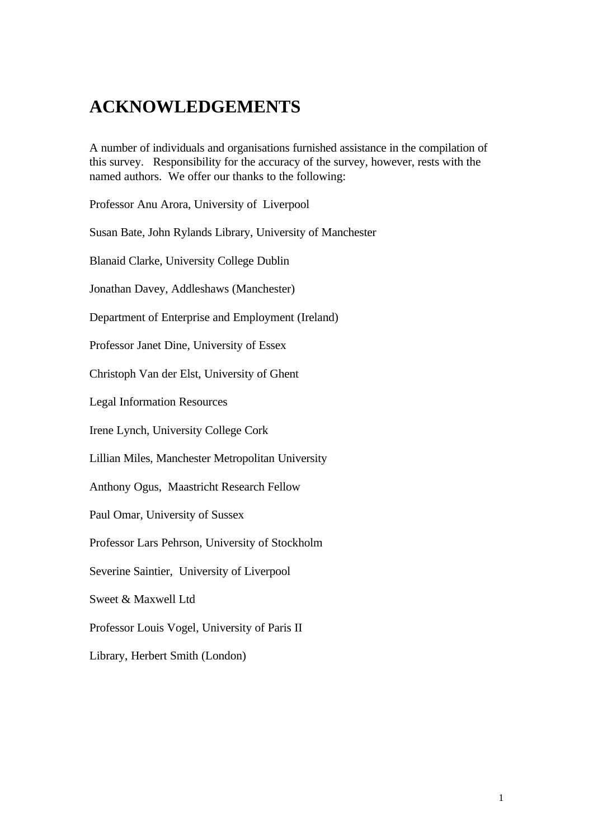# **ACKNOWLEDGEMENTS**

A number of individuals and organisations furnished assistance in the compilation of this survey. Responsibility for the accuracy of the survey, however, rests with the named authors. We offer our thanks to the following:

Professor Anu Arora, University of Liverpool

Susan Bate, John Rylands Library, University of Manchester

Blanaid Clarke, University College Dublin

Jonathan Davey, Addleshaws (Manchester)

Department of Enterprise and Employment (Ireland)

Professor Janet Dine, University of Essex

Christoph Van der Elst, University of Ghent

Legal Information Resources

Irene Lynch, University College Cork

Lillian Miles, Manchester Metropolitan University

Anthony Ogus, Maastricht Research Fellow

Paul Omar, University of Sussex

Professor Lars Pehrson, University of Stockholm

Severine Saintier, University of Liverpool

Sweet & Maxwell Ltd

Professor Louis Vogel, University of Paris II

Library, Herbert Smith (London)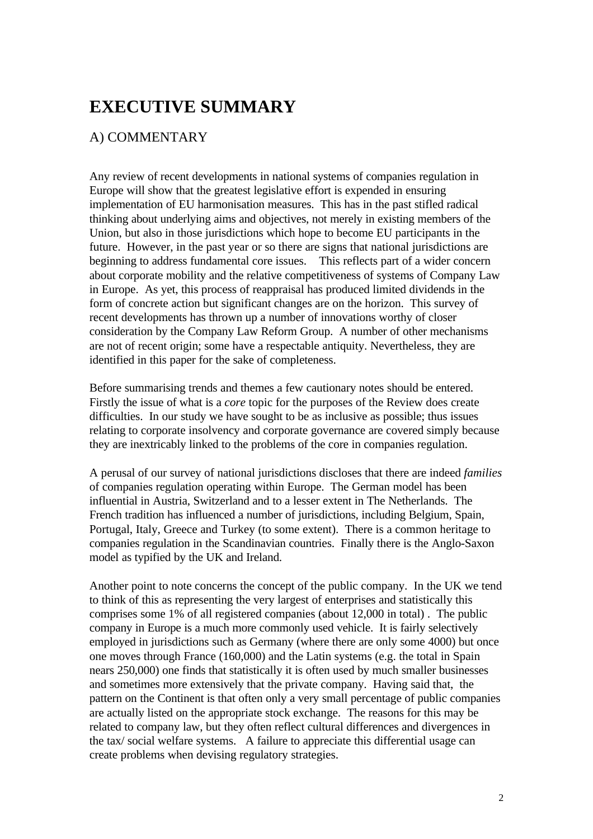# **EXECUTIVE SUMMARY**

# A) COMMENTARY

Any review of recent developments in national systems of companies regulation in Europe will show that the greatest legislative effort is expended in ensuring implementation of EU harmonisation measures. This has in the past stifled radical thinking about underlying aims and objectives, not merely in existing members of the Union, but also in those jurisdictions which hope to become EU participants in the future. However, in the past year or so there are signs that national jurisdictions are beginning to address fundamental core issues. This reflects part of a wider concern about corporate mobility and the relative competitiveness of systems of Company Law in Europe. As yet, this process of reappraisal has produced limited dividends in the form of concrete action but significant changes are on the horizon. This survey of recent developments has thrown up a number of innovations worthy of closer consideration by the Company Law Reform Group. A number of other mechanisms are not of recent origin; some have a respectable antiquity. Nevertheless, they are identified in this paper for the sake of completeness.

Before summarising trends and themes a few cautionary notes should be entered. Firstly the issue of what is a *core* topic for the purposes of the Review does create difficulties. In our study we have sought to be as inclusive as possible; thus issues relating to corporate insolvency and corporate governance are covered simply because they are inextricably linked to the problems of the core in companies regulation.

A perusal of our survey of national jurisdictions discloses that there are indeed *families* of companies regulation operating within Europe. The German model has been influential in Austria, Switzerland and to a lesser extent in The Netherlands. The French tradition has influenced a number of jurisdictions, including Belgium, Spain, Portugal, Italy, Greece and Turkey (to some extent). There is a common heritage to companies regulation in the Scandinavian countries. Finally there is the Anglo-Saxon model as typified by the UK and Ireland.

Another point to note concerns the concept of the public company. In the UK we tend to think of this as representing the very largest of enterprises and statistically this comprises some 1% of all registered companies (about 12,000 in total) . The public company in Europe is a much more commonly used vehicle. It is fairly selectively employed in jurisdictions such as Germany (where there are only some 4000) but once one moves through France (160,000) and the Latin systems (e.g. the total in Spain nears 250,000) one finds that statistically it is often used by much smaller businesses and sometimes more extensively that the private company. Having said that, the pattern on the Continent is that often only a very small percentage of public companies are actually listed on the appropriate stock exchange. The reasons for this may be related to company law, but they often reflect cultural differences and divergences in the tax/ social welfare systems. A failure to appreciate this differential usage can create problems when devising regulatory strategies.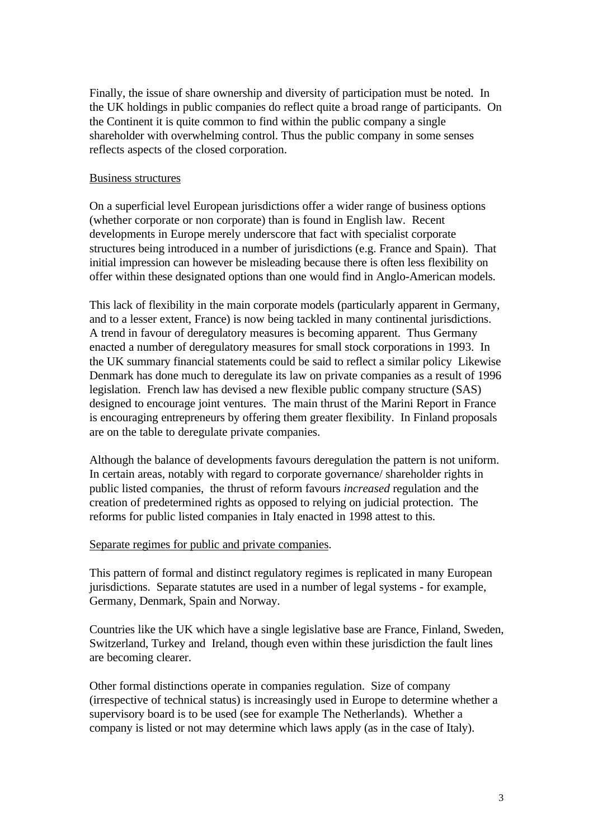Finally, the issue of share ownership and diversity of participation must be noted. In the UK holdings in public companies do reflect quite a broad range of participants. On the Continent it is quite common to find within the public company a single shareholder with overwhelming control. Thus the public company in some senses reflects aspects of the closed corporation.

#### Business structures

On a superficial level European jurisdictions offer a wider range of business options (whether corporate or non corporate) than is found in English law. Recent developments in Europe merely underscore that fact with specialist corporate structures being introduced in a number of jurisdictions (e.g. France and Spain). That initial impression can however be misleading because there is often less flexibility on offer within these designated options than one would find in Anglo-American models.

This lack of flexibility in the main corporate models (particularly apparent in Germany, and to a lesser extent, France) is now being tackled in many continental jurisdictions. A trend in favour of deregulatory measures is becoming apparent. Thus Germany enacted a number of deregulatory measures for small stock corporations in 1993. In the UK summary financial statements could be said to reflect a similar policy Likewise Denmark has done much to deregulate its law on private companies as a result of 1996 legislation. French law has devised a new flexible public company structure (SAS) designed to encourage joint ventures. The main thrust of the Marini Report in France is encouraging entrepreneurs by offering them greater flexibility. In Finland proposals are on the table to deregulate private companies.

Although the balance of developments favours deregulation the pattern is not uniform. In certain areas, notably with regard to corporate governance/ shareholder rights in public listed companies, the thrust of reform favours *increased* regulation and the creation of predetermined rights as opposed to relying on judicial protection. The reforms for public listed companies in Italy enacted in 1998 attest to this.

#### Separate regimes for public and private companies.

This pattern of formal and distinct regulatory regimes is replicated in many European jurisdictions. Separate statutes are used in a number of legal systems - for example, Germany, Denmark, Spain and Norway.

Countries like the UK which have a single legislative base are France, Finland, Sweden, Switzerland, Turkey and Ireland, though even within these jurisdiction the fault lines are becoming clearer.

Other formal distinctions operate in companies regulation. Size of company (irrespective of technical status) is increasingly used in Europe to determine whether a supervisory board is to be used (see for example The Netherlands). Whether a company is listed or not may determine which laws apply (as in the case of Italy).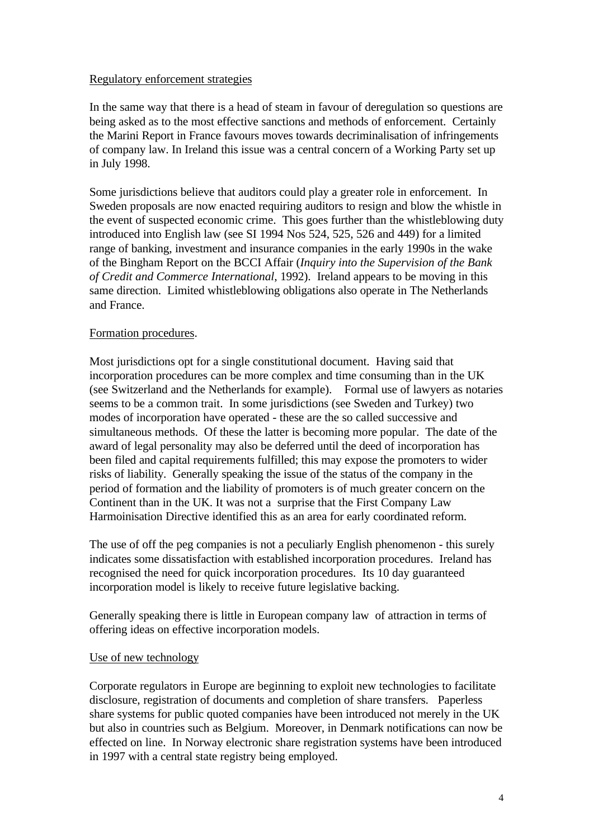### Regulatory enforcement strategies

In the same way that there is a head of steam in favour of deregulation so questions are being asked as to the most effective sanctions and methods of enforcement. Certainly the Marini Report in France favours moves towards decriminalisation of infringements of company law. In Ireland this issue was a central concern of a Working Party set up in July 1998.

Some jurisdictions believe that auditors could play a greater role in enforcement. In Sweden proposals are now enacted requiring auditors to resign and blow the whistle in the event of suspected economic crime. This goes further than the whistleblowing duty introduced into English law (see SI 1994 Nos 524, 525, 526 and 449) for a limited range of banking, investment and insurance companies in the early 1990s in the wake of the Bingham Report on the BCCI Affair (*Inquiry into the Supervision of the Bank of Credit and Commerce International*, 1992). Ireland appears to be moving in this same direction. Limited whistleblowing obligations also operate in The Netherlands and France.

### Formation procedures.

Most jurisdictions opt for a single constitutional document. Having said that incorporation procedures can be more complex and time consuming than in the UK (see Switzerland and the Netherlands for example). Formal use of lawyers as notaries seems to be a common trait. In some jurisdictions (see Sweden and Turkey) two modes of incorporation have operated - these are the so called successive and simultaneous methods. Of these the latter is becoming more popular. The date of the award of legal personality may also be deferred until the deed of incorporation has been filed and capital requirements fulfilled; this may expose the promoters to wider risks of liability. Generally speaking the issue of the status of the company in the period of formation and the liability of promoters is of much greater concern on the Continent than in the UK. It was not a surprise that the First Company Law Harmoinisation Directive identified this as an area for early coordinated reform.

The use of off the peg companies is not a peculiarly English phenomenon - this surely indicates some dissatisfaction with established incorporation procedures. Ireland has recognised the need for quick incorporation procedures. Its 10 day guaranteed incorporation model is likely to receive future legislative backing.

Generally speaking there is little in European company law of attraction in terms of offering ideas on effective incorporation models.

### Use of new technology

Corporate regulators in Europe are beginning to exploit new technologies to facilitate disclosure, registration of documents and completion of share transfers. Paperless share systems for public quoted companies have been introduced not merely in the UK but also in countries such as Belgium. Moreover, in Denmark notifications can now be effected on line. In Norway electronic share registration systems have been introduced in 1997 with a central state registry being employed.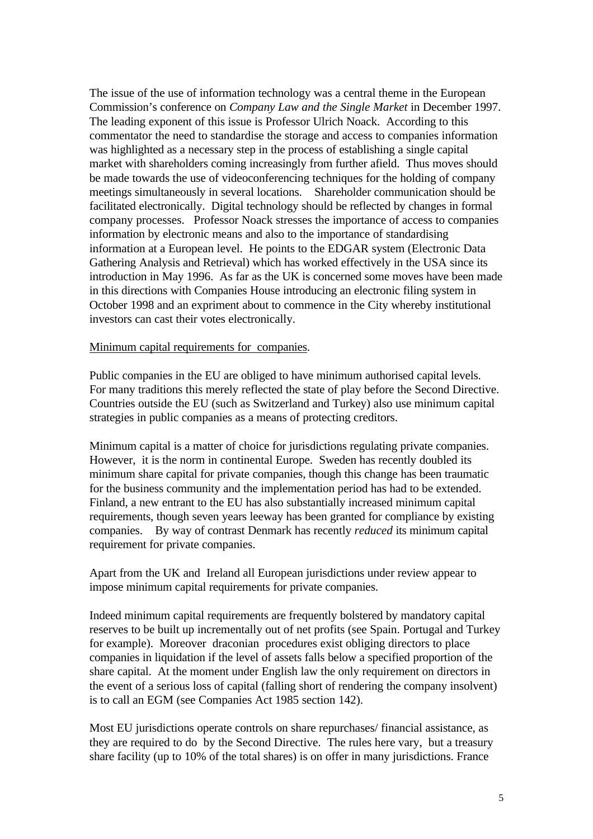The issue of the use of information technology was a central theme in the European Commission's conference on *Company Law and the Single Market* in December 1997. The leading exponent of this issue is Professor Ulrich Noack. According to this commentator the need to standardise the storage and access to companies information was highlighted as a necessary step in the process of establishing a single capital market with shareholders coming increasingly from further afield. Thus moves should be made towards the use of videoconferencing techniques for the holding of company meetings simultaneously in several locations. Shareholder communication should be facilitated electronically. Digital technology should be reflected by changes in formal company processes. Professor Noack stresses the importance of access to companies information by electronic means and also to the importance of standardising information at a European level. He points to the EDGAR system (Electronic Data Gathering Analysis and Retrieval) which has worked effectively in the USA since its introduction in May 1996. As far as the UK is concerned some moves have been made in this directions with Companies House introducing an electronic filing system in October 1998 and an expriment about to commence in the City whereby institutional investors can cast their votes electronically.

#### Minimum capital requirements for companies.

Public companies in the EU are obliged to have minimum authorised capital levels. For many traditions this merely reflected the state of play before the Second Directive. Countries outside the EU (such as Switzerland and Turkey) also use minimum capital strategies in public companies as a means of protecting creditors.

Minimum capital is a matter of choice for jurisdictions regulating private companies. However, it is the norm in continental Europe. Sweden has recently doubled its minimum share capital for private companies, though this change has been traumatic for the business community and the implementation period has had to be extended. Finland, a new entrant to the EU has also substantially increased minimum capital requirements, though seven years leeway has been granted for compliance by existing companies. By way of contrast Denmark has recently *reduced* its minimum capital requirement for private companies.

Apart from the UK and Ireland all European jurisdictions under review appear to impose minimum capital requirements for private companies.

Indeed minimum capital requirements are frequently bolstered by mandatory capital reserves to be built up incrementally out of net profits (see Spain. Portugal and Turkey for example). Moreover draconian procedures exist obliging directors to place companies in liquidation if the level of assets falls below a specified proportion of the share capital. At the moment under English law the only requirement on directors in the event of a serious loss of capital (falling short of rendering the company insolvent) is to call an EGM (see Companies Act 1985 section 142).

Most EU jurisdictions operate controls on share repurchases/ financial assistance, as they are required to do by the Second Directive. The rules here vary, but a treasury share facility (up to 10% of the total shares) is on offer in many jurisdictions. France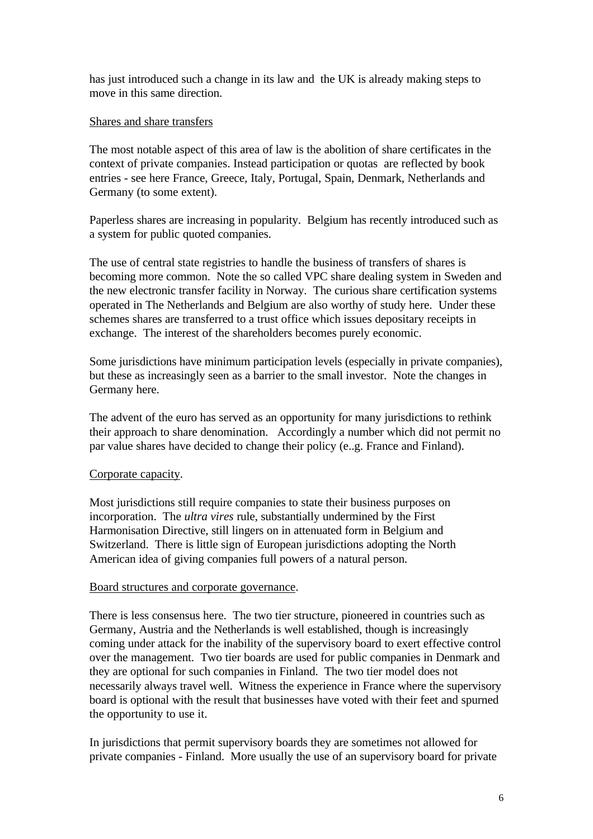has just introduced such a change in its law and the UK is already making steps to move in this same direction.

#### Shares and share transfers

The most notable aspect of this area of law is the abolition of share certificates in the context of private companies. Instead participation or quotas are reflected by book entries - see here France, Greece, Italy, Portugal, Spain, Denmark, Netherlands and Germany (to some extent).

Paperless shares are increasing in popularity. Belgium has recently introduced such as a system for public quoted companies.

The use of central state registries to handle the business of transfers of shares is becoming more common. Note the so called VPC share dealing system in Sweden and the new electronic transfer facility in Norway. The curious share certification systems operated in The Netherlands and Belgium are also worthy of study here. Under these schemes shares are transferred to a trust office which issues depositary receipts in exchange. The interest of the shareholders becomes purely economic.

Some jurisdictions have minimum participation levels (especially in private companies), but these as increasingly seen as a barrier to the small investor. Note the changes in Germany here.

The advent of the euro has served as an opportunity for many jurisdictions to rethink their approach to share denomination. Accordingly a number which did not permit no par value shares have decided to change their policy (e..g. France and Finland).

### Corporate capacity.

Most jurisdictions still require companies to state their business purposes on incorporation. The *ultra vires* rule, substantially undermined by the First Harmonisation Directive, still lingers on in attenuated form in Belgium and Switzerland. There is little sign of European jurisdictions adopting the North American idea of giving companies full powers of a natural person.

#### Board structures and corporate governance.

There is less consensus here. The two tier structure, pioneered in countries such as Germany, Austria and the Netherlands is well established, though is increasingly coming under attack for the inability of the supervisory board to exert effective control over the management. Two tier boards are used for public companies in Denmark and they are optional for such companies in Finland. The two tier model does not necessarily always travel well. Witness the experience in France where the supervisory board is optional with the result that businesses have voted with their feet and spurned the opportunity to use it.

In jurisdictions that permit supervisory boards they are sometimes not allowed for private companies - Finland. More usually the use of an supervisory board for private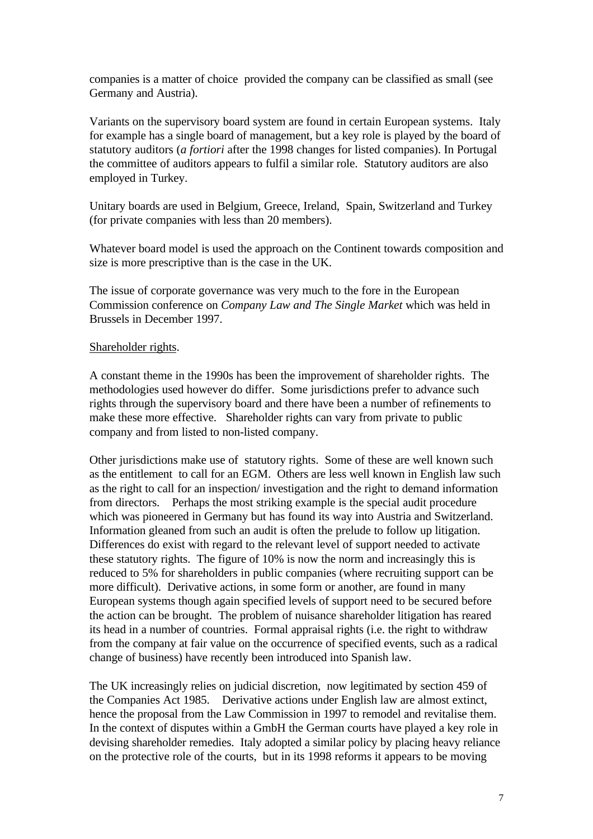companies is a matter of choice provided the company can be classified as small (see Germany and Austria).

Variants on the supervisory board system are found in certain European systems. Italy for example has a single board of management, but a key role is played by the board of statutory auditors (*a fortiori* after the 1998 changes for listed companies). In Portugal the committee of auditors appears to fulfil a similar role. Statutory auditors are also employed in Turkey.

Unitary boards are used in Belgium, Greece, Ireland, Spain, Switzerland and Turkey (for private companies with less than 20 members).

Whatever board model is used the approach on the Continent towards composition and size is more prescriptive than is the case in the UK.

The issue of corporate governance was very much to the fore in the European Commission conference on *Company Law and The Single Market* which was held in Brussels in December 1997.

### Shareholder rights.

A constant theme in the 1990s has been the improvement of shareholder rights. The methodologies used however do differ. Some jurisdictions prefer to advance such rights through the supervisory board and there have been a number of refinements to make these more effective. Shareholder rights can vary from private to public company and from listed to non-listed company.

Other jurisdictions make use of statutory rights. Some of these are well known such as the entitlement to call for an EGM. Others are less well known in English law such as the right to call for an inspection/ investigation and the right to demand information from directors. Perhaps the most striking example is the special audit procedure which was pioneered in Germany but has found its way into Austria and Switzerland. Information gleaned from such an audit is often the prelude to follow up litigation. Differences do exist with regard to the relevant level of support needed to activate these statutory rights. The figure of 10% is now the norm and increasingly this is reduced to 5% for shareholders in public companies (where recruiting support can be more difficult). Derivative actions, in some form or another, are found in many European systems though again specified levels of support need to be secured before the action can be brought. The problem of nuisance shareholder litigation has reared its head in a number of countries. Formal appraisal rights (i.e. the right to withdraw from the company at fair value on the occurrence of specified events, such as a radical change of business) have recently been introduced into Spanish law.

The UK increasingly relies on judicial discretion, now legitimated by section 459 of the Companies Act 1985. Derivative actions under English law are almost extinct, hence the proposal from the Law Commission in 1997 to remodel and revitalise them. In the context of disputes within a GmbH the German courts have played a key role in devising shareholder remedies. Italy adopted a similar policy by placing heavy reliance on the protective role of the courts, but in its 1998 reforms it appears to be moving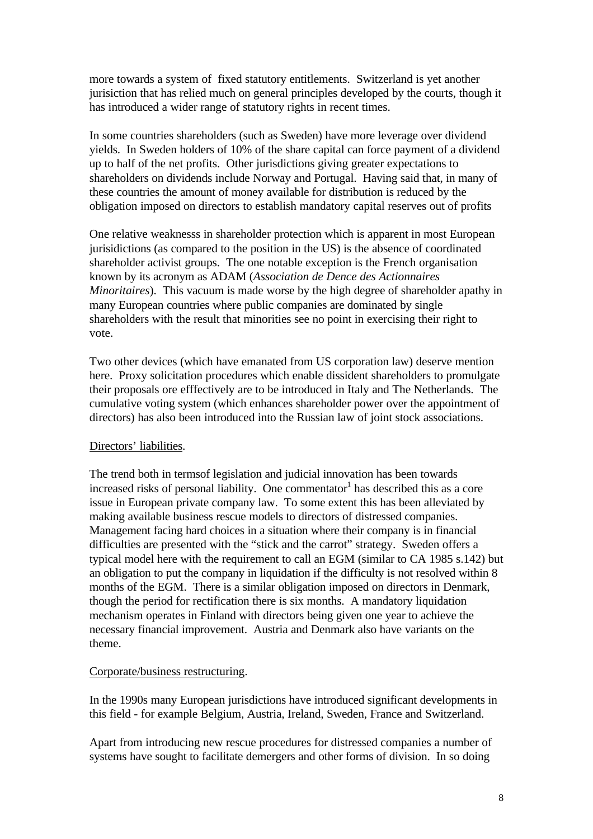more towards a system of fixed statutory entitlements. Switzerland is yet another jurisiction that has relied much on general principles developed by the courts, though it has introduced a wider range of statutory rights in recent times.

In some countries shareholders (such as Sweden) have more leverage over dividend yields. In Sweden holders of 10% of the share capital can force payment of a dividend up to half of the net profits. Other jurisdictions giving greater expectations to shareholders on dividends include Norway and Portugal. Having said that, in many of these countries the amount of money available for distribution is reduced by the obligation imposed on directors to establish mandatory capital reserves out of profits

One relative weaknesss in shareholder protection which is apparent in most European jurisidictions (as compared to the position in the US) is the absence of coordinated shareholder activist groups. The one notable exception is the French organisation known by its acronym as ADAM (*Association de Dence des Actionnaires Minoritaires*). This vacuum is made worse by the high degree of shareholder apathy in many European countries where public companies are dominated by single shareholders with the result that minorities see no point in exercising their right to vote.

Two other devices (which have emanated from US corporation law) deserve mention here. Proxy solicitation procedures which enable dissident shareholders to promulgate their proposals ore efffectively are to be introduced in Italy and The Netherlands. The cumulative voting system (which enhances shareholder power over the appointment of directors) has also been introduced into the Russian law of joint stock associations.

### Directors' liabilities.

The trend both in termsof legislation and judicial innovation has been towards increased risks of personal liability. One commentator  $\hat{I}$  has described this as a core issue in European private company law. To some extent this has been alleviated by making available business rescue models to directors of distressed companies. Management facing hard choices in a situation where their company is in financial difficulties are presented with the "stick and the carrot" strategy. Sweden offers a typical model here with the requirement to call an EGM (similar to CA 1985 s.142) but an obligation to put the company in liquidation if the difficulty is not resolved within 8 months of the EGM. There is a similar obligation imposed on directors in Denmark, though the period for rectification there is six months. A mandatory liquidation mechanism operates in Finland with directors being given one year to achieve the necessary financial improvement. Austria and Denmark also have variants on the theme.

#### Corporate/business restructuring.

In the 1990s many European jurisdictions have introduced significant developments in this field - for example Belgium, Austria, Ireland, Sweden, France and Switzerland.

Apart from introducing new rescue procedures for distressed companies a number of systems have sought to facilitate demergers and other forms of division. In so doing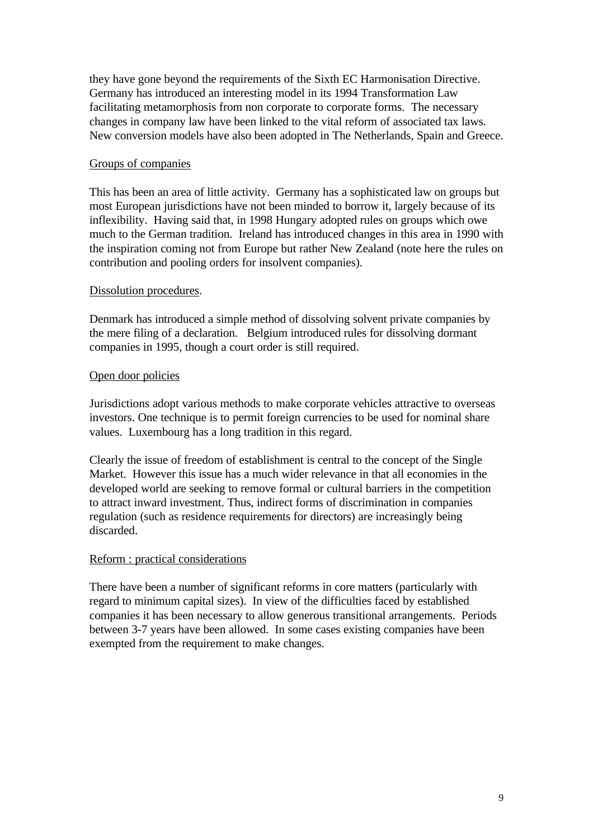they have gone beyond the requirements of the Sixth EC Harmonisation Directive. Germany has introduced an interesting model in its 1994 Transformation Law facilitating metamorphosis from non corporate to corporate forms. The necessary changes in company law have been linked to the vital reform of associated tax laws. New conversion models have also been adopted in The Netherlands, Spain and Greece.

### Groups of companies

This has been an area of little activity. Germany has a sophisticated law on groups but most European jurisdictions have not been minded to borrow it, largely because of its inflexibility. Having said that, in 1998 Hungary adopted rules on groups which owe much to the German tradition. Ireland has introduced changes in this area in 1990 with the inspiration coming not from Europe but rather New Zealand (note here the rules on contribution and pooling orders for insolvent companies).

### Dissolution procedures.

Denmark has introduced a simple method of dissolving solvent private companies by the mere filing of a declaration. Belgium introduced rules for dissolving dormant companies in 1995, though a court order is still required.

### Open door policies

Jurisdictions adopt various methods to make corporate vehicles attractive to overseas investors. One technique is to permit foreign currencies to be used for nominal share values. Luxembourg has a long tradition in this regard.

Clearly the issue of freedom of establishment is central to the concept of the Single Market. However this issue has a much wider relevance in that all economies in the developed world are seeking to remove formal or cultural barriers in the competition to attract inward investment. Thus, indirect forms of discrimination in companies regulation (such as residence requirements for directors) are increasingly being discarded.

### Reform : practical considerations

There have been a number of significant reforms in core matters (particularly with regard to minimum capital sizes). In view of the difficulties faced by established companies it has been necessary to allow generous transitional arrangements. Periods between 3-7 years have been allowed. In some cases existing companies have been exempted from the requirement to make changes.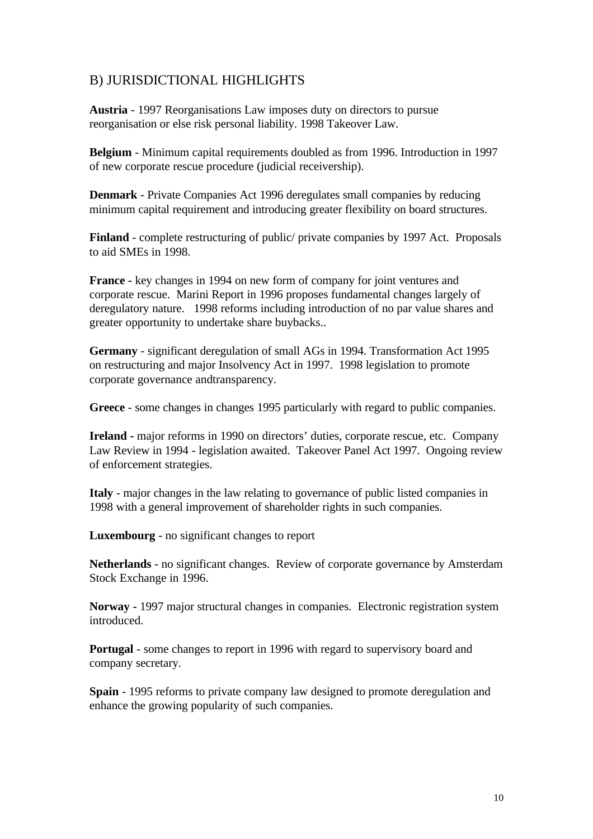# B) JURISDICTIONAL HIGHLIGHTS

**Austria** - 1997 Reorganisations Law imposes duty on directors to pursue reorganisation or else risk personal liability. 1998 Takeover Law.

**Belgium** - Minimum capital requirements doubled as from 1996. Introduction in 1997 of new corporate rescue procedure (judicial receivership).

**Denmark** - Private Companies Act 1996 deregulates small companies by reducing minimum capital requirement and introducing greater flexibility on board structures.

**Finland** - complete restructuring of public/ private companies by 1997 Act. Proposals to aid SMEs in 1998.

**France -** key changes in 1994 on new form of company for joint ventures and corporate rescue. Marini Report in 1996 proposes fundamental changes largely of deregulatory nature. 1998 reforms including introduction of no par value shares and greater opportunity to undertake share buybacks..

**Germany** - significant deregulation of small AGs in 1994. Transformation Act 1995 on restructuring and major Insolvency Act in 1997. 1998 legislation to promote corporate governance andtransparency.

**Greece** - some changes in changes 1995 particularly with regard to public companies.

**Ireland -** major reforms in 1990 on directors' duties, corporate rescue, etc. Company Law Review in 1994 - legislation awaited. Takeover Panel Act 1997. Ongoing review of enforcement strategies.

**Italy** - major changes in the law relating to governance of public listed companies in 1998 with a general improvement of shareholder rights in such companies.

**Luxembourg** - no significant changes to report

**Netherlands** - no significant changes. Review of corporate governance by Amsterdam Stock Exchange in 1996.

**Norway -** 1997 major structural changes in companies. Electronic registration system introduced.

**Portugal** - some changes to report in 1996 with regard to supervisory board and company secretary.

**Spain** - 1995 reforms to private company law designed to promote deregulation and enhance the growing popularity of such companies.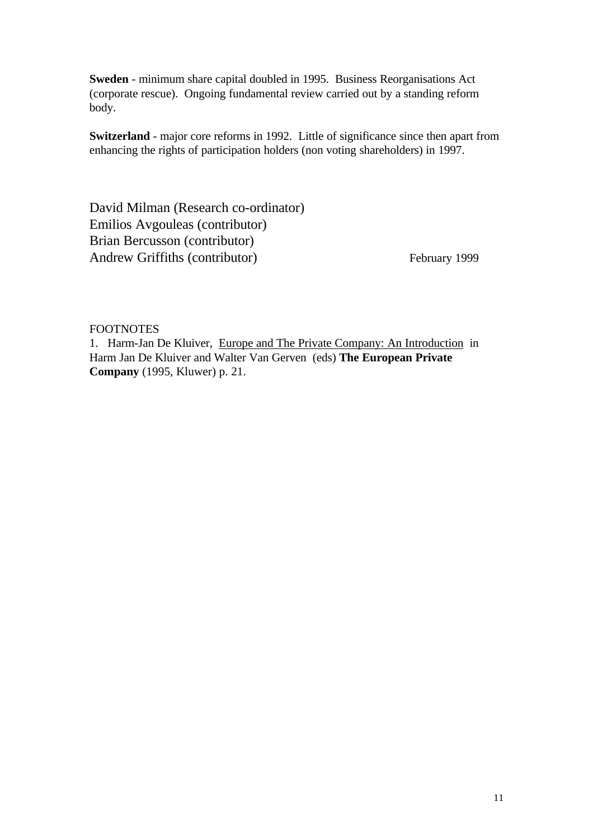**Sweden** - minimum share capital doubled in 1995. Business Reorganisations Act (corporate rescue). Ongoing fundamental review carried out by a standing reform body.

**Switzerland** - major core reforms in 1992. Little of significance since then apart from enhancing the rights of participation holders (non voting shareholders) in 1997.

David Milman (Research co-ordinator) Emilios Avgouleas (contributor) Brian Bercusson (contributor) Andrew Griffiths (contributor) February 1999

### FOOTNOTES

1. Harm-Jan De Kluiver, Europe and The Private Company: An Introduction in Harm Jan De Kluiver and Walter Van Gerven (eds) **The European Private Company** (1995, Kluwer) p. 21.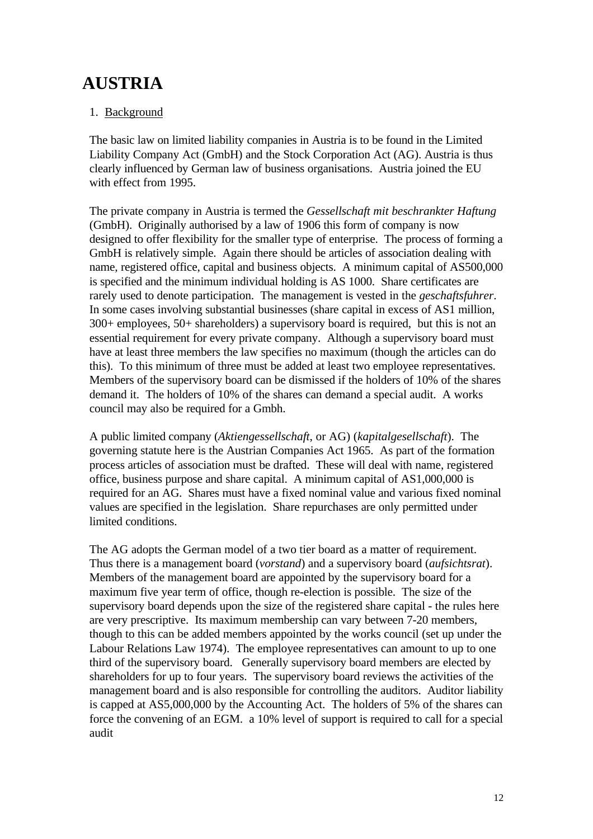# **AUSTRIA**

# 1. Background

The basic law on limited liability companies in Austria is to be found in the Limited Liability Company Act (GmbH) and the Stock Corporation Act (AG). Austria is thus clearly influenced by German law of business organisations. Austria joined the EU with effect from 1995.

The private company in Austria is termed the *Gessellschaft mit beschrankter Haftung* (GmbH). Originally authorised by a law of 1906 this form of company is now designed to offer flexibility for the smaller type of enterprise. The process of forming a GmbH is relatively simple. Again there should be articles of association dealing with name, registered office, capital and business objects. A minimum capital of AS500,000 is specified and the minimum individual holding is AS 1000. Share certificates are rarely used to denote participation. The management is vested in the *geschaftsfuhrer*. In some cases involving substantial businesses (share capital in excess of AS1 million, 300+ employees, 50+ shareholders) a supervisory board is required, but this is not an essential requirement for every private company. Although a supervisory board must have at least three members the law specifies no maximum (though the articles can do this). To this minimum of three must be added at least two employee representatives. Members of the supervisory board can be dismissed if the holders of 10% of the shares demand it. The holders of 10% of the shares can demand a special audit. A works council may also be required for a Gmbh.

A public limited company (*Aktiengessellschaft*, or AG) (*kapitalgesellschaft*). The governing statute here is the Austrian Companies Act 1965. As part of the formation process articles of association must be drafted. These will deal with name, registered office, business purpose and share capital. A minimum capital of AS1,000,000 is required for an AG. Shares must have a fixed nominal value and various fixed nominal values are specified in the legislation. Share repurchases are only permitted under limited conditions.

The AG adopts the German model of a two tier board as a matter of requirement. Thus there is a management board (*vorstand*) and a supervisory board (*aufsichtsrat*). Members of the management board are appointed by the supervisory board for a maximum five year term of office, though re-election is possible. The size of the supervisory board depends upon the size of the registered share capital - the rules here are very prescriptive. Its maximum membership can vary between 7-20 members, though to this can be added members appointed by the works council (set up under the Labour Relations Law 1974). The employee representatives can amount to up to one third of the supervisory board. Generally supervisory board members are elected by shareholders for up to four years. The supervisory board reviews the activities of the management board and is also responsible for controlling the auditors. Auditor liability is capped at AS5,000,000 by the Accounting Act. The holders of 5% of the shares can force the convening of an EGM. a 10% level of support is required to call for a special audit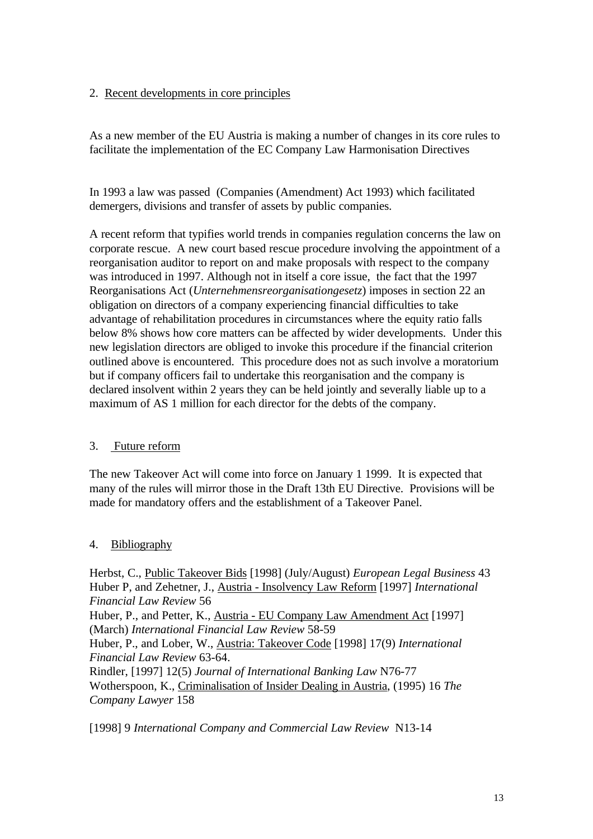# 2. Recent developments in core principles

As a new member of the EU Austria is making a number of changes in its core rules to facilitate the implementation of the EC Company Law Harmonisation Directives

In 1993 a law was passed (Companies (Amendment) Act 1993) which facilitated demergers, divisions and transfer of assets by public companies.

A recent reform that typifies world trends in companies regulation concerns the law on corporate rescue. A new court based rescue procedure involving the appointment of a reorganisation auditor to report on and make proposals with respect to the company was introduced in 1997. Although not in itself a core issue, the fact that the 1997 Reorganisations Act (*Unternehmensreorganisationgesetz*) imposes in section 22 an obligation on directors of a company experiencing financial difficulties to take advantage of rehabilitation procedures in circumstances where the equity ratio falls below 8% shows how core matters can be affected by wider developments. Under this new legislation directors are obliged to invoke this procedure if the financial criterion outlined above is encountered. This procedure does not as such involve a moratorium but if company officers fail to undertake this reorganisation and the company is declared insolvent within 2 years they can be held jointly and severally liable up to a maximum of AS 1 million for each director for the debts of the company.

# 3. Future reform

The new Takeover Act will come into force on January 1 1999. It is expected that many of the rules will mirror those in the Draft 13th EU Directive. Provisions will be made for mandatory offers and the establishment of a Takeover Panel.

# 4. Bibliography

Herbst, C., Public Takeover Bids [1998] (July/August) *European Legal Business* 43 Huber P, and Zehetner, J., Austria - Insolvency Law Reform [1997] *International Financial Law Review* 56 Huber, P., and Petter, K., Austria - EU Company Law Amendment Act [1997] (March) *International Financial Law Review* 58-59 Huber, P., and Lober, W., Austria: Takeover Code [1998] 17(9) *International Financial Law Review* 63-64. Rindler, [1997] 12(5) *Journal of International Banking Law* N76-77 Wotherspoon, K., Criminalisation of Insider Dealing in Austria, (1995) 16 *The Company Lawyer* 158

[1998] 9 *International Company and Commercial Law Review* N13-14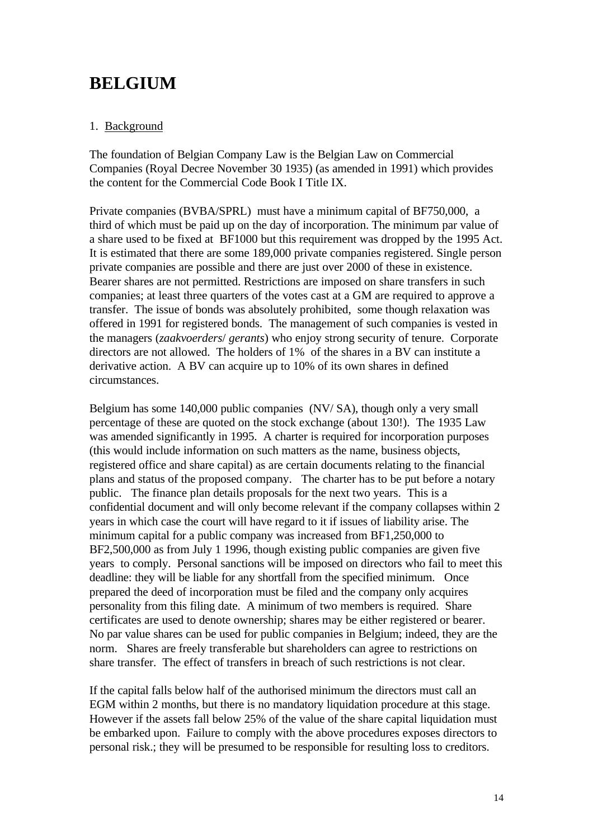# **BELGIUM**

# 1. Background

The foundation of Belgian Company Law is the Belgian Law on Commercial Companies (Royal Decree November 30 1935) (as amended in 1991) which provides the content for the Commercial Code Book I Title IX.

Private companies (BVBA/SPRL) must have a minimum capital of BF750,000, a third of which must be paid up on the day of incorporation. The minimum par value of a share used to be fixed at BF1000 but this requirement was dropped by the 1995 Act. It is estimated that there are some 189,000 private companies registered. Single person private companies are possible and there are just over 2000 of these in existence. Bearer shares are not permitted. Restrictions are imposed on share transfers in such companies; at least three quarters of the votes cast at a GM are required to approve a transfer. The issue of bonds was absolutely prohibited, some though relaxation was offered in 1991 for registered bonds. The management of such companies is vested in the managers (*zaakvoerders*/ *gerants*) who enjoy strong security of tenure. Corporate directors are not allowed. The holders of 1% of the shares in a BV can institute a derivative action. A BV can acquire up to 10% of its own shares in defined circumstances.

Belgium has some 140,000 public companies (NV/ SA), though only a very small percentage of these are quoted on the stock exchange (about 130!). The 1935 Law was amended significantly in 1995. A charter is required for incorporation purposes (this would include information on such matters as the name, business objects, registered office and share capital) as are certain documents relating to the financial plans and status of the proposed company. The charter has to be put before a notary public. The finance plan details proposals for the next two years. This is a confidential document and will only become relevant if the company collapses within 2 years in which case the court will have regard to it if issues of liability arise. The minimum capital for a public company was increased from BF1,250,000 to BF2,500,000 as from July 1 1996, though existing public companies are given five years to comply. Personal sanctions will be imposed on directors who fail to meet this deadline: they will be liable for any shortfall from the specified minimum. Once prepared the deed of incorporation must be filed and the company only acquires personality from this filing date. A minimum of two members is required. Share certificates are used to denote ownership; shares may be either registered or bearer. No par value shares can be used for public companies in Belgium; indeed, they are the norm. Shares are freely transferable but shareholders can agree to restrictions on share transfer. The effect of transfers in breach of such restrictions is not clear.

If the capital falls below half of the authorised minimum the directors must call an EGM within 2 months, but there is no mandatory liquidation procedure at this stage. However if the assets fall below 25% of the value of the share capital liquidation must be embarked upon. Failure to comply with the above procedures exposes directors to personal risk.; they will be presumed to be responsible for resulting loss to creditors.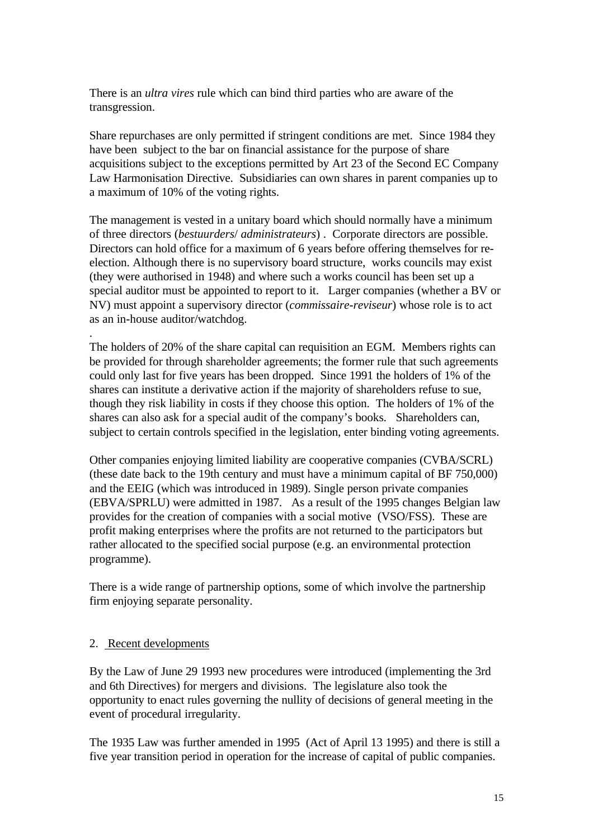There is an *ultra vires* rule which can bind third parties who are aware of the transgression.

Share repurchases are only permitted if stringent conditions are met. Since 1984 they have been subject to the bar on financial assistance for the purpose of share acquisitions subject to the exceptions permitted by Art 23 of the Second EC Company Law Harmonisation Directive. Subsidiaries can own shares in parent companies up to a maximum of 10% of the voting rights.

The management is vested in a unitary board which should normally have a minimum of three directors (*bestuurders*/ *administrateurs*) . Corporate directors are possible. Directors can hold office for a maximum of 6 years before offering themselves for reelection. Although there is no supervisory board structure, works councils may exist (they were authorised in 1948) and where such a works council has been set up a special auditor must be appointed to report to it. Larger companies (whether a BV or NV) must appoint a supervisory director (*commissaire-reviseur*) whose role is to act as an in-house auditor/watchdog.

The holders of 20% of the share capital can requisition an EGM. Members rights can be provided for through shareholder agreements; the former rule that such agreements could only last for five years has been dropped. Since 1991 the holders of 1% of the shares can institute a derivative action if the majority of shareholders refuse to sue, though they risk liability in costs if they choose this option. The holders of 1% of the shares can also ask for a special audit of the company's books. Shareholders can, subject to certain controls specified in the legislation, enter binding voting agreements.

Other companies enjoying limited liability are cooperative companies (CVBA/SCRL) (these date back to the 19th century and must have a minimum capital of BF 750,000) and the EEIG (which was introduced in 1989). Single person private companies (EBVA/SPRLU) were admitted in 1987. As a result of the 1995 changes Belgian law provides for the creation of companies with a social motive (VSO/FSS). These are profit making enterprises where the profits are not returned to the participators but rather allocated to the specified social purpose (e.g. an environmental protection programme).

There is a wide range of partnership options, some of which involve the partnership firm enjoying separate personality.

### 2. Recent developments

.

By the Law of June 29 1993 new procedures were introduced (implementing the 3rd and 6th Directives) for mergers and divisions. The legislature also took the opportunity to enact rules governing the nullity of decisions of general meeting in the event of procedural irregularity.

The 1935 Law was further amended in 1995 (Act of April 13 1995) and there is still a five year transition period in operation for the increase of capital of public companies.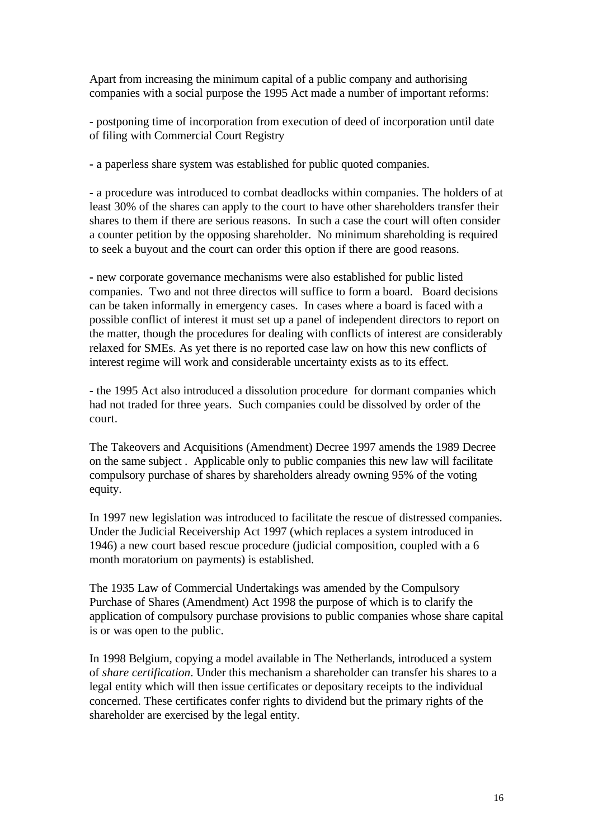Apart from increasing the minimum capital of a public company and authorising companies with a social purpose the 1995 Act made a number of important reforms:

- postponing time of incorporation from execution of deed of incorporation until date of filing with Commercial Court Registry

**-** a paperless share system was established for public quoted companies.

**-** a procedure was introduced to combat deadlocks within companies. The holders of at least 30% of the shares can apply to the court to have other shareholders transfer their shares to them if there are serious reasons. In such a case the court will often consider a counter petition by the opposing shareholder. No minimum shareholding is required to seek a buyout and the court can order this option if there are good reasons.

**-** new corporate governance mechanisms were also established for public listed companies. Two and not three directos will suffice to form a board. Board decisions can be taken informally in emergency cases. In cases where a board is faced with a possible conflict of interest it must set up a panel of independent directors to report on the matter, though the procedures for dealing with conflicts of interest are considerably relaxed for SMEs. As yet there is no reported case law on how this new conflicts of interest regime will work and considerable uncertainty exists as to its effect.

**-** the 1995 Act also introduced a dissolution procedure for dormant companies which had not traded for three years. Such companies could be dissolved by order of the court.

The Takeovers and Acquisitions (Amendment) Decree 1997 amends the 1989 Decree on the same subject . Applicable only to public companies this new law will facilitate compulsory purchase of shares by shareholders already owning 95% of the voting equity.

In 1997 new legislation was introduced to facilitate the rescue of distressed companies. Under the Judicial Receivership Act 1997 (which replaces a system introduced in 1946) a new court based rescue procedure (judicial composition, coupled with a 6 month moratorium on payments) is established.

The 1935 Law of Commercial Undertakings was amended by the Compulsory Purchase of Shares (Amendment) Act 1998 the purpose of which is to clarify the application of compulsory purchase provisions to public companies whose share capital is or was open to the public.

In 1998 Belgium, copying a model available in The Netherlands, introduced a system of *share certification*. Under this mechanism a shareholder can transfer his shares to a legal entity which will then issue certificates or depositary receipts to the individual concerned. These certificates confer rights to dividend but the primary rights of the shareholder are exercised by the legal entity.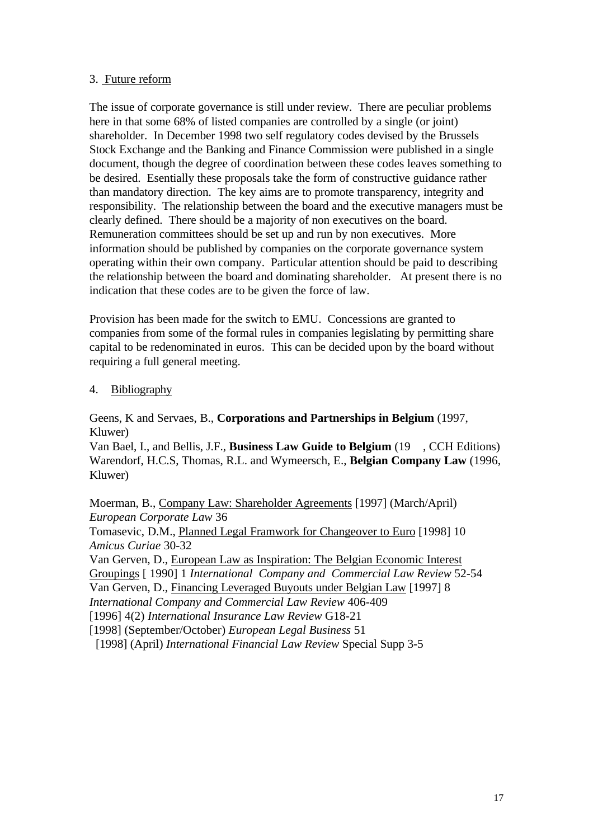### 3. Future reform

The issue of corporate governance is still under review. There are peculiar problems here in that some 68% of listed companies are controlled by a single (or joint) shareholder. In December 1998 two self regulatory codes devised by the Brussels Stock Exchange and the Banking and Finance Commission were published in a single document, though the degree of coordination between these codes leaves something to be desired. Esentially these proposals take the form of constructive guidance rather than mandatory direction. The key aims are to promote transparency, integrity and responsibility. The relationship between the board and the executive managers must be clearly defined. There should be a majority of non executives on the board. Remuneration committees should be set up and run by non executives. More information should be published by companies on the corporate governance system operating within their own company. Particular attention should be paid to describing the relationship between the board and dominating shareholder. At present there is no indication that these codes are to be given the force of law.

Provision has been made for the switch to EMU. Concessions are granted to companies from some of the formal rules in companies legislating by permitting share capital to be redenominated in euros. This can be decided upon by the board without requiring a full general meeting.

### 4. Bibliography

Geens, K and Servaes, B., **Corporations and Partnerships in Belgium** (1997, Kluwer)

Van Bael, I., and Bellis, J.F., **Business Law Guide to Belgium** (19 , CCH Editions) Warendorf, H.C.S, Thomas, R.L. and Wymeersch, E., **Belgian Company Law** (1996, Kluwer)

Moerman, B., Company Law: Shareholder Agreements [1997] (March/April) *European Corporate Law* 36

Tomasevic, D.M., Planned Legal Framwork for Changeover to Euro [1998] 10 *Amicus Curiae* 30-32

Van Gerven, D., European Law as Inspiration: The Belgian Economic Interest Groupings [ 1990] 1 *International Company and Commercial Law Review* 52-54 Van Gerven, D., Financing Leveraged Buyouts under Belgian Law [1997] 8

*International Company and Commercial Law Review* 406-409

[1996] 4(2) *International Insurance Law Review* G18-21

[1998] (September/October) *European Legal Business* 51

[1998] (April) *International Financial Law Review* Special Supp 3-5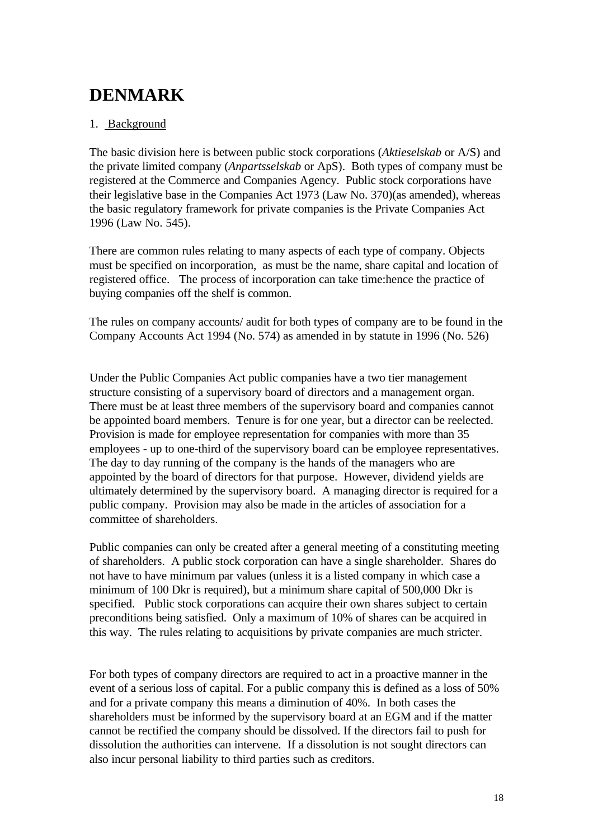# **DENMARK**

# 1. Background

The basic division here is between public stock corporations (*Aktieselskab* or A/S) and the private limited company (*Anpartsselskab* or ApS). Both types of company must be registered at the Commerce and Companies Agency. Public stock corporations have their legislative base in the Companies Act 1973 (Law No. 370)(as amended), whereas the basic regulatory framework for private companies is the Private Companies Act 1996 (Law No. 545).

There are common rules relating to many aspects of each type of company. Objects must be specified on incorporation, as must be the name, share capital and location of registered office. The process of incorporation can take time:hence the practice of buying companies off the shelf is common.

The rules on company accounts/ audit for both types of company are to be found in the Company Accounts Act 1994 (No. 574) as amended in by statute in 1996 (No. 526)

Under the Public Companies Act public companies have a two tier management structure consisting of a supervisory board of directors and a management organ. There must be at least three members of the supervisory board and companies cannot be appointed board members. Tenure is for one year, but a director can be reelected. Provision is made for employee representation for companies with more than 35 employees - up to one-third of the supervisory board can be employee representatives. The day to day running of the company is the hands of the managers who are appointed by the board of directors for that purpose. However, dividend yields are ultimately determined by the supervisory board. A managing director is required for a public company. Provision may also be made in the articles of association for a committee of shareholders.

Public companies can only be created after a general meeting of a constituting meeting of shareholders. A public stock corporation can have a single shareholder. Shares do not have to have minimum par values (unless it is a listed company in which case a minimum of 100 Dkr is required), but a minimum share capital of 500,000 Dkr is specified. Public stock corporations can acquire their own shares subject to certain preconditions being satisfied. Only a maximum of 10% of shares can be acquired in this way. The rules relating to acquisitions by private companies are much stricter.

For both types of company directors are required to act in a proactive manner in the event of a serious loss of capital. For a public company this is defined as a loss of 50% and for a private company this means a diminution of 40%. In both cases the shareholders must be informed by the supervisory board at an EGM and if the matter cannot be rectified the company should be dissolved. If the directors fail to push for dissolution the authorities can intervene. If a dissolution is not sought directors can also incur personal liability to third parties such as creditors.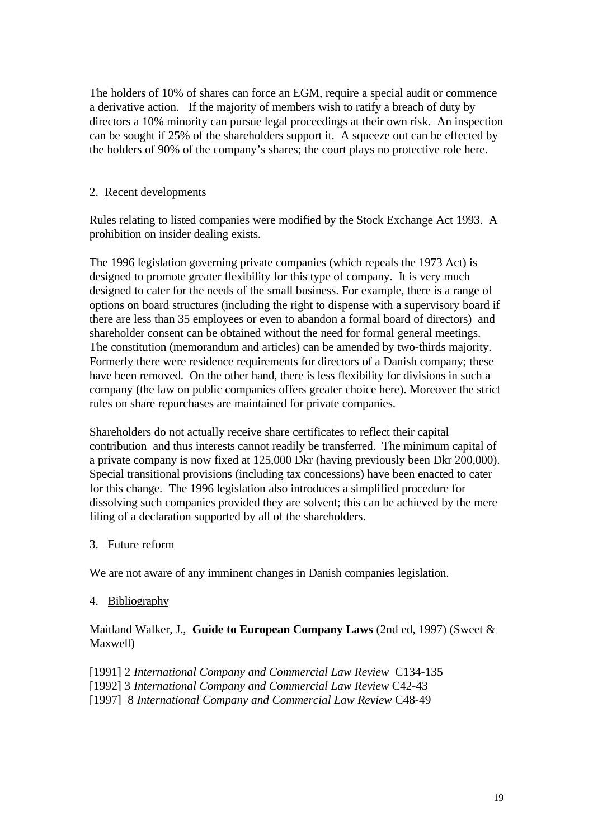The holders of 10% of shares can force an EGM, require a special audit or commence a derivative action. If the majority of members wish to ratify a breach of duty by directors a 10% minority can pursue legal proceedings at their own risk. An inspection can be sought if 25% of the shareholders support it. A squeeze out can be effected by the holders of 90% of the company's shares; the court plays no protective role here.

### 2. Recent developments

Rules relating to listed companies were modified by the Stock Exchange Act 1993. A prohibition on insider dealing exists.

The 1996 legislation governing private companies (which repeals the 1973 Act) is designed to promote greater flexibility for this type of company. It is very much designed to cater for the needs of the small business. For example, there is a range of options on board structures (including the right to dispense with a supervisory board if there are less than 35 employees or even to abandon a formal board of directors) and shareholder consent can be obtained without the need for formal general meetings. The constitution (memorandum and articles) can be amended by two-thirds majority. Formerly there were residence requirements for directors of a Danish company; these have been removed. On the other hand, there is less flexibility for divisions in such a company (the law on public companies offers greater choice here). Moreover the strict rules on share repurchases are maintained for private companies.

Shareholders do not actually receive share certificates to reflect their capital contribution and thus interests cannot readily be transferred. The minimum capital of a private company is now fixed at 125,000 Dkr (having previously been Dkr 200,000). Special transitional provisions (including tax concessions) have been enacted to cater for this change. The 1996 legislation also introduces a simplified procedure for dissolving such companies provided they are solvent; this can be achieved by the mere filing of a declaration supported by all of the shareholders.

### 3. Future reform

We are not aware of any imminent changes in Danish companies legislation.

# 4. Bibliography

Maitland Walker, J., **Guide to European Company Laws** (2nd ed, 1997) (Sweet & Maxwell)

[1991] 2 *International Company and Commercial Law Review* C134-135

[1992] 3 *International Company and Commercial Law Review* C42-43

[1997] 8 *International Company and Commercial Law Review* C48-49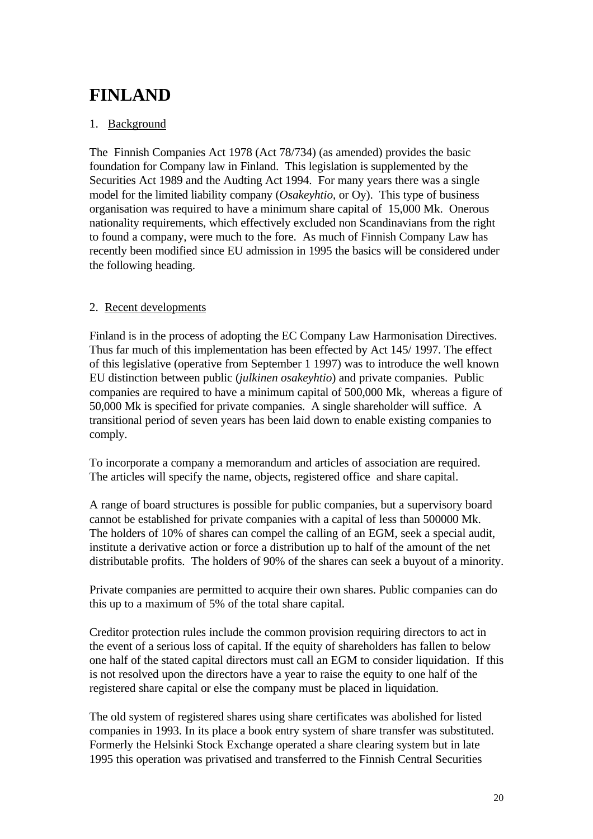# **FINLAND**

# 1. Background

The Finnish Companies Act 1978 (Act 78/734) (as amended) provides the basic foundation for Company law in Finland. This legislation is supplemented by the Securities Act 1989 and the Audting Act 1994. For many years there was a single model for the limited liability company (*Osakeyhtio*, or Oy). This type of business organisation was required to have a minimum share capital of 15,000 Mk. Onerous nationality requirements, which effectively excluded non Scandinavians from the right to found a company, were much to the fore. As much of Finnish Company Law has recently been modified since EU admission in 1995 the basics will be considered under the following heading.

### 2. Recent developments

Finland is in the process of adopting the EC Company Law Harmonisation Directives. Thus far much of this implementation has been effected by Act 145/ 1997. The effect of this legislative (operative from September 1 1997) was to introduce the well known EU distinction between public (*julkinen osakeyhtio*) and private companies. Public companies are required to have a minimum capital of 500,000 Mk, whereas a figure of 50,000 Mk is specified for private companies. A single shareholder will suffice. A transitional period of seven years has been laid down to enable existing companies to comply.

To incorporate a company a memorandum and articles of association are required. The articles will specify the name, objects, registered office and share capital.

A range of board structures is possible for public companies, but a supervisory board cannot be established for private companies with a capital of less than 500000 Mk. The holders of 10% of shares can compel the calling of an EGM, seek a special audit, institute a derivative action or force a distribution up to half of the amount of the net distributable profits. The holders of 90% of the shares can seek a buyout of a minority.

Private companies are permitted to acquire their own shares. Public companies can do this up to a maximum of 5% of the total share capital.

Creditor protection rules include the common provision requiring directors to act in the event of a serious loss of capital. If the equity of shareholders has fallen to below one half of the stated capital directors must call an EGM to consider liquidation. If this is not resolved upon the directors have a year to raise the equity to one half of the registered share capital or else the company must be placed in liquidation.

The old system of registered shares using share certificates was abolished for listed companies in 1993. In its place a book entry system of share transfer was substituted. Formerly the Helsinki Stock Exchange operated a share clearing system but in late 1995 this operation was privatised and transferred to the Finnish Central Securities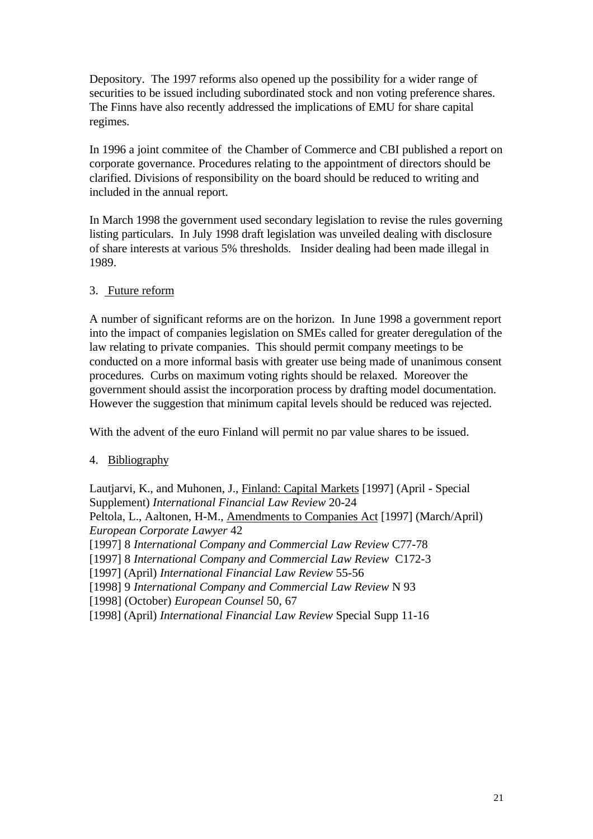Depository. The 1997 reforms also opened up the possibility for a wider range of securities to be issued including subordinated stock and non voting preference shares. The Finns have also recently addressed the implications of EMU for share capital regimes.

In 1996 a joint commitee of the Chamber of Commerce and CBI published a report on corporate governance. Procedures relating to the appointment of directors should be clarified. Divisions of responsibility on the board should be reduced to writing and included in the annual report.

In March 1998 the government used secondary legislation to revise the rules governing listing particulars. In July 1998 draft legislation was unveiled dealing with disclosure of share interests at various 5% thresholds. Insider dealing had been made illegal in 1989.

### 3. Future reform

A number of significant reforms are on the horizon. In June 1998 a government report into the impact of companies legislation on SMEs called for greater deregulation of the law relating to private companies. This should permit company meetings to be conducted on a more informal basis with greater use being made of unanimous consent procedures. Curbs on maximum voting rights should be relaxed. Moreover the government should assist the incorporation process by drafting model documentation. However the suggestion that minimum capital levels should be reduced was rejected.

With the advent of the euro Finland will permit no par value shares to be issued.

# 4. Bibliography

Lautjarvi, K., and Muhonen, J., Finland: Capital Markets [1997] (April - Special Supplement) *International Financial Law Review* 20-24 Peltola, L., Aaltonen, H-M., Amendments to Companies Act [1997] (March/April) *European Corporate Lawyer* 42 [1997] 8 *International Company and Commercial Law Review* C77-78 [1997] 8 *International Company and Commercial Law Review* C172-3 [1997] (April) *International Financial Law Review* 55-56 [1998] 9 *International Company and Commercial Law Review* N 93 [1998] (October) *European Counsel* 50, 67 [1998] (April) *International Financial Law Review* Special Supp 11-16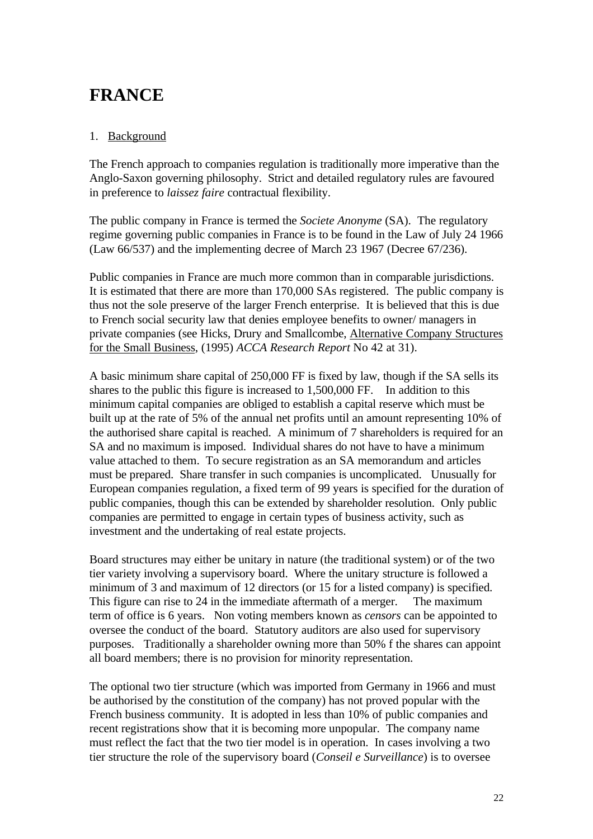# **FRANCE**

# 1. Background

The French approach to companies regulation is traditionally more imperative than the Anglo-Saxon governing philosophy. Strict and detailed regulatory rules are favoured in preference to *laissez faire* contractual flexibility.

The public company in France is termed the *Societe Anonyme* (SA). The regulatory regime governing public companies in France is to be found in the Law of July 24 1966 (Law 66/537) and the implementing decree of March 23 1967 (Decree 67/236).

Public companies in France are much more common than in comparable jurisdictions. It is estimated that there are more than 170,000 SAs registered. The public company is thus not the sole preserve of the larger French enterprise. It is believed that this is due to French social security law that denies employee benefits to owner/ managers in private companies (see Hicks, Drury and Smallcombe, Alternative Company Structures for the Small Business, (1995) *ACCA Research Report* No 42 at 31).

A basic minimum share capital of 250,000 FF is fixed by law, though if the SA sells its shares to the public this figure is increased to 1,500,000 FF. In addition to this minimum capital companies are obliged to establish a capital reserve which must be built up at the rate of 5% of the annual net profits until an amount representing 10% of the authorised share capital is reached. A minimum of 7 shareholders is required for an SA and no maximum is imposed. Individual shares do not have to have a minimum value attached to them. To secure registration as an SA memorandum and articles must be prepared. Share transfer in such companies is uncomplicated. Unusually for European companies regulation, a fixed term of 99 years is specified for the duration of public companies, though this can be extended by shareholder resolution. Only public companies are permitted to engage in certain types of business activity, such as investment and the undertaking of real estate projects.

Board structures may either be unitary in nature (the traditional system) or of the two tier variety involving a supervisory board. Where the unitary structure is followed a minimum of 3 and maximum of 12 directors (or 15 for a listed company) is specified. This figure can rise to 24 in the immediate aftermath of a merger. The maximum term of office is 6 years. Non voting members known as *censors* can be appointed to oversee the conduct of the board. Statutory auditors are also used for supervisory purposes. Traditionally a shareholder owning more than 50% f the shares can appoint all board members; there is no provision for minority representation.

The optional two tier structure (which was imported from Germany in 1966 and must be authorised by the constitution of the company) has not proved popular with the French business community. It is adopted in less than 10% of public companies and recent registrations show that it is becoming more unpopular. The company name must reflect the fact that the two tier model is in operation. In cases involving a two tier structure the role of the supervisory board (*Conseil e Surveillance*) is to oversee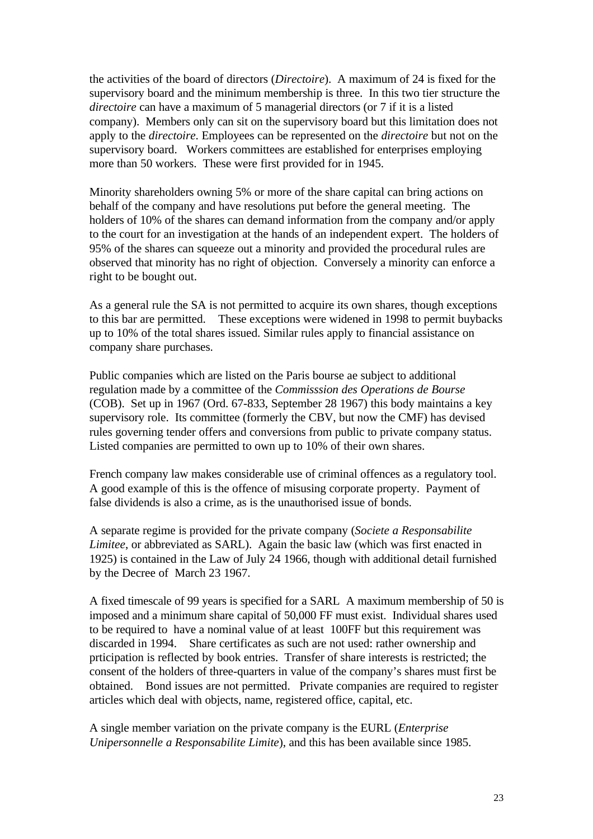the activities of the board of directors (*Directoire*). A maximum of 24 is fixed for the supervisory board and the minimum membership is three. In this two tier structure the *directoire* can have a maximum of 5 managerial directors (or 7 if it is a listed company). Members only can sit on the supervisory board but this limitation does not apply to the *directoire*. Employees can be represented on the *directoire* but not on the supervisory board. Workers committees are established for enterprises employing more than 50 workers. These were first provided for in 1945.

Minority shareholders owning 5% or more of the share capital can bring actions on behalf of the company and have resolutions put before the general meeting. The holders of 10% of the shares can demand information from the company and/or apply to the court for an investigation at the hands of an independent expert. The holders of 95% of the shares can squeeze out a minority and provided the procedural rules are observed that minority has no right of objection. Conversely a minority can enforce a right to be bought out.

As a general rule the SA is not permitted to acquire its own shares, though exceptions to this bar are permitted. These exceptions were widened in 1998 to permit buybacks up to 10% of the total shares issued. Similar rules apply to financial assistance on company share purchases.

Public companies which are listed on the Paris bourse ae subject to additional regulation made by a committee of the *Commisssion des Operations de Bourse* (COB). Set up in 1967 (Ord. 67-833, September 28 1967) this body maintains a key supervisory role. Its committee (formerly the CBV, but now the CMF) has devised rules governing tender offers and conversions from public to private company status. Listed companies are permitted to own up to 10% of their own shares.

French company law makes considerable use of criminal offences as a regulatory tool. A good example of this is the offence of misusing corporate property. Payment of false dividends is also a crime, as is the unauthorised issue of bonds.

A separate regime is provided for the private company (*Societe a Responsabilite Limitee*, or abbreviated as SARL). Again the basic law (which was first enacted in 1925) is contained in the Law of July 24 1966, though with additional detail furnished by the Decree of March 23 1967.

A fixed timescale of 99 years is specified for a SARL A maximum membership of 50 is imposed and a minimum share capital of 50,000 FF must exist. Individual shares used to be required to have a nominal value of at least 100FF but this requirement was discarded in 1994. Share certificates as such are not used: rather ownership and prticipation is reflected by book entries. Transfer of share interests is restricted; the consent of the holders of three-quarters in value of the company's shares must first be obtained. Bond issues are not permitted. Private companies are required to register articles which deal with objects, name, registered office, capital, etc.

A single member variation on the private company is the EURL (*Enterprise Unipersonnelle a Responsabilite Limite*), and this has been available since 1985.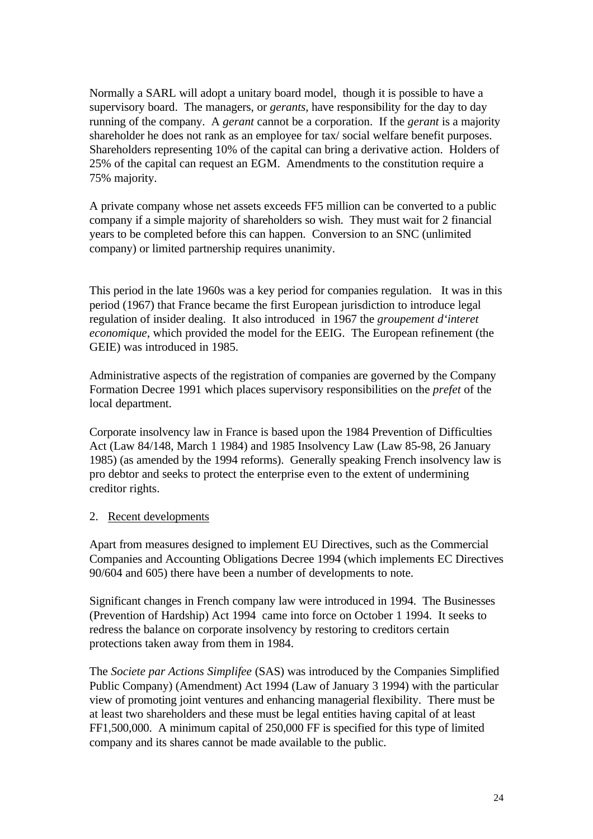Normally a SARL will adopt a unitary board model, though it is possible to have a supervisory board. The managers, or *gerants*, have responsibility for the day to day running of the company. A *gerant* cannot be a corporation. If the *gerant* is a majority shareholder he does not rank as an employee for tax/ social welfare benefit purposes. Shareholders representing 10% of the capital can bring a derivative action. Holders of 25% of the capital can request an EGM. Amendments to the constitution require a 75% majority.

A private company whose net assets exceeds FF5 million can be converted to a public company if a simple majority of shareholders so wish. They must wait for 2 financial years to be completed before this can happen. Conversion to an SNC (unlimited company) or limited partnership requires unanimity.

This period in the late 1960s was a key period for companies regulation. It was in this period (1967) that France became the first European jurisdiction to introduce legal regulation of insider dealing. It also introduced in 1967 the *groupement d'interet economique*, which provided the model for the EEIG. The European refinement (the GEIE) was introduced in 1985.

Administrative aspects of the registration of companies are governed by the Company Formation Decree 1991 which places supervisory responsibilities on the *prefet* of the local department.

Corporate insolvency law in France is based upon the 1984 Prevention of Difficulties Act (Law 84/148, March 1 1984) and 1985 Insolvency Law (Law 85-98, 26 January 1985) (as amended by the 1994 reforms). Generally speaking French insolvency law is pro debtor and seeks to protect the enterprise even to the extent of undermining creditor rights.

### 2. Recent developments

Apart from measures designed to implement EU Directives, such as the Commercial Companies and Accounting Obligations Decree 1994 (which implements EC Directives 90/604 and 605) there have been a number of developments to note.

Significant changes in French company law were introduced in 1994. The Businesses (Prevention of Hardship) Act 1994 came into force on October 1 1994. It seeks to redress the balance on corporate insolvency by restoring to creditors certain protections taken away from them in 1984.

The *Societe par Actions Simplifee* (SAS) was introduced by the Companies Simplified Public Company) (Amendment) Act 1994 (Law of January 3 1994) with the particular view of promoting joint ventures and enhancing managerial flexibility. There must be at least two shareholders and these must be legal entities having capital of at least FF1,500,000. A minimum capital of 250,000 FF is specified for this type of limited company and its shares cannot be made available to the public.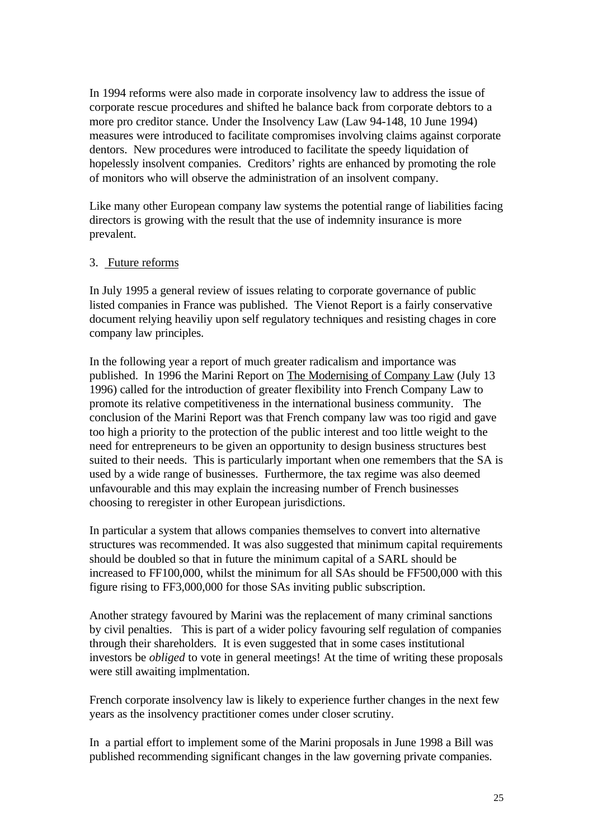In 1994 reforms were also made in corporate insolvency law to address the issue of corporate rescue procedures and shifted he balance back from corporate debtors to a more pro creditor stance. Under the Insolvency Law (Law 94-148, 10 June 1994) measures were introduced to facilitate compromises involving claims against corporate dentors. New procedures were introduced to facilitate the speedy liquidation of hopelessly insolvent companies. Creditors' rights are enhanced by promoting the role of monitors who will observe the administration of an insolvent company.

Like many other European company law systems the potential range of liabilities facing directors is growing with the result that the use of indemnity insurance is more prevalent.

### 3. Future reforms

In July 1995 a general review of issues relating to corporate governance of public listed companies in France was published. The Vienot Report is a fairly conservative document relying heaviliy upon self regulatory techniques and resisting chages in core company law principles.

In the following year a report of much greater radicalism and importance was published. In 1996 the Marini Report on The Modernising of Company Law (July 13 1996) called for the introduction of greater flexibility into French Company Law to promote its relative competitiveness in the international business community. The conclusion of the Marini Report was that French company law was too rigid and gave too high a priority to the protection of the public interest and too little weight to the need for entrepreneurs to be given an opportunity to design business structures best suited to their needs. This is particularly important when one remembers that the SA is used by a wide range of businesses. Furthermore, the tax regime was also deemed unfavourable and this may explain the increasing number of French businesses choosing to reregister in other European jurisdictions.

In particular a system that allows companies themselves to convert into alternative structures was recommended. It was also suggested that minimum capital requirements should be doubled so that in future the minimum capital of a SARL should be increased to FF100,000, whilst the minimum for all SAs should be FF500,000 with this figure rising to FF3,000,000 for those SAs inviting public subscription.

Another strategy favoured by Marini was the replacement of many criminal sanctions by civil penalties. This is part of a wider policy favouring self regulation of companies through their shareholders. It is even suggested that in some cases institutional investors be *obliged* to vote in general meetings! At the time of writing these proposals were still awaiting implmentation.

French corporate insolvency law is likely to experience further changes in the next few years as the insolvency practitioner comes under closer scrutiny.

In a partial effort to implement some of the Marini proposals in June 1998 a Bill was published recommending significant changes in the law governing private companies.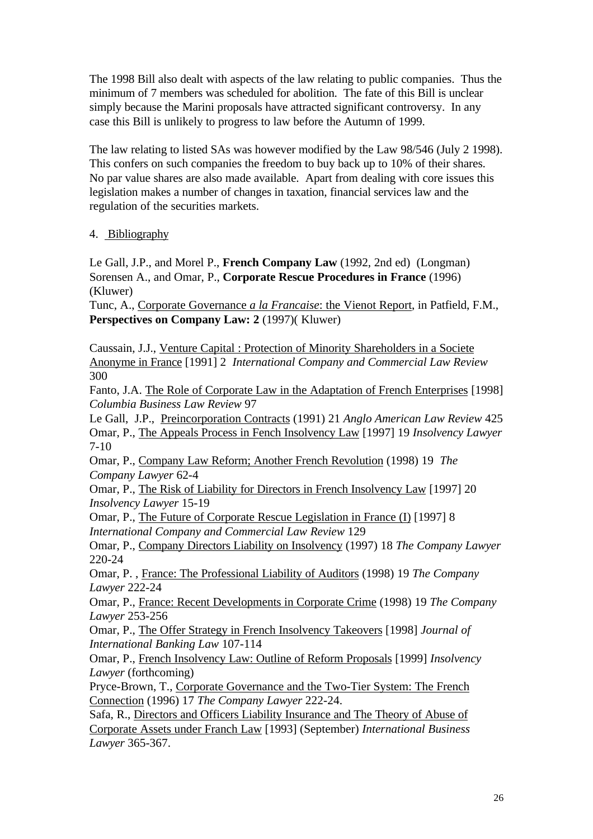The 1998 Bill also dealt with aspects of the law relating to public companies. Thus the minimum of 7 members was scheduled for abolition. The fate of this Bill is unclear simply because the Marini proposals have attracted significant controversy. In any case this Bill is unlikely to progress to law before the Autumn of 1999.

The law relating to listed SAs was however modified by the Law 98/546 (July 2 1998). This confers on such companies the freedom to buy back up to 10% of their shares. No par value shares are also made available. Apart from dealing with core issues this legislation makes a number of changes in taxation, financial services law and the regulation of the securities markets.

### 4. Bibliography

Le Gall, J.P., and Morel P., **French Company Law** (1992, 2nd ed) (Longman) Sorensen A., and Omar, P., **Corporate Rescue Procedures in France** (1996) (Kluwer)

Tunc, A., Corporate Governance *a la Francaise*: the Vienot Report, in Patfield, F.M., Perspectives on Company Law: 2 (1997)(Kluwer)

Caussain, J.J., Venture Capital : Protection of Minority Shareholders in a Societe Anonyme in France [1991] 2 *International Company and Commercial Law Review* 300

Fanto, J.A. The Role of Corporate Law in the Adaptation of French Enterprises [1998] *Columbia Business Law Review* 97

Le Gall, J.P., Preincorporation Contracts (1991) 21 *Anglo American Law Review* 425 Omar, P., The Appeals Process in Fench Insolvency Law [1997] 19 *Insolvency Lawyer* 7-10

Omar, P., Company Law Reform; Another French Revolution (1998) 19 *The Company Lawyer* 62-4

Omar, P., The Risk of Liability for Directors in French Insolvency Law [1997] 20 *Insolvency Lawyer* 15-19

Omar, P., The Future of Corporate Rescue Legislation in France (I) [1997] 8 *International Company and Commercial Law Review* 129

Omar, P., Company Directors Liability on Insolvency (1997) 18 *The Company Lawyer* 220-24

Omar, P. , France: The Professional Liability of Auditors (1998) 19 *The Company Lawyer* 222-24

Omar, P., France: Recent Developments in Corporate Crime (1998) 19 *The Company Lawyer* 253-256

Omar, P., The Offer Strategy in French Insolvency Takeovers [1998] *Journal of International Banking Law* 107-114

Omar, P., French Insolvency Law: Outline of Reform Proposals [1999] *Insolvency Lawyer* (forthcoming)

Pryce-Brown, T., Corporate Governance and the Two-Tier System: The French Connection (1996) 17 *The Company Lawyer* 222-24.

Safa, R., Directors and Officers Liability Insurance and The Theory of Abuse of Corporate Assets under Franch Law [1993] (September) *International Business Lawyer* 365-367.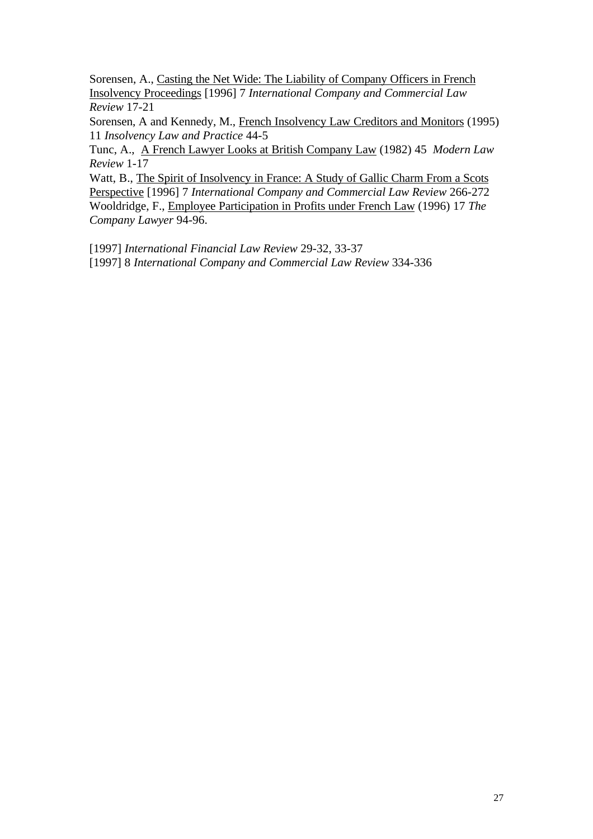Sorensen, A., Casting the Net Wide: The Liability of Company Officers in French Insolvency Proceedings [1996] 7 *International Company and Commercial Law Review* 17-21

Sorensen, A and Kennedy, M., French Insolvency Law Creditors and Monitors (1995) 11 *Insolvency Law and Practice* 44-5

Tunc, A., A French Lawyer Looks at British Company Law (1982) 45 *Modern Law Review* 1-17

Watt, B., The Spirit of Insolvency in France: A Study of Gallic Charm From a Scots Perspective [1996] 7 *International Company and Commercial Law Review* 266-272 Wooldridge, F., Employee Participation in Profits under French Law (1996) 17 *The Company Lawyer* 94-96.

[1997] *International Financial Law Review* 29-32, 33-37

[1997] 8 *International Company and Commercial Law Review* 334-336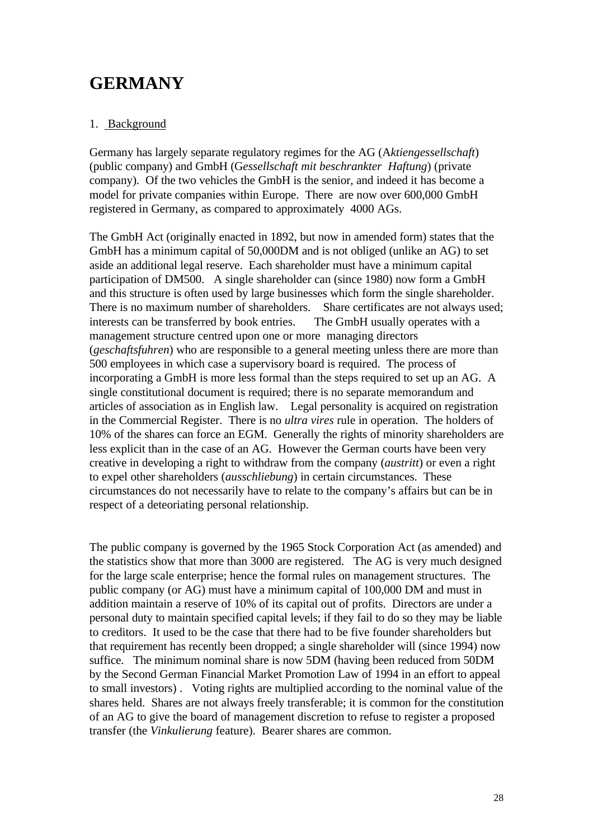# **GERMANY**

### 1. Background

Germany has largely separate regulatory regimes for the AG (A*ktiengessellschaft*) (public company) and GmbH (G*essellschaft mit beschrankter Haftung*) (private company). Of the two vehicles the GmbH is the senior, and indeed it has become a model for private companies within Europe. There are now over 600,000 GmbH registered in Germany, as compared to approximately 4000 AGs.

The GmbH Act (originally enacted in 1892, but now in amended form) states that the GmbH has a minimum capital of 50,000DM and is not obliged (unlike an AG) to set aside an additional legal reserve. Each shareholder must have a minimum capital participation of DM500. A single shareholder can (since 1980) now form a GmbH and this structure is often used by large businesses which form the single shareholder. There is no maximum number of shareholders. Share certificates are not always used; interests can be transferred by book entries. The GmbH usually operates with a management structure centred upon one or more managing directors (*geschaftsfuhren*) who are responsible to a general meeting unless there are more than 500 employees in which case a supervisory board is required. The process of incorporating a GmbH is more less formal than the steps required to set up an AG. A single constitutional document is required; there is no separate memorandum and articles of association as in English law. Legal personality is acquired on registration in the Commercial Register. There is no *ultra vires* rule in operation. The holders of 10% of the shares can force an EGM. Generally the rights of minority shareholders are less explicit than in the case of an AG. However the German courts have been very creative in developing a right to withdraw from the company (*austritt*) or even a right to expel other shareholders (*ausschliebung*) in certain circumstances. These circumstances do not necessarily have to relate to the company's affairs but can be in respect of a deteoriating personal relationship.

The public company is governed by the 1965 Stock Corporation Act (as amended) and the statistics show that more than 3000 are registered. The AG is very much designed for the large scale enterprise; hence the formal rules on management structures. The public company (or AG) must have a minimum capital of 100,000 DM and must in addition maintain a reserve of 10% of its capital out of profits. Directors are under a personal duty to maintain specified capital levels; if they fail to do so they may be liable to creditors. It used to be the case that there had to be five founder shareholders but that requirement has recently been dropped; a single shareholder will (since 1994) now suffice. The minimum nominal share is now 5DM (having been reduced from 50DM by the Second German Financial Market Promotion Law of 1994 in an effort to appeal to small investors) . Voting rights are multiplied according to the nominal value of the shares held. Shares are not always freely transferable; it is common for the constitution of an AG to give the board of management discretion to refuse to register a proposed transfer (the *Vinkulierung* feature). Bearer shares are common.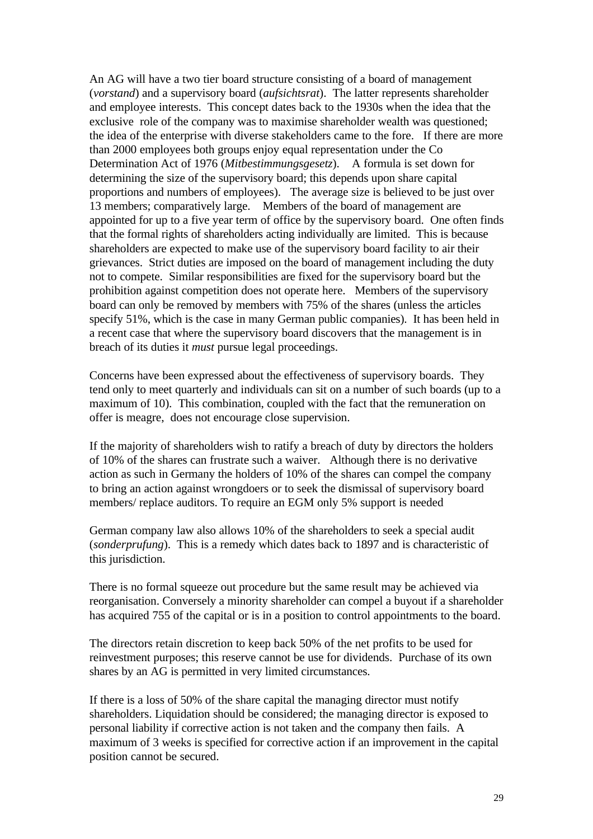An AG will have a two tier board structure consisting of a board of management (*vorstand*) and a supervisory board (*aufsichtsrat*). The latter represents shareholder and employee interests. This concept dates back to the 1930s when the idea that the exclusive role of the company was to maximise shareholder wealth was questioned; the idea of the enterprise with diverse stakeholders came to the fore. If there are more than 2000 employees both groups enjoy equal representation under the Co Determination Act of 1976 (*Mitbestimmungsgesetz*). A formula is set down for determining the size of the supervisory board; this depends upon share capital proportions and numbers of employees). The average size is believed to be just over 13 members; comparatively large. Members of the board of management are appointed for up to a five year term of office by the supervisory board. One often finds that the formal rights of shareholders acting individually are limited. This is because shareholders are expected to make use of the supervisory board facility to air their grievances. Strict duties are imposed on the board of management including the duty not to compete. Similar responsibilities are fixed for the supervisory board but the prohibition against competition does not operate here. Members of the supervisory board can only be removed by members with 75% of the shares (unless the articles specify 51%, which is the case in many German public companies). It has been held in a recent case that where the supervisory board discovers that the management is in breach of its duties it *must* pursue legal proceedings.

Concerns have been expressed about the effectiveness of supervisory boards. They tend only to meet quarterly and individuals can sit on a number of such boards (up to a maximum of 10). This combination, coupled with the fact that the remuneration on offer is meagre, does not encourage close supervision.

If the majority of shareholders wish to ratify a breach of duty by directors the holders of 10% of the shares can frustrate such a waiver. Although there is no derivative action as such in Germany the holders of 10% of the shares can compel the company to bring an action against wrongdoers or to seek the dismissal of supervisory board members/ replace auditors. To require an EGM only 5% support is needed

German company law also allows 10% of the shareholders to seek a special audit (*sonderprufung*). This is a remedy which dates back to 1897 and is characteristic of this jurisdiction.

There is no formal squeeze out procedure but the same result may be achieved via reorganisation. Conversely a minority shareholder can compel a buyout if a shareholder has acquired 755 of the capital or is in a position to control appointments to the board.

The directors retain discretion to keep back 50% of the net profits to be used for reinvestment purposes; this reserve cannot be use for dividends. Purchase of its own shares by an AG is permitted in very limited circumstances.

If there is a loss of 50% of the share capital the managing director must notify shareholders. Liquidation should be considered; the managing director is exposed to personal liability if corrective action is not taken and the company then fails. A maximum of 3 weeks is specified for corrective action if an improvement in the capital position cannot be secured.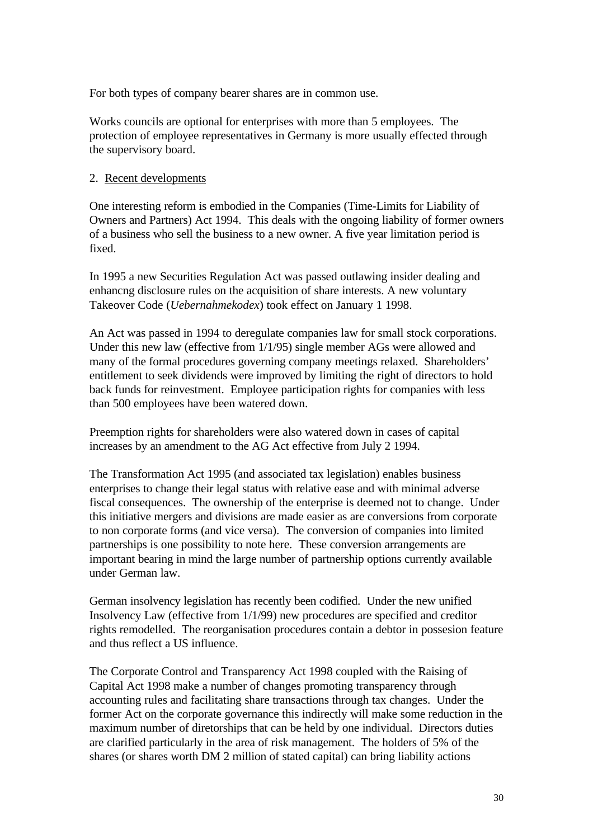For both types of company bearer shares are in common use.

Works councils are optional for enterprises with more than 5 employees. The protection of employee representatives in Germany is more usually effected through the supervisory board.

### 2. Recent developments

One interesting reform is embodied in the Companies (Time-Limits for Liability of Owners and Partners) Act 1994. This deals with the ongoing liability of former owners of a business who sell the business to a new owner. A five year limitation period is fixed.

In 1995 a new Securities Regulation Act was passed outlawing insider dealing and enhancng disclosure rules on the acquisition of share interests. A new voluntary Takeover Code (*Uebernahmekodex*) took effect on January 1 1998.

An Act was passed in 1994 to deregulate companies law for small stock corporations. Under this new law (effective from 1/1/95) single member AGs were allowed and many of the formal procedures governing company meetings relaxed. Shareholders' entitlement to seek dividends were improved by limiting the right of directors to hold back funds for reinvestment. Employee participation rights for companies with less than 500 employees have been watered down.

Preemption rights for shareholders were also watered down in cases of capital increases by an amendment to the AG Act effective from July 2 1994.

The Transformation Act 1995 (and associated tax legislation) enables business enterprises to change their legal status with relative ease and with minimal adverse fiscal consequences. The ownership of the enterprise is deemed not to change. Under this initiative mergers and divisions are made easier as are conversions from corporate to non corporate forms (and vice versa). The conversion of companies into limited partnerships is one possibility to note here. These conversion arrangements are important bearing in mind the large number of partnership options currently available under German law.

German insolvency legislation has recently been codified. Under the new unified Insolvency Law (effective from 1/1/99) new procedures are specified and creditor rights remodelled. The reorganisation procedures contain a debtor in possesion feature and thus reflect a US influence.

The Corporate Control and Transparency Act 1998 coupled with the Raising of Capital Act 1998 make a number of changes promoting transparency through accounting rules and facilitating share transactions through tax changes. Under the former Act on the corporate governance this indirectly will make some reduction in the maximum number of diretorships that can be held by one individual. Directors duties are clarified particularly in the area of risk management. The holders of 5% of the shares (or shares worth DM 2 million of stated capital) can bring liability actions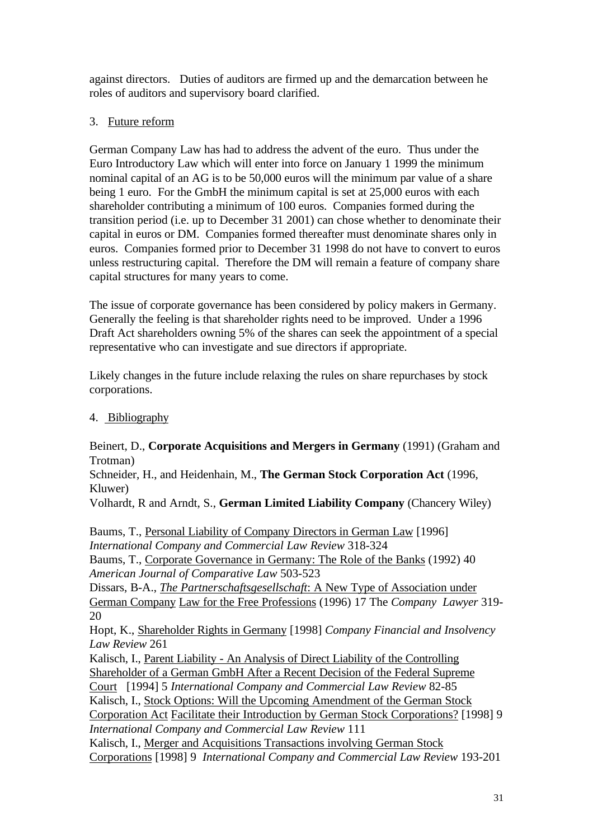against directors. Duties of auditors are firmed up and the demarcation between he roles of auditors and supervisory board clarified.

# 3. Future reform

German Company Law has had to address the advent of the euro. Thus under the Euro Introductory Law which will enter into force on January 1 1999 the minimum nominal capital of an AG is to be 50,000 euros will the minimum par value of a share being 1 euro. For the GmbH the minimum capital is set at 25,000 euros with each shareholder contributing a minimum of 100 euros. Companies formed during the transition period (i.e. up to December 31 2001) can chose whether to denominate their capital in euros or DM. Companies formed thereafter must denominate shares only in euros. Companies formed prior to December 31 1998 do not have to convert to euros unless restructuring capital. Therefore the DM will remain a feature of company share capital structures for many years to come.

The issue of corporate governance has been considered by policy makers in Germany. Generally the feeling is that shareholder rights need to be improved. Under a 1996 Draft Act shareholders owning 5% of the shares can seek the appointment of a special representative who can investigate and sue directors if appropriate.

Likely changes in the future include relaxing the rules on share repurchases by stock corporations.

4. Bibliography

Beinert, D., **Corporate Acquisitions and Mergers in Germany** (1991) (Graham and Trotman)

Schneider, H., and Heidenhain, M., **The German Stock Corporation Act** (1996, Kluwer)

Volhardt, R and Arndt, S., **German Limited Liability Company** (Chancery Wiley)

Baums, T., Personal Liability of Company Directors in German Law [1996] *International Company and Commercial Law Review* 318-324 Baums, T., Corporate Governance in Germany: The Role of the Banks (1992) 40 *American Journal of Comparative Law* 503-523 Dissars, B-A., *The Partnerschaftsgesellschaft*: A New Type of Association under German Company Law for the Free Professions (1996) 17 The *Company Lawyer* 319- 20 Hopt, K., Shareholder Rights in Germany [1998] *Company Financial and Insolvency Law Review* 261 Kalisch, I., Parent Liability - An Analysis of Direct Liability of the Controlling Shareholder of a German GmbH After a Recent Decision of the Federal Supreme Court [1994] 5 *International Company and Commercial Law Review* 82-85 Kalisch, I., Stock Options: Will the Upcoming Amendment of the German Stock Corporation Act Facilitate their Introduction by German Stock Corporations? [1998] 9 *International Company and Commercial Law Review* 111 Kalisch, I., Merger and Acquisitions Transactions involving German Stock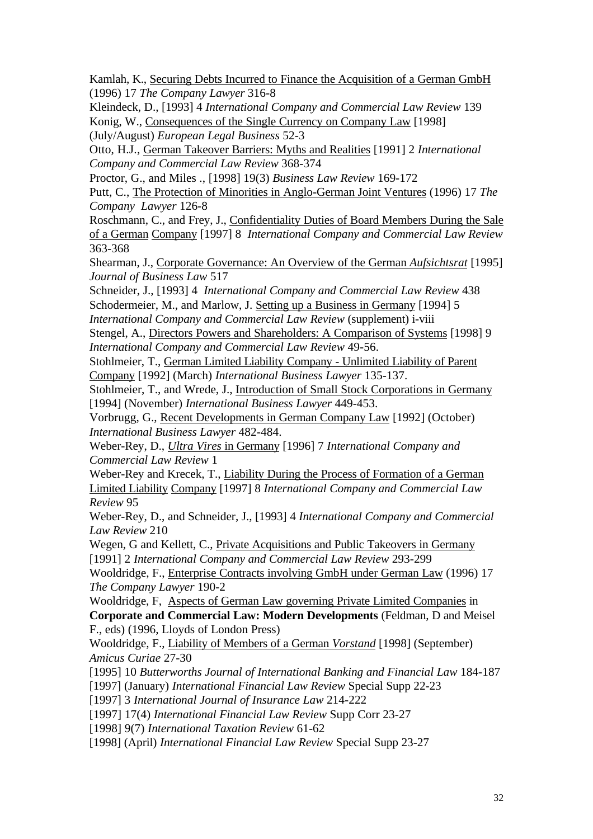Kamlah, K., Securing Debts Incurred to Finance the Acquisition of a German GmbH (1996) 17 *The Company Lawyer* 316-8

Kleindeck, D., [1993] 4 *International Company and Commercial Law Review* 139 Konig, W., Consequences of the Single Currency on Company Law [1998] (July/August) *European Legal Business* 52-3

Otto, H.J., German Takeover Barriers: Myths and Realities [1991] 2 *International Company and Commercial Law Review* 368-374

Proctor, G., and Miles ., [1998] 19(3) *Business Law Review* 169-172

Putt, C., The Protection of Minorities in Anglo-German Joint Ventures (1996) 17 *The Company Lawyer* 126-8

Roschmann, C., and Frey, J., Confidentiality Duties of Board Members During the Sale of a German Company [1997] 8 *International Company and Commercial Law Review* 363-368

Shearman, J., Corporate Governance: An Overview of the German *Aufsichtsrat* [1995] *Journal of Business Law* 517

Schneider, J., [1993] 4 *International Company and Commercial Law Review* 438 Schodermeier, M., and Marlow, J. Setting up a Business in Germany [1994] 5

*International Company and Commercial Law Review* (supplement) i-viii

Stengel, A., Directors Powers and Shareholders: A Comparison of Systems [1998] 9 *International Company and Commercial Law Review* 49-56.

Stohlmeier, T., German Limited Liability Company - Unlimited Liability of Parent Company [1992] (March) *International Business Lawyer* 135-137.

Stohlmeier, T., and Wrede, J., Introduction of Small Stock Corporations in Germany [1994] (November) *International Business Lawyer* 449-453.

Vorbrugg, G., Recent Developments in German Company Law [1992] (October) *International Business Lawyer* 482-484.

Weber-Rey, D., *Ultra Vires* in Germany [1996] 7 *International Company and Commercial Law Review* 1

Weber-Rey and Krecek, T., Liability During the Process of Formation of a German Limited Liability Company [1997] 8 *International Company and Commercial Law Review* 95

Weber-Rey, D., and Schneider, J., [1993] 4 *International Company and Commercial Law Review* 210

Wegen, G and Kellett, C., Private Acquisitions and Public Takeovers in Germany [1991] 2 *International Company and Commercial Law Review* 293-299

Wooldridge, F., Enterprise Contracts involving GmbH under German Law (1996) 17 *The Company Lawyer* 190-2

Wooldridge, F, Aspects of German Law governing Private Limited Companies in **Corporate and Commercial Law: Modern Developments** (Feldman, D and Meisel F., eds) (1996, Lloyds of London Press)

Wooldridge, F., Liability of Members of a German *Vorstand* [1998] (September) *Amicus Curiae* 27-30

[1995] 10 *Butterworths Journal of International Banking and Financial Law* 184-187

[1997] (January) *International Financial Law Review* Special Supp 22-23

[1997] 3 *International Journal of Insurance Law* 214-222

[1997] 17(4) *International Financial Law Review* Supp Corr 23-27

[1998] 9(7) *International Taxation Review* 61-62

[1998] (April) *International Financial Law Review* Special Supp 23-27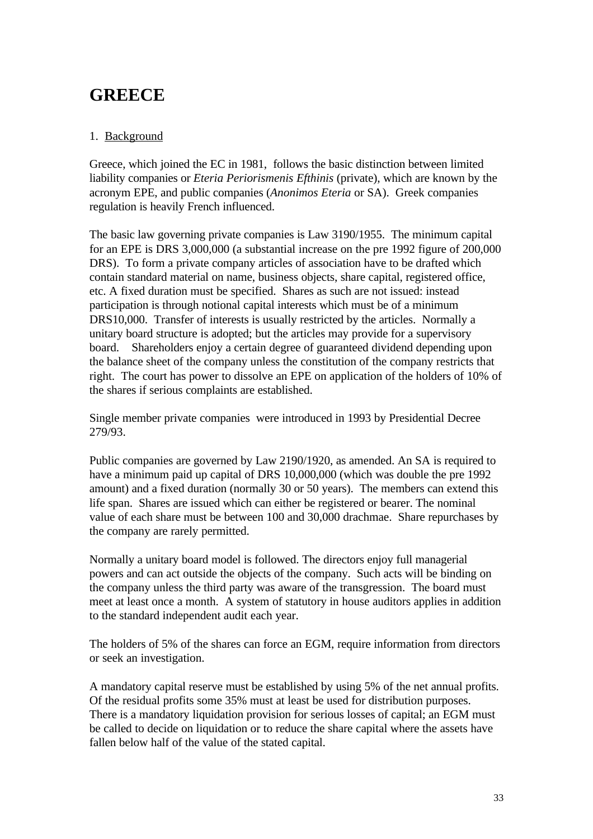# **GREECE**

# 1. Background

Greece, which joined the EC in 1981, follows the basic distinction between limited liability companies or *Eteria Periorismenis Efthinis* (private), which are known by the acronym EPE, and public companies (*Anonimos Eteria* or SA). Greek companies regulation is heavily French influenced.

The basic law governing private companies is Law 3190/1955. The minimum capital for an EPE is DRS 3,000,000 (a substantial increase on the pre 1992 figure of 200,000 DRS). To form a private company articles of association have to be drafted which contain standard material on name, business objects, share capital, registered office, etc. A fixed duration must be specified. Shares as such are not issued: instead participation is through notional capital interests which must be of a minimum DRS10,000. Transfer of interests is usually restricted by the articles. Normally a unitary board structure is adopted; but the articles may provide for a supervisory board. Shareholders enjoy a certain degree of guaranteed dividend depending upon the balance sheet of the company unless the constitution of the company restricts that right. The court has power to dissolve an EPE on application of the holders of 10% of the shares if serious complaints are established.

Single member private companies were introduced in 1993 by Presidential Decree 279/93.

Public companies are governed by Law 2190/1920, as amended. An SA is required to have a minimum paid up capital of DRS 10,000,000 (which was double the pre 1992 amount) and a fixed duration (normally 30 or 50 years). The members can extend this life span. Shares are issued which can either be registered or bearer. The nominal value of each share must be between 100 and 30,000 drachmae. Share repurchases by the company are rarely permitted.

Normally a unitary board model is followed. The directors enjoy full managerial powers and can act outside the objects of the company. Such acts will be binding on the company unless the third party was aware of the transgression. The board must meet at least once a month. A system of statutory in house auditors applies in addition to the standard independent audit each year.

The holders of 5% of the shares can force an EGM, require information from directors or seek an investigation.

A mandatory capital reserve must be established by using 5% of the net annual profits. Of the residual profits some 35% must at least be used for distribution purposes. There is a mandatory liquidation provision for serious losses of capital; an EGM must be called to decide on liquidation or to reduce the share capital where the assets have fallen below half of the value of the stated capital.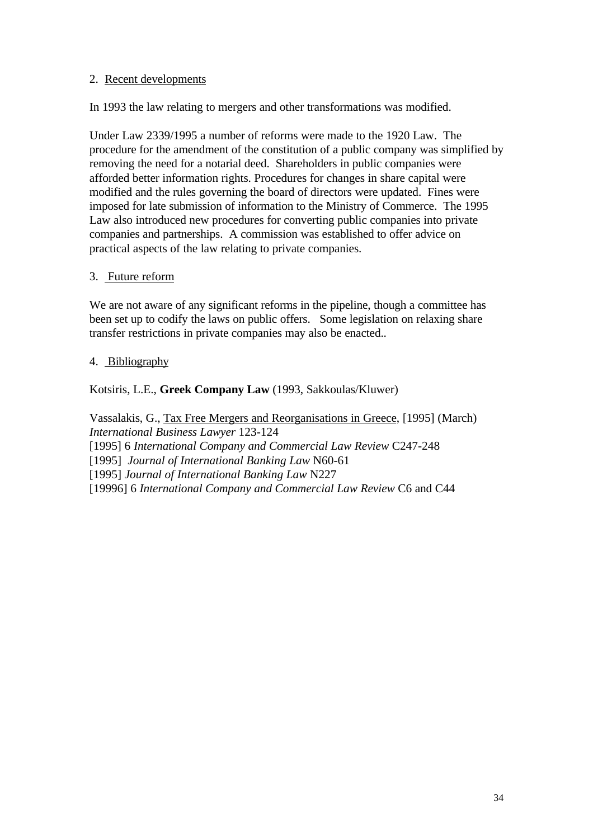### 2. Recent developments

In 1993 the law relating to mergers and other transformations was modified.

Under Law 2339/1995 a number of reforms were made to the 1920 Law. The procedure for the amendment of the constitution of a public company was simplified by removing the need for a notarial deed. Shareholders in public companies were afforded better information rights. Procedures for changes in share capital were modified and the rules governing the board of directors were updated. Fines were imposed for late submission of information to the Ministry of Commerce. The 1995 Law also introduced new procedures for converting public companies into private companies and partnerships. A commission was established to offer advice on practical aspects of the law relating to private companies.

### 3. Future reform

We are not aware of any significant reforms in the pipeline, though a committee has been set up to codify the laws on public offers. Some legislation on relaxing share transfer restrictions in private companies may also be enacted..

### 4. Bibliography

Kotsiris, L.E., **Greek Company Law** (1993, Sakkoulas/Kluwer)

Vassalakis, G., Tax Free Mergers and Reorganisations in Greece, [1995] (March) *International Business Lawyer* 123-124 [1995] 6 *International Company and Commercial Law Review* C247-248 [1995] *Journal of International Banking Law* N60-61 [1995] *Journal of International Banking Law* N227 [19996] 6 *International Company and Commercial Law Review* C6 and C44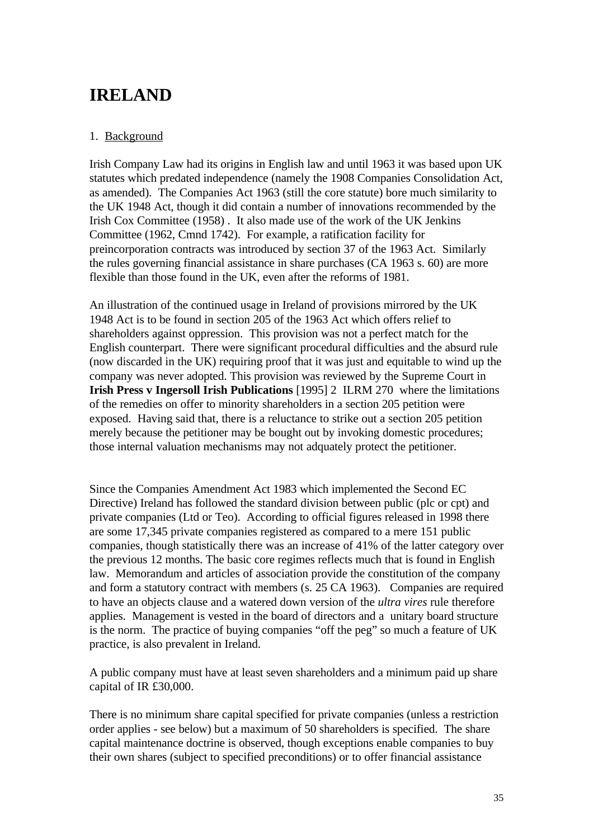# **IRELAND**

## 1. Background

Irish Company Law had its origins in English law and until 1963 it was based upon UK statutes which predated independence (namely the 1908 Companies Consolidation Act, as amended). The Companies Act 1963 (still the core statute) bore much similarity to the UK 1948 Act, though it did contain a number of innovations recommended by the Irish Cox Committee (1958) . It also made use of the work of the UK Jenkins Committee (1962, Cmnd 1742). For example, a ratification facility for preincorporation contracts was introduced by section 37 of the 1963 Act. Similarly the rules governing financial assistance in share purchases (CA 1963 s. 60) are more flexible than those found in the UK, even after the reforms of 1981.

An illustration of the continued usage in Ireland of provisions mirrored by the UK 1948 Act is to be found in section 205 of the 1963 Act which offers relief to shareholders against oppression. This provision was not a perfect match for the English counterpart. There were significant procedural difficulties and the absurd rule (now discarded in the UK) requiring proof that it was just and equitable to wind up the company was never adopted. This provision was reviewed by the Supreme Court in **Irish Press v Ingersoll Irish Publications** [1995] 2 ILRM 270 where the limitations of the remedies on offer to minority shareholders in a section 205 petition were exposed. Having said that, there is a reluctance to strike out a section 205 petition merely because the petitioner may be bought out by invoking domestic procedures; those internal valuation mechanisms may not adquately protect the petitioner.

Since the Companies Amendment Act 1983 which implemented the Second EC Directive) Ireland has followed the standard division between public (plc or cpt) and private companies (Ltd or Teo). According to official figures released in 1998 there are some 17,345 private companies registered as compared to a mere 151 public companies, though statistically there was an increase of 41% of the latter category over the previous 12 months. The basic core regimes reflects much that is found in English law. Memorandum and articles of association provide the constitution of the company and form a statutory contract with members (s. 25 CA 1963). Companies are required to have an objects clause and a watered down version of the *ultra vires* rule therefore applies. Management is vested in the board of directors and a unitary board structure is the norm. The practice of buying companies "off the peg" so much a feature of UK practice, is also prevalent in Ireland.

A public company must have at least seven shareholders and a minimum paid up share capital of IR £30,000.

There is no minimum share capital specified for private companies (unless a restriction order applies - see below) but a maximum of 50 shareholders is specified. The share capital maintenance doctrine is observed, though exceptions enable companies to buy their own shares (subject to specified preconditions) or to offer financial assistance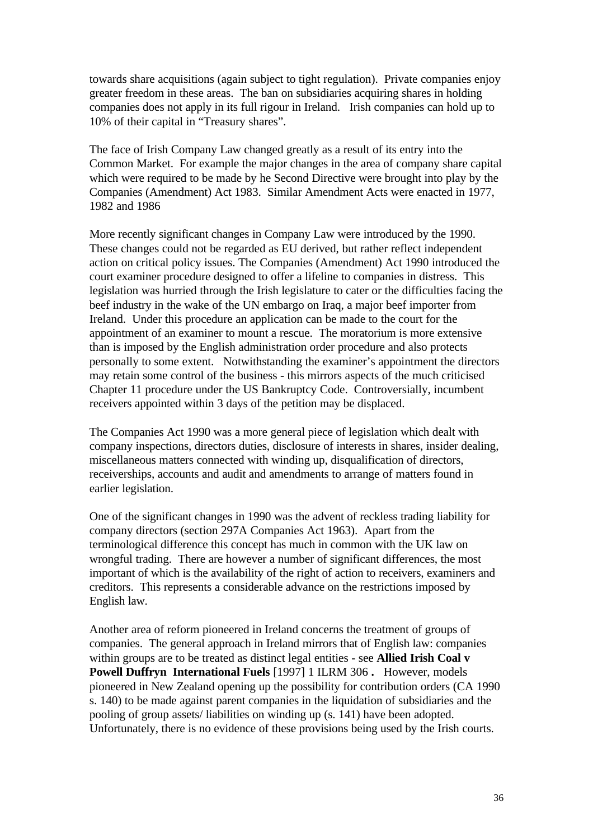towards share acquisitions (again subject to tight regulation). Private companies enjoy greater freedom in these areas. The ban on subsidiaries acquiring shares in holding companies does not apply in its full rigour in Ireland. Irish companies can hold up to 10% of their capital in "Treasury shares".

The face of Irish Company Law changed greatly as a result of its entry into the Common Market. For example the major changes in the area of company share capital which were required to be made by he Second Directive were brought into play by the Companies (Amendment) Act 1983. Similar Amendment Acts were enacted in 1977, 1982 and 1986

More recently significant changes in Company Law were introduced by the 1990. These changes could not be regarded as EU derived, but rather reflect independent action on critical policy issues. The Companies (Amendment) Act 1990 introduced the court examiner procedure designed to offer a lifeline to companies in distress. This legislation was hurried through the Irish legislature to cater or the difficulties facing the beef industry in the wake of the UN embargo on Iraq, a major beef importer from Ireland. Under this procedure an application can be made to the court for the appointment of an examiner to mount a rescue. The moratorium is more extensive than is imposed by the English administration order procedure and also protects personally to some extent. Notwithstanding the examiner's appointment the directors may retain some control of the business - this mirrors aspects of the much criticised Chapter 11 procedure under the US Bankruptcy Code. Controversially, incumbent receivers appointed within 3 days of the petition may be displaced.

The Companies Act 1990 was a more general piece of legislation which dealt with company inspections, directors duties, disclosure of interests in shares, insider dealing, miscellaneous matters connected with winding up, disqualification of directors, receiverships, accounts and audit and amendments to arrange of matters found in earlier legislation.

One of the significant changes in 1990 was the advent of reckless trading liability for company directors (section 297A Companies Act 1963). Apart from the terminological difference this concept has much in common with the UK law on wrongful trading. There are however a number of significant differences, the most important of which is the availability of the right of action to receivers, examiners and creditors. This represents a considerable advance on the restrictions imposed by English law.

Another area of reform pioneered in Ireland concerns the treatment of groups of companies. The general approach in Ireland mirrors that of English law: companies within groups are to be treated as distinct legal entities - see **Allied Irish Coal v Powell Duffryn International Fuels** [1997] 1 ILRM 306 **.** However, models pioneered in New Zealand opening up the possibility for contribution orders (CA 1990 s. 140) to be made against parent companies in the liquidation of subsidiaries and the pooling of group assets/ liabilities on winding up (s. 141) have been adopted. Unfortunately, there is no evidence of these provisions being used by the Irish courts.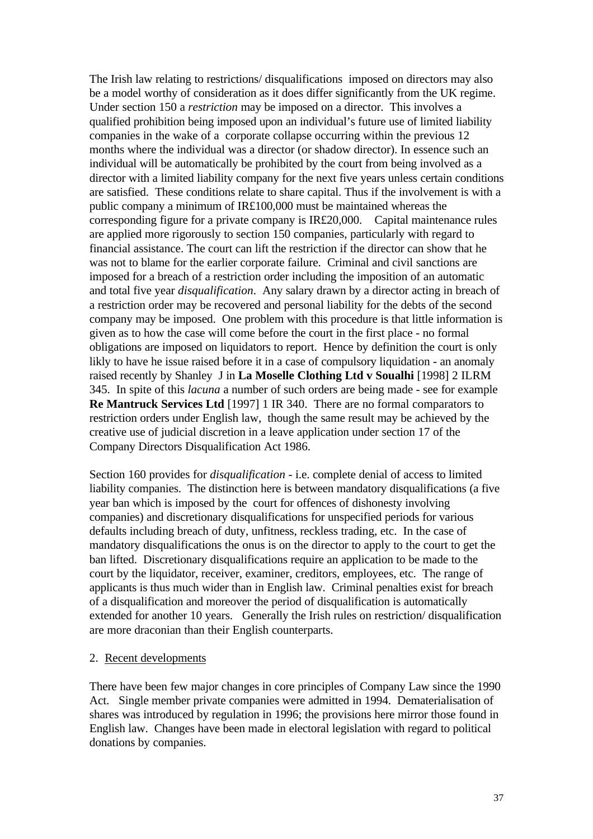The Irish law relating to restrictions/ disqualifications imposed on directors may also be a model worthy of consideration as it does differ significantly from the UK regime. Under section 150 a *restriction* may be imposed on a director. This involves a qualified prohibition being imposed upon an individual's future use of limited liability companies in the wake of a corporate collapse occurring within the previous 12 months where the individual was a director (or shadow director). In essence such an individual will be automatically be prohibited by the court from being involved as a director with a limited liability company for the next five years unless certain conditions are satisfied. These conditions relate to share capital. Thus if the involvement is with a public company a minimum of IR£100,000 must be maintained whereas the corresponding figure for a private company is IR£20,000. Capital maintenance rules are applied more rigorously to section 150 companies, particularly with regard to financial assistance. The court can lift the restriction if the director can show that he was not to blame for the earlier corporate failure. Criminal and civil sanctions are imposed for a breach of a restriction order including the imposition of an automatic and total five year *disqualification*. Any salary drawn by a director acting in breach of a restriction order may be recovered and personal liability for the debts of the second company may be imposed. One problem with this procedure is that little information is given as to how the case will come before the court in the first place - no formal obligations are imposed on liquidators to report. Hence by definition the court is only likly to have he issue raised before it in a case of compulsory liquidation - an anomaly raised recently by Shanley J in **La Moselle Clothing Ltd v Soualhi** [1998] 2 ILRM 345. In spite of this *lacuna* a number of such orders are being made - see for example **Re Mantruck Services Ltd** [1997] 1 IR 340. There are no formal comparators to restriction orders under English law, though the same result may be achieved by the creative use of judicial discretion in a leave application under section 17 of the Company Directors Disqualification Act 1986.

Section 160 provides for *disqualification* - i.e. complete denial of access to limited liability companies. The distinction here is between mandatory disqualifications (a five year ban which is imposed by the court for offences of dishonesty involving companies) and discretionary disqualifications for unspecified periods for various defaults including breach of duty, unfitness, reckless trading, etc. In the case of mandatory disqualifications the onus is on the director to apply to the court to get the ban lifted. Discretionary disqualifications require an application to be made to the court by the liquidator, receiver, examiner, creditors, employees, etc. The range of applicants is thus much wider than in English law. Criminal penalties exist for breach of a disqualification and moreover the period of disqualification is automatically extended for another 10 years. Generally the Irish rules on restriction/ disqualification are more draconian than their English counterparts.

### 2. Recent developments

There have been few major changes in core principles of Company Law since the 1990 Act. Single member private companies were admitted in 1994. Dematerialisation of shares was introduced by regulation in 1996; the provisions here mirror those found in English law. Changes have been made in electoral legislation with regard to political donations by companies.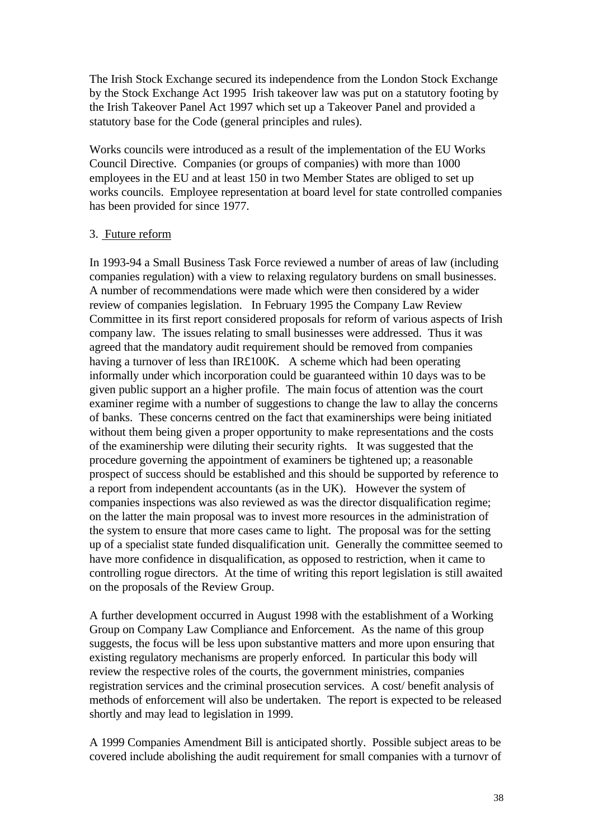The Irish Stock Exchange secured its independence from the London Stock Exchange by the Stock Exchange Act 1995 Irish takeover law was put on a statutory footing by the Irish Takeover Panel Act 1997 which set up a Takeover Panel and provided a statutory base for the Code (general principles and rules).

Works councils were introduced as a result of the implementation of the EU Works Council Directive. Companies (or groups of companies) with more than 1000 employees in the EU and at least 150 in two Member States are obliged to set up works councils. Employee representation at board level for state controlled companies has been provided for since 1977.

#### 3. Future reform

In 1993-94 a Small Business Task Force reviewed a number of areas of law (including companies regulation) with a view to relaxing regulatory burdens on small businesses. A number of recommendations were made which were then considered by a wider review of companies legislation. In February 1995 the Company Law Review Committee in its first report considered proposals for reform of various aspects of Irish company law. The issues relating to small businesses were addressed. Thus it was agreed that the mandatory audit requirement should be removed from companies having a turnover of less than IR£100K. A scheme which had been operating informally under which incorporation could be guaranteed within 10 days was to be given public support an a higher profile. The main focus of attention was the court examiner regime with a number of suggestions to change the law to allay the concerns of banks. These concerns centred on the fact that examinerships were being initiated without them being given a proper opportunity to make representations and the costs of the examinership were diluting their security rights. It was suggested that the procedure governing the appointment of examiners be tightened up; a reasonable prospect of success should be established and this should be supported by reference to a report from independent accountants (as in the UK). However the system of companies inspections was also reviewed as was the director disqualification regime; on the latter the main proposal was to invest more resources in the administration of the system to ensure that more cases came to light. The proposal was for the setting up of a specialist state funded disqualification unit. Generally the committee seemed to have more confidence in disqualification, as opposed to restriction, when it came to controlling rogue directors. At the time of writing this report legislation is still awaited on the proposals of the Review Group.

A further development occurred in August 1998 with the establishment of a Working Group on Company Law Compliance and Enforcement. As the name of this group suggests, the focus will be less upon substantive matters and more upon ensuring that existing regulatory mechanisms are properly enforced. In particular this body will review the respective roles of the courts, the government ministries, companies registration services and the criminal prosecution services. A cost/ benefit analysis of methods of enforcement will also be undertaken. The report is expected to be released shortly and may lead to legislation in 1999.

A 1999 Companies Amendment Bill is anticipated shortly. Possible subject areas to be covered include abolishing the audit requirement for small companies with a turnovr of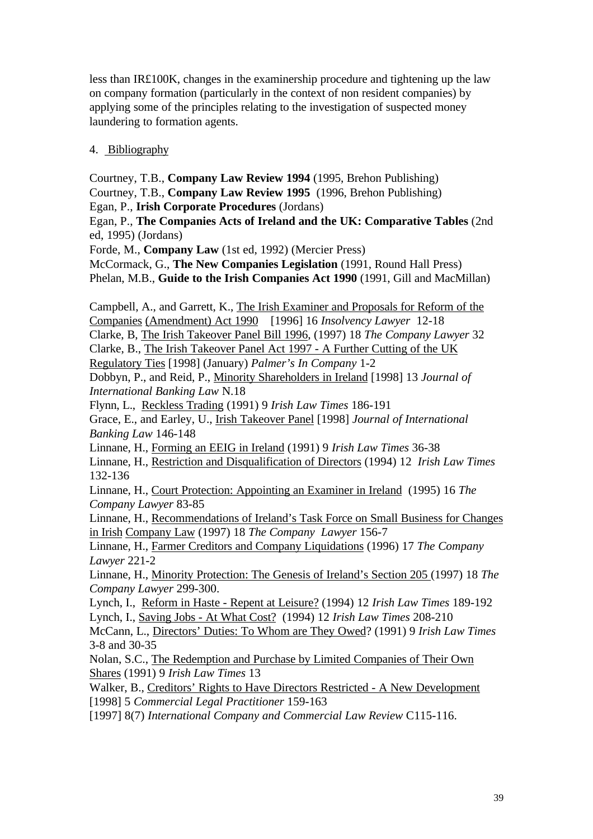less than IR£100K, changes in the examinership procedure and tightening up the law on company formation (particularly in the context of non resident companies) by applying some of the principles relating to the investigation of suspected money laundering to formation agents.

### 4. Bibliography

Courtney, T.B., **Company Law Review 1994** (1995, Brehon Publishing)

Courtney, T.B., **Company Law Review 1995** (1996, Brehon Publishing)

Egan, P., **Irish Corporate Procedures** (Jordans)

Egan, P., **The Companies Acts of Ireland and the UK: Comparative Tables** (2nd ed, 1995) (Jordans)

Forde, M., **Company Law** (1st ed, 1992) (Mercier Press)

McCormack, G., **The New Companies Legislation** (1991, Round Hall Press) Phelan, M.B., **Guide to the Irish Companies Act 1990** (1991, Gill and MacMillan)

Campbell, A., and Garrett, K., The Irish Examiner and Proposals for Reform of the Companies (Amendment) Act 1990 [1996] 16 *Insolvency Lawyer* 12-18 Clarke, B, The Irish Takeover Panel Bill 1996, (1997) 18 *The Company Lawyer* 32

Clarke, B., The Irish Takeover Panel Act 1997 - A Further Cutting of the UK

Regulatory Ties [1998] (January) *Palmer's In Company* 1-2

Dobbyn, P., and Reid, P., Minority Shareholders in Ireland [1998] 13 *Journal of International Banking Law* N.18

Flynn, L., Reckless Trading (1991) 9 *Irish Law Times* 186-191

Grace, E., and Earley, U., Irish Takeover Panel [1998] *Journal of International Banking Law* 146-148

Linnane, H., Forming an EEIG in Ireland (1991) 9 *Irish Law Times* 36-38 Linnane, H., Restriction and Disqualification of Directors (1994) 12 *Irish Law Times* 132-136

Linnane, H., Court Protection: Appointing an Examiner in Ireland (1995) 16 *The Company Lawyer* 83-85

Linnane, H., Recommendations of Ireland's Task Force on Small Business for Changes in Irish Company Law (1997) 18 *The Company Lawyer* 156-7

Linnane, H., Farmer Creditors and Company Liquidations (1996) 17 *The Company Lawyer* 221-2

Linnane, H., Minority Protection: The Genesis of Ireland's Section 205 (1997) 18 *The Company Lawyer* 299-300.

Lynch, I., Reform in Haste - Repent at Leisure? (1994) 12 *Irish Law Times* 189-192 Lynch, I., Saving Jobs - At What Cost? (1994) 12 *Irish Law Times* 208-210

McCann, L., Directors' Duties: To Whom are They Owed? (1991) 9 *Irish Law Times* 3-8 and 30-35

Nolan, S.C., The Redemption and Purchase by Limited Companies of Their Own Shares (1991) 9 *Irish Law Times* 13

Walker, B., Creditors' Rights to Have Directors Restricted - A New Development [1998] 5 *Commercial Legal Practitioner* 159-163

[1997] 8(7) *International Company and Commercial Law Review* C115-116.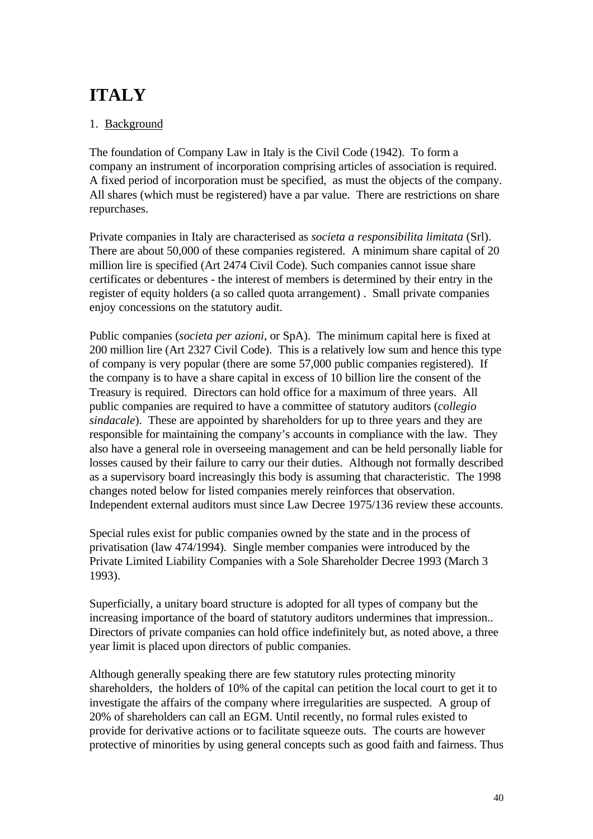# **ITALY**

# 1. Background

The foundation of Company Law in Italy is the Civil Code (1942). To form a company an instrument of incorporation comprising articles of association is required. A fixed period of incorporation must be specified, as must the objects of the company. All shares (which must be registered) have a par value. There are restrictions on share repurchases.

Private companies in Italy are characterised as *societa a responsibilita limitata* (Srl). There are about 50,000 of these companies registered. A minimum share capital of 20 million lire is specified (Art 2474 Civil Code). Such companies cannot issue share certificates or debentures - the interest of members is determined by their entry in the register of equity holders (a so called quota arrangement) . Small private companies enjoy concessions on the statutory audit.

Public companies (*societa per azioni*, or SpA). The minimum capital here is fixed at 200 million lire (Art 2327 Civil Code). This is a relatively low sum and hence this type of company is very popular (there are some 57,000 public companies registered). If the company is to have a share capital in excess of 10 billion lire the consent of the Treasury is required. Directors can hold office for a maximum of three years. All public companies are required to have a committee of statutory auditors (*collegio sindacale*). These are appointed by shareholders for up to three years and they are responsible for maintaining the company's accounts in compliance with the law. They also have a general role in overseeing management and can be held personally liable for losses caused by their failure to carry our their duties. Although not formally described as a supervisory board increasingly this body is assuming that characteristic. The 1998 changes noted below for listed companies merely reinforces that observation. Independent external auditors must since Law Decree 1975/136 review these accounts.

Special rules exist for public companies owned by the state and in the process of privatisation (law 474/1994). Single member companies were introduced by the Private Limited Liability Companies with a Sole Shareholder Decree 1993 (March 3 1993).

Superficially, a unitary board structure is adopted for all types of company but the increasing importance of the board of statutory auditors undermines that impression.. Directors of private companies can hold office indefinitely but, as noted above, a three year limit is placed upon directors of public companies.

Although generally speaking there are few statutory rules protecting minority shareholders, the holders of 10% of the capital can petition the local court to get it to investigate the affairs of the company where irregularities are suspected. A group of 20% of shareholders can call an EGM. Until recently, no formal rules existed to provide for derivative actions or to facilitate squeeze outs. The courts are however protective of minorities by using general concepts such as good faith and fairness. Thus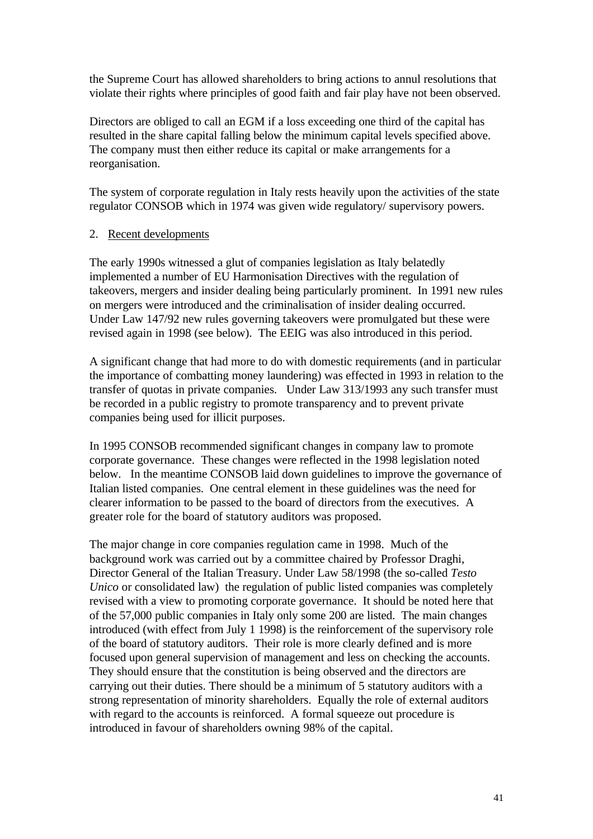the Supreme Court has allowed shareholders to bring actions to annul resolutions that violate their rights where principles of good faith and fair play have not been observed.

Directors are obliged to call an EGM if a loss exceeding one third of the capital has resulted in the share capital falling below the minimum capital levels specified above. The company must then either reduce its capital or make arrangements for a reorganisation.

The system of corporate regulation in Italy rests heavily upon the activities of the state regulator CONSOB which in 1974 was given wide regulatory/ supervisory powers.

### 2. Recent developments

The early 1990s witnessed a glut of companies legislation as Italy belatedly implemented a number of EU Harmonisation Directives with the regulation of takeovers, mergers and insider dealing being particularly prominent. In 1991 new rules on mergers were introduced and the criminalisation of insider dealing occurred. Under Law 147/92 new rules governing takeovers were promulgated but these were revised again in 1998 (see below). The EEIG was also introduced in this period.

A significant change that had more to do with domestic requirements (and in particular the importance of combatting money laundering) was effected in 1993 in relation to the transfer of quotas in private companies. Under Law 313/1993 any such transfer must be recorded in a public registry to promote transparency and to prevent private companies being used for illicit purposes.

In 1995 CONSOB recommended significant changes in company law to promote corporate governance. These changes were reflected in the 1998 legislation noted below. In the meantime CONSOB laid down guidelines to improve the governance of Italian listed companies. One central element in these guidelines was the need for clearer information to be passed to the board of directors from the executives. A greater role for the board of statutory auditors was proposed.

The major change in core companies regulation came in 1998. Much of the background work was carried out by a committee chaired by Professor Draghi, Director General of the Italian Treasury. Under Law 58/1998 (the so-called *Testo Unico* or consolidated law) the regulation of public listed companies was completely revised with a view to promoting corporate governance. It should be noted here that of the 57,000 public companies in Italy only some 200 are listed. The main changes introduced (with effect from July 1 1998) is the reinforcement of the supervisory role of the board of statutory auditors. Their role is more clearly defined and is more focused upon general supervision of management and less on checking the accounts. They should ensure that the constitution is being observed and the directors are carrying out their duties. There should be a minimum of 5 statutory auditors with a strong representation of minority shareholders. Equally the role of external auditors with regard to the accounts is reinforced. A formal squeeze out procedure is introduced in favour of shareholders owning 98% of the capital.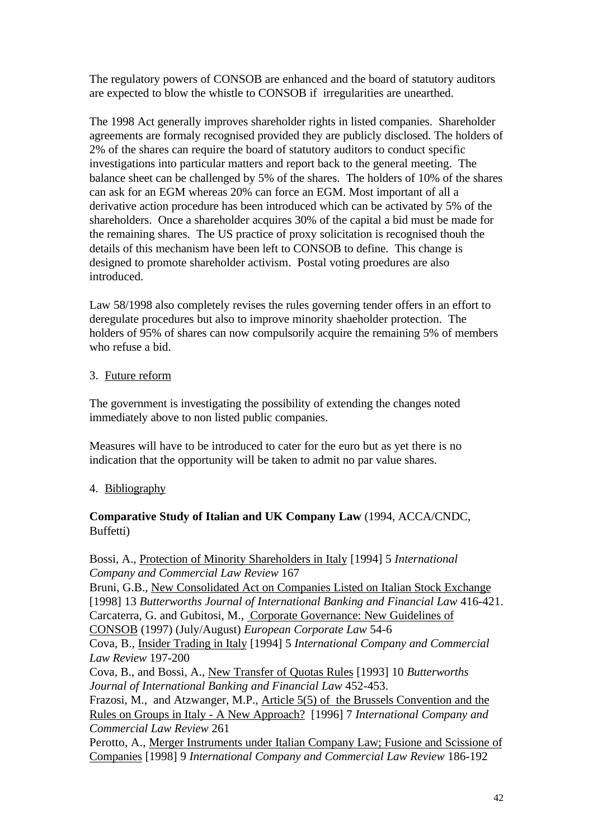The regulatory powers of CONSOB are enhanced and the board of statutory auditors are expected to blow the whistle to CONSOB if irregularities are unearthed.

The 1998 Act generally improves shareholder rights in listed companies. Shareholder agreements are formaly recognised provided they are publicly disclosed. The holders of 2% of the shares can require the board of statutory auditors to conduct specific investigations into particular matters and report back to the general meeting. The balance sheet can be challenged by 5% of the shares. The holders of 10% of the shares can ask for an EGM whereas 20% can force an EGM. Most important of all a derivative action procedure has been introduced which can be activated by 5% of the shareholders. Once a shareholder acquires 30% of the capital a bid must be made for the remaining shares. The US practice of proxy solicitation is recognised thouh the details of this mechanism have been left to CONSOB to define. This change is designed to promote shareholder activism. Postal voting proedures are also introduced.

Law 58/1998 also completely revises the rules governing tender offers in an effort to deregulate procedures but also to improve minority shaeholder protection. The holders of 95% of shares can now compulsorily acquire the remaining 5% of members who refuse a bid.

### 3. Future reform

The government is investigating the possibility of extending the changes noted immediately above to non listed public companies.

Measures will have to be introduced to cater for the euro but as yet there is no indication that the opportunity will be taken to admit no par value shares.

# 4. Bibliography

### **Comparative Study of Italian and UK Company Law** (1994, ACCA/CNDC, Buffetti)

Bossi, A., Protection of Minority Shareholders in Italy [1994] 5 *International Company and Commercial Law Review* 167 Bruni, G.B., New Consolidated Act on Companies Listed on Italian Stock Exchange [1998] 13 *Butterworths Journal of International Banking and Financial Law* 416-421. Carcaterra, G. and Gubitosi, M., Corporate Governance: New Guidelines of CONSOB (1997) (July/August) *European Corporate Law* 54-6 Cova, B., Insider Trading in Italy [1994] 5 *International Company and Commercial Law Review* 197-200 Cova, B., and Bossi, A., New Transfer of Quotas Rules [1993] 10 *Butterworths Journal of International Banking and Financial Law* 452-453. Frazosi, M., and Atzwanger, M.P., Article 5(5) of the Brussels Convention and the Rules on Groups in Italy - A New Approach? [1996] 7 *International Company and Commercial Law Review* 261 Perotto, A., Merger Instruments under Italian Company Law; Fusione and Scissione of Companies [1998] 9 *International Company and Commercial Law Review* 186-192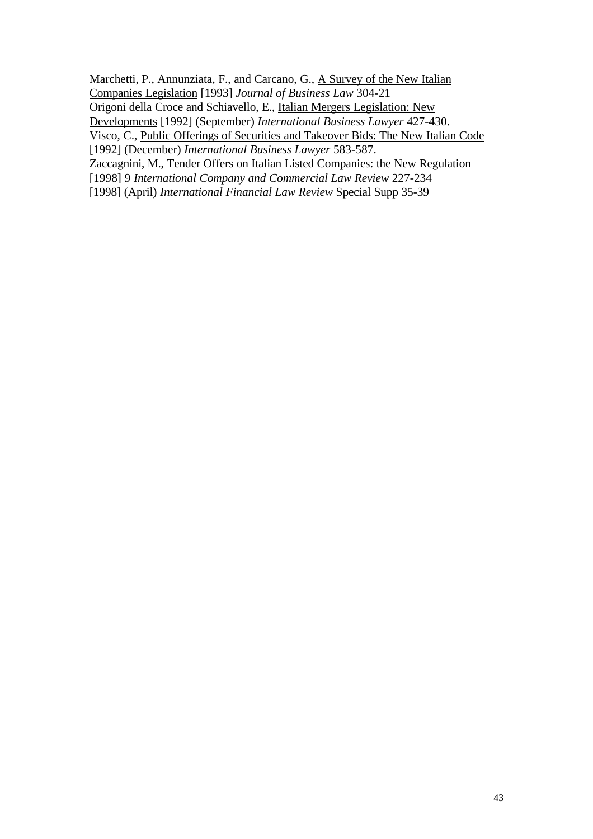Marchetti, P., Annunziata, F., and Carcano, G., A Survey of the New Italian

Companies Legislation [1993] *Journal of Business Law* 304-21

Origoni della Croce and Schiavello, E., Italian Mergers Legislation: New

Developments [1992] (September) *International Business Lawyer* 427-430.

Visco, C., Public Offerings of Securities and Takeover Bids: The New Italian Code [1992] (December) *International Business Lawyer* 583-587.

Zaccagnini, M., Tender Offers on Italian Listed Companies: the New Regulation

[1998] 9 *International Company and Commercial Law Review* 227-234

[1998] (April) *International Financial Law Review* Special Supp 35-39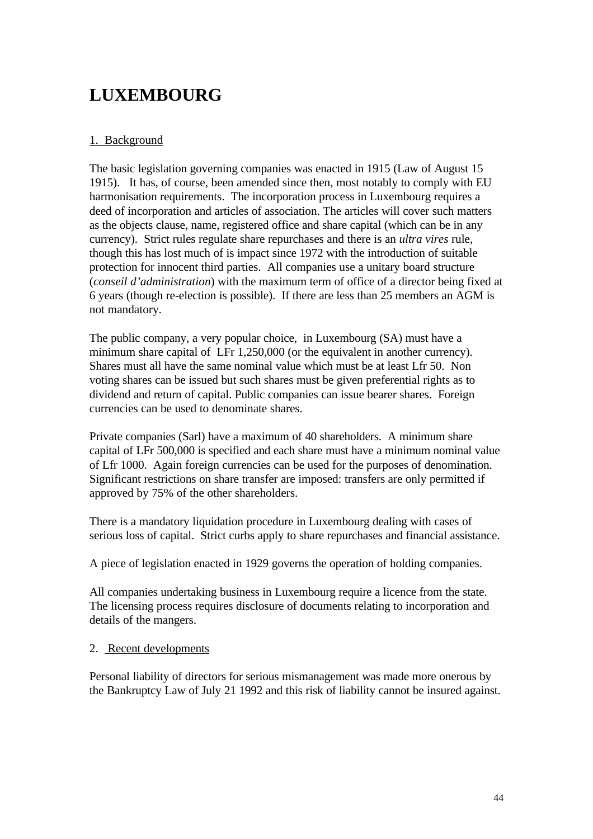# **LUXEMBOURG**

# 1. Background

The basic legislation governing companies was enacted in 1915 (Law of August 15 1915). It has, of course, been amended since then, most notably to comply with EU harmonisation requirements. The incorporation process in Luxembourg requires a deed of incorporation and articles of association. The articles will cover such matters as the objects clause, name, registered office and share capital (which can be in any currency). Strict rules regulate share repurchases and there is an *ultra vires* rule, though this has lost much of is impact since 1972 with the introduction of suitable protection for innocent third parties. All companies use a unitary board structure (*conseil d'administration*) with the maximum term of office of a director being fixed at 6 years (though re-election is possible). If there are less than 25 members an AGM is not mandatory.

The public company, a very popular choice, in Luxembourg (SA) must have a minimum share capital of LFr 1,250,000 (or the equivalent in another currency). Shares must all have the same nominal value which must be at least Lfr 50. Non voting shares can be issued but such shares must be given preferential rights as to dividend and return of capital. Public companies can issue bearer shares. Foreign currencies can be used to denominate shares.

Private companies (Sarl) have a maximum of 40 shareholders. A minimum share capital of LFr 500,000 is specified and each share must have a minimum nominal value of Lfr 1000. Again foreign currencies can be used for the purposes of denomination. Significant restrictions on share transfer are imposed: transfers are only permitted if approved by 75% of the other shareholders.

There is a mandatory liquidation procedure in Luxembourg dealing with cases of serious loss of capital. Strict curbs apply to share repurchases and financial assistance.

A piece of legislation enacted in 1929 governs the operation of holding companies.

All companies undertaking business in Luxembourg require a licence from the state. The licensing process requires disclosure of documents relating to incorporation and details of the mangers.

### 2. Recent developments

Personal liability of directors for serious mismanagement was made more onerous by the Bankruptcy Law of July 21 1992 and this risk of liability cannot be insured against.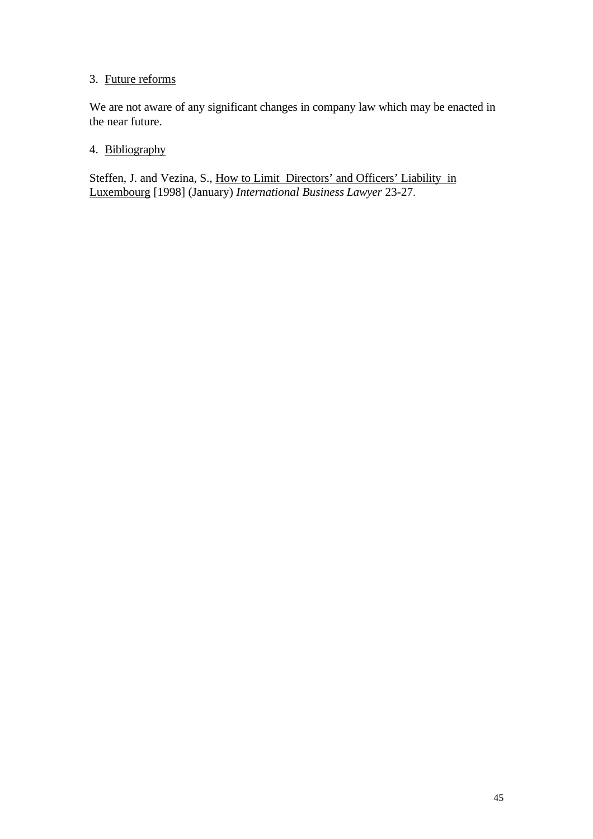# 3. Future reforms

We are not aware of any significant changes in company law which may be enacted in the near future.

## 4. Bibliography

Steffen, J. and Vezina, S., How to Limit Directors' and Officers' Liability in Luxembourg [1998] (January) *International Business Lawyer* 23-27.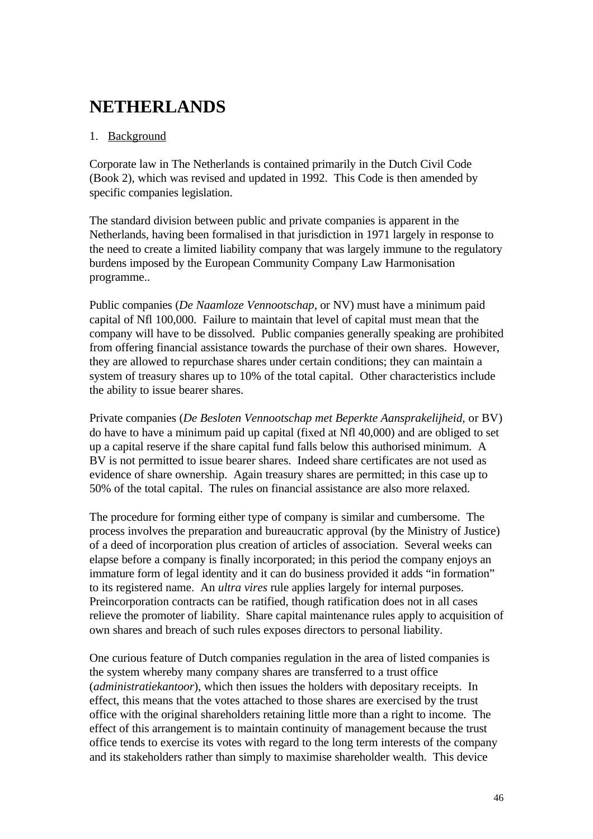# **NETHERLANDS**

# 1. Background

Corporate law in The Netherlands is contained primarily in the Dutch Civil Code (Book 2), which was revised and updated in 1992. This Code is then amended by specific companies legislation.

The standard division between public and private companies is apparent in the Netherlands, having been formalised in that jurisdiction in 1971 largely in response to the need to create a limited liability company that was largely immune to the regulatory burdens imposed by the European Community Company Law Harmonisation programme..

Public companies (*De Naamloze Vennootschap*, or NV) must have a minimum paid capital of Nfl 100,000. Failure to maintain that level of capital must mean that the company will have to be dissolved. Public companies generally speaking are prohibited from offering financial assistance towards the purchase of their own shares. However, they are allowed to repurchase shares under certain conditions; they can maintain a system of treasury shares up to 10% of the total capital. Other characteristics include the ability to issue bearer shares.

Private companies (*De Besloten Vennootschap met Beperkte Aansprakelijheid*, or BV) do have to have a minimum paid up capital (fixed at Nfl 40,000) and are obliged to set up a capital reserve if the share capital fund falls below this authorised minimum. A BV is not permitted to issue bearer shares. Indeed share certificates are not used as evidence of share ownership. Again treasury shares are permitted; in this case up to 50% of the total capital. The rules on financial assistance are also more relaxed.

The procedure for forming either type of company is similar and cumbersome. The process involves the preparation and bureaucratic approval (by the Ministry of Justice) of a deed of incorporation plus creation of articles of association. Several weeks can elapse before a company is finally incorporated; in this period the company enjoys an immature form of legal identity and it can do business provided it adds "in formation" to its registered name. An *ultra vires* rule applies largely for internal purposes. Preincorporation contracts can be ratified, though ratification does not in all cases relieve the promoter of liability. Share capital maintenance rules apply to acquisition of own shares and breach of such rules exposes directors to personal liability.

One curious feature of Dutch companies regulation in the area of listed companies is the system whereby many company shares are transferred to a trust office (*administratiekantoor*), which then issues the holders with depositary receipts. In effect, this means that the votes attached to those shares are exercised by the trust office with the original shareholders retaining little more than a right to income. The effect of this arrangement is to maintain continuity of management because the trust office tends to exercise its votes with regard to the long term interests of the company and its stakeholders rather than simply to maximise shareholder wealth. This device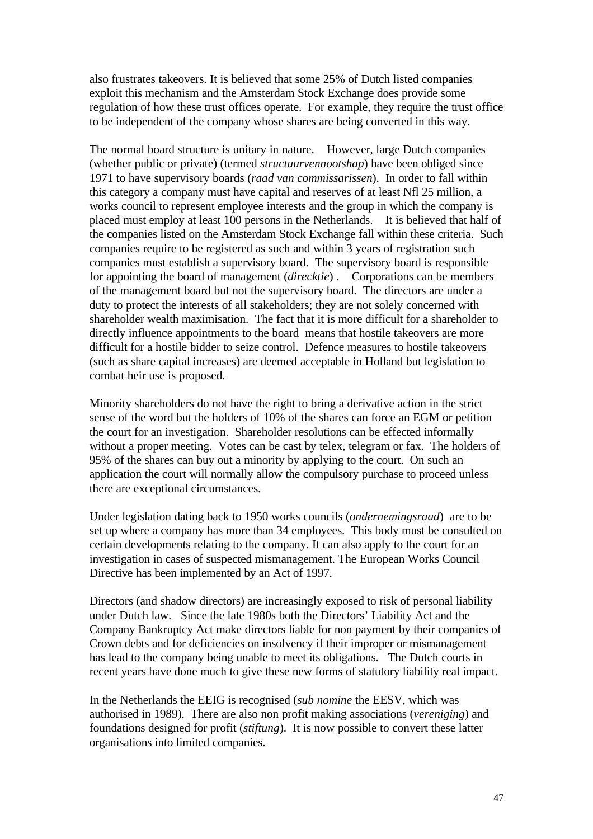also frustrates takeovers. It is believed that some 25% of Dutch listed companies exploit this mechanism and the Amsterdam Stock Exchange does provide some regulation of how these trust offices operate. For example, they require the trust office to be independent of the company whose shares are being converted in this way.

The normal board structure is unitary in nature. However, large Dutch companies (whether public or private) (termed *structuurvennootshap*) have been obliged since 1971 to have supervisory boards (*raad van commissarissen*). In order to fall within this category a company must have capital and reserves of at least Nfl 25 million, a works council to represent employee interests and the group in which the company is placed must employ at least 100 persons in the Netherlands. It is believed that half of the companies listed on the Amsterdam Stock Exchange fall within these criteria. Such companies require to be registered as such and within 3 years of registration such companies must establish a supervisory board. The supervisory board is responsible for appointing the board of management (*direcktie*) . Corporations can be members of the management board but not the supervisory board. The directors are under a duty to protect the interests of all stakeholders; they are not solely concerned with shareholder wealth maximisation. The fact that it is more difficult for a shareholder to directly influence appointments to the board means that hostile takeovers are more difficult for a hostile bidder to seize control. Defence measures to hostile takeovers (such as share capital increases) are deemed acceptable in Holland but legislation to combat heir use is proposed.

Minority shareholders do not have the right to bring a derivative action in the strict sense of the word but the holders of 10% of the shares can force an EGM or petition the court for an investigation. Shareholder resolutions can be effected informally without a proper meeting. Votes can be cast by telex, telegram or fax. The holders of 95% of the shares can buy out a minority by applying to the court. On such an application the court will normally allow the compulsory purchase to proceed unless there are exceptional circumstances.

Under legislation dating back to 1950 works councils (*ondernemingsraad*) are to be set up where a company has more than 34 employees. This body must be consulted on certain developments relating to the company. It can also apply to the court for an investigation in cases of suspected mismanagement. The European Works Council Directive has been implemented by an Act of 1997.

Directors (and shadow directors) are increasingly exposed to risk of personal liability under Dutch law. Since the late 1980s both the Directors' Liability Act and the Company Bankruptcy Act make directors liable for non payment by their companies of Crown debts and for deficiencies on insolvency if their improper or mismanagement has lead to the company being unable to meet its obligations. The Dutch courts in recent years have done much to give these new forms of statutory liability real impact.

In the Netherlands the EEIG is recognised (*sub nomine* the EESV, which was authorised in 1989). There are also non profit making associations (*vereniging*) and foundations designed for profit (*stiftung*). It is now possible to convert these latter organisations into limited companies.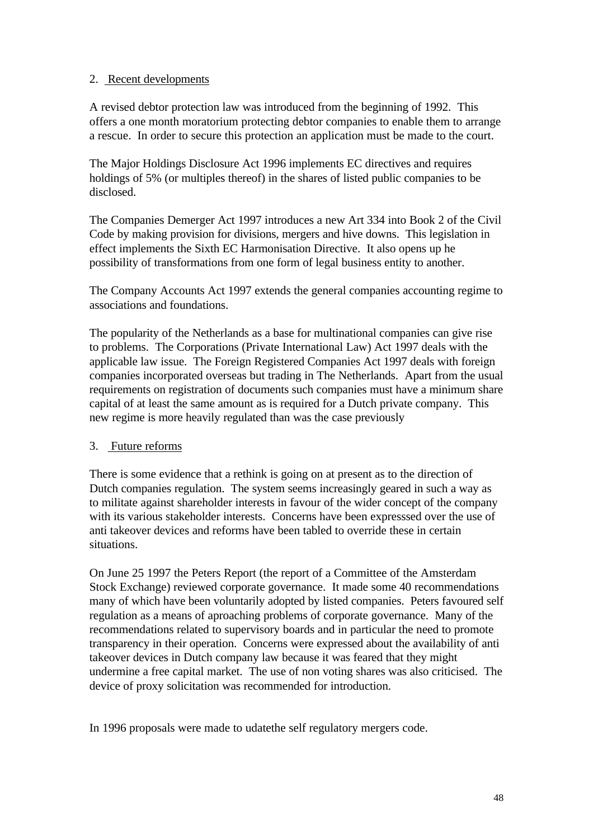### 2. Recent developments

A revised debtor protection law was introduced from the beginning of 1992. This offers a one month moratorium protecting debtor companies to enable them to arrange a rescue. In order to secure this protection an application must be made to the court.

The Major Holdings Disclosure Act 1996 implements EC directives and requires holdings of 5% (or multiples thereof) in the shares of listed public companies to be disclosed.

The Companies Demerger Act 1997 introduces a new Art 334 into Book 2 of the Civil Code by making provision for divisions, mergers and hive downs. This legislation in effect implements the Sixth EC Harmonisation Directive. It also opens up he possibility of transformations from one form of legal business entity to another.

The Company Accounts Act 1997 extends the general companies accounting regime to associations and foundations.

The popularity of the Netherlands as a base for multinational companies can give rise to problems. The Corporations (Private International Law) Act 1997 deals with the applicable law issue. The Foreign Registered Companies Act 1997 deals with foreign companies incorporated overseas but trading in The Netherlands. Apart from the usual requirements on registration of documents such companies must have a minimum share capital of at least the same amount as is required for a Dutch private company. This new regime is more heavily regulated than was the case previously

### 3. Future reforms

There is some evidence that a rethink is going on at present as to the direction of Dutch companies regulation. The system seems increasingly geared in such a way as to militate against shareholder interests in favour of the wider concept of the company with its various stakeholder interests. Concerns have been expresssed over the use of anti takeover devices and reforms have been tabled to override these in certain situations.

On June 25 1997 the Peters Report (the report of a Committee of the Amsterdam Stock Exchange) reviewed corporate governance. It made some 40 recommendations many of which have been voluntarily adopted by listed companies. Peters favoured self regulation as a means of aproaching problems of corporate governance. Many of the recommendations related to supervisory boards and in particular the need to promote transparency in their operation. Concerns were expressed about the availability of anti takeover devices in Dutch company law because it was feared that they might undermine a free capital market. The use of non voting shares was also criticised. The device of proxy solicitation was recommended for introduction.

In 1996 proposals were made to udatethe self regulatory mergers code.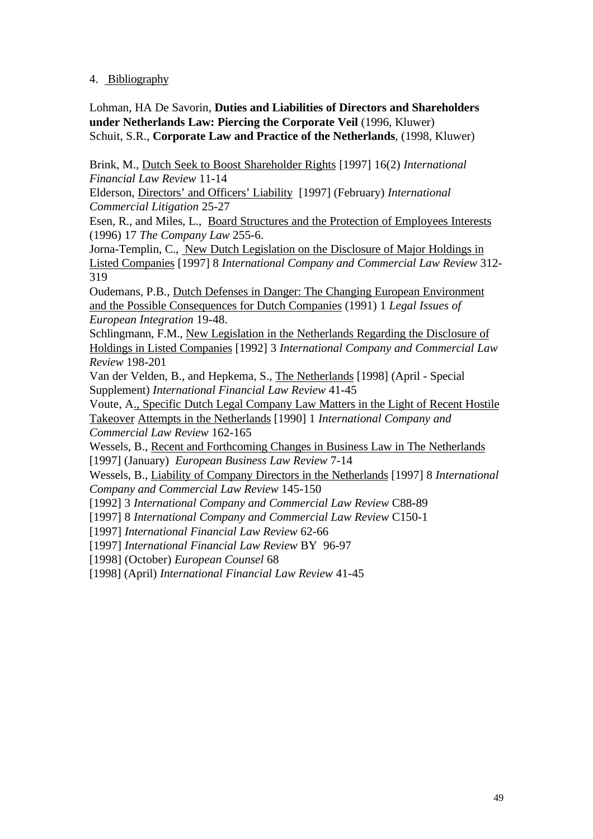### 4. Bibliography

Lohman, HA De Savorin, **Duties and Liabilities of Directors and Shareholders under Netherlands Law: Piercing the Corporate Veil** (1996, Kluwer) Schuit, S.R., **Corporate Law and Practice of the Netherlands**, (1998, Kluwer)

Brink, M., Dutch Seek to Boost Shareholder Rights [1997] 16(2) *International Financial Law Review* 11-14

Elderson, Directors' and Officers' Liability [1997] (February) *International Commercial Litigation* 25-27

Esen, R., and Miles, L., Board Structures and the Protection of Employees Interests (1996) 17 *The Company Law* 255-6.

Jorna-Templin, C., New Dutch Legislation on the Disclosure of Major Holdings in Listed Companies [1997] 8 *International Company and Commercial Law Review* 312- 319

Oudemans, P.B., Dutch Defenses in Danger: The Changing European Environment and the Possible Consequences for Dutch Companies (1991) 1 *Legal Issues of European Integration* 19-48.

Schlingmann, F.M., New Legislation in the Netherlands Regarding the Disclosure of Holdings in Listed Companies [1992] 3 *International Company and Commercial Law Review* 198-201

Van der Velden, B., and Hepkema, S., The Netherlands [1998] (April - Special Supplement) *International Financial Law Review* 41-45

Voute, A., Specific Dutch Legal Company Law Matters in the Light of Recent Hostile Takeover Attempts in the Netherlands [1990] 1 *International Company and Commercial Law Review* 162-165

Wessels, B., Recent and Forthcoming Changes in Business Law in The Netherlands [1997] (January) *European Business Law Review* 7-14

Wessels, B., Liability of Company Directors in the Netherlands [1997] 8 *International Company and Commercial Law Review* 145-150

[1992] 3 *International Company and Commercial Law Review* C88-89

[1997] 8 *International Company and Commercial Law Review* C150-1

[1997] *International Financial Law Review* 62-66

[1997] *International Financial Law Review* BY 96-97

[1998] (October) *European Counsel* 68

[1998] (April) *International Financial Law Review* 41-45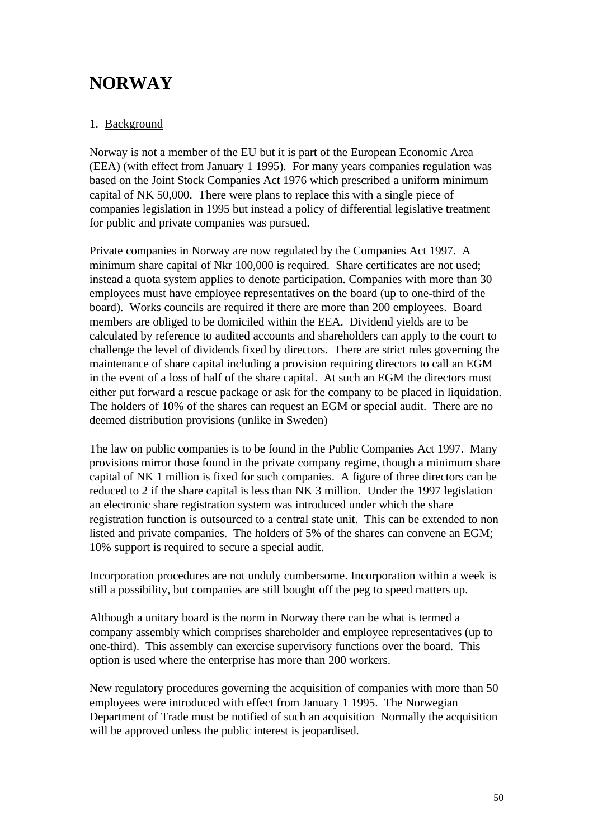# **NORWAY**

# 1. Background

Norway is not a member of the EU but it is part of the European Economic Area (EEA) (with effect from January 1 1995). For many years companies regulation was based on the Joint Stock Companies Act 1976 which prescribed a uniform minimum capital of NK 50,000. There were plans to replace this with a single piece of companies legislation in 1995 but instead a policy of differential legislative treatment for public and private companies was pursued.

Private companies in Norway are now regulated by the Companies Act 1997. A minimum share capital of Nkr 100,000 is required. Share certificates are not used; instead a quota system applies to denote participation. Companies with more than 30 employees must have employee representatives on the board (up to one-third of the board). Works councils are required if there are more than 200 employees. Board members are obliged to be domiciled within the EEA. Dividend yields are to be calculated by reference to audited accounts and shareholders can apply to the court to challenge the level of dividends fixed by directors. There are strict rules governing the maintenance of share capital including a provision requiring directors to call an EGM in the event of a loss of half of the share capital. At such an EGM the directors must either put forward a rescue package or ask for the company to be placed in liquidation. The holders of 10% of the shares can request an EGM or special audit. There are no deemed distribution provisions (unlike in Sweden)

The law on public companies is to be found in the Public Companies Act 1997. Many provisions mirror those found in the private company regime, though a minimum share capital of NK 1 million is fixed for such companies. A figure of three directors can be reduced to 2 if the share capital is less than NK 3 million. Under the 1997 legislation an electronic share registration system was introduced under which the share registration function is outsourced to a central state unit. This can be extended to non listed and private companies. The holders of 5% of the shares can convene an EGM; 10% support is required to secure a special audit.

Incorporation procedures are not unduly cumbersome. Incorporation within a week is still a possibility, but companies are still bought off the peg to speed matters up.

Although a unitary board is the norm in Norway there can be what is termed a company assembly which comprises shareholder and employee representatives (up to one-third). This assembly can exercise supervisory functions over the board. This option is used where the enterprise has more than 200 workers.

New regulatory procedures governing the acquisition of companies with more than 50 employees were introduced with effect from January 1 1995. The Norwegian Department of Trade must be notified of such an acquisition Normally the acquisition will be approved unless the public interest is jeopardised.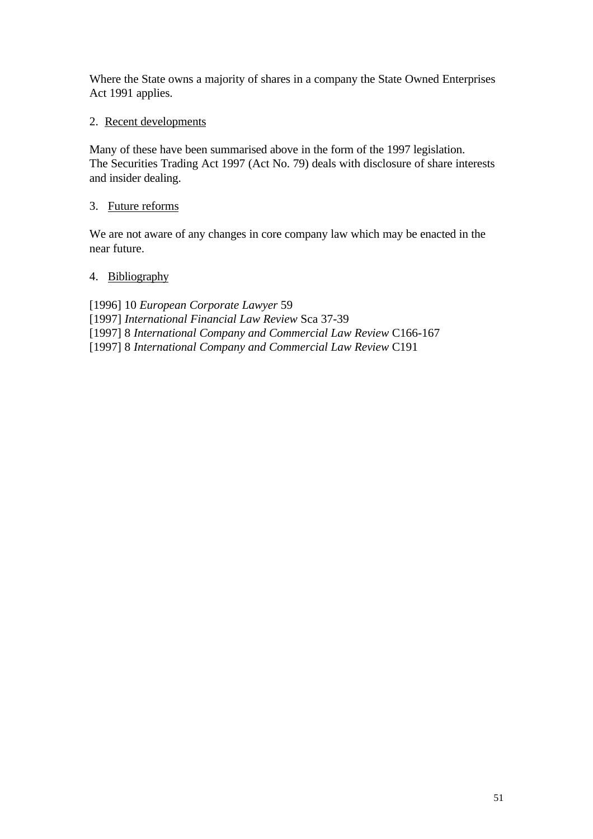Where the State owns a majority of shares in a company the State Owned Enterprises Act 1991 applies.

# 2. Recent developments

Many of these have been summarised above in the form of the 1997 legislation. The Securities Trading Act 1997 (Act No. 79) deals with disclosure of share interests and insider dealing.

### 3. Future reforms

We are not aware of any changes in core company law which may be enacted in the near future.

### 4. Bibliography

[1996] 10 *European Corporate Lawyer* 59 [1997] *International Financial Law Review* Sca 37-39 [1997] 8 *International Company and Commercial Law Review* C166-167 [1997] 8 *International Company and Commercial Law Review* C191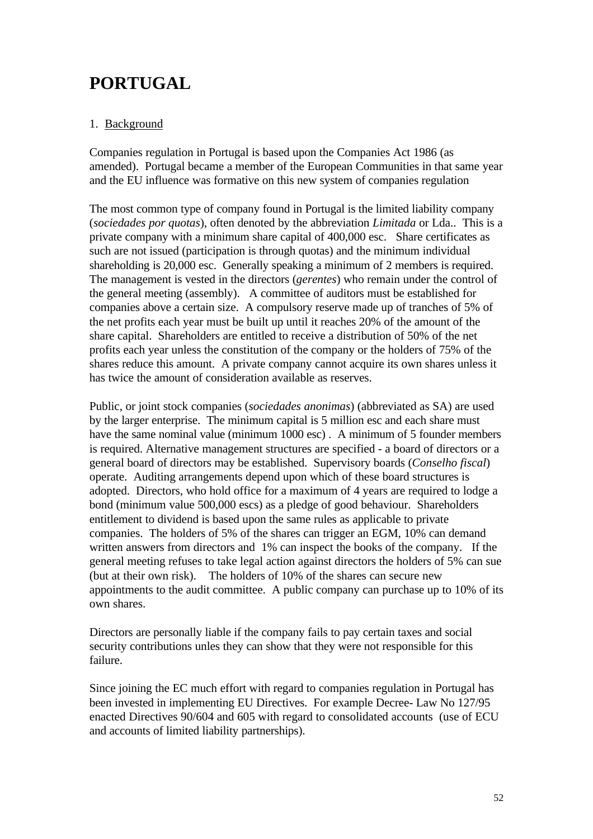# **PORTUGAL**

# 1. Background

Companies regulation in Portugal is based upon the Companies Act 1986 (as amended). Portugal became a member of the European Communities in that same year and the EU influence was formative on this new system of companies regulation

The most common type of company found in Portugal is the limited liability company (*sociedades por quotas*), often denoted by the abbreviation *Limitada* or Lda.. This is a private company with a minimum share capital of 400,000 esc. Share certificates as such are not issued (participation is through quotas) and the minimum individual shareholding is 20,000 esc. Generally speaking a minimum of 2 members is required. The management is vested in the directors (*gerentes*) who remain under the control of the general meeting (assembly). A committee of auditors must be established for companies above a certain size. A compulsory reserve made up of tranches of 5% of the net profits each year must be built up until it reaches 20% of the amount of the share capital. Shareholders are entitled to receive a distribution of 50% of the net profits each year unless the constitution of the company or the holders of 75% of the shares reduce this amount. A private company cannot acquire its own shares unless it has twice the amount of consideration available as reserves.

Public, or joint stock companies (*sociedades anonimas*) (abbreviated as SA) are used by the larger enterprise. The minimum capital is 5 million esc and each share must have the same nominal value (minimum 1000 esc). A minimum of 5 founder members is required. Alternative management structures are specified - a board of directors or a general board of directors may be established. Supervisory boards (*Conselho fiscal*) operate. Auditing arrangements depend upon which of these board structures is adopted. Directors, who hold office for a maximum of 4 years are required to lodge a bond (minimum value 500,000 escs) as a pledge of good behaviour. Shareholders entitlement to dividend is based upon the same rules as applicable to private companies. The holders of 5% of the shares can trigger an EGM, 10% can demand written answers from directors and 1% can inspect the books of the company. If the general meeting refuses to take legal action against directors the holders of 5% can sue (but at their own risk). The holders of 10% of the shares can secure new appointments to the audit committee. A public company can purchase up to 10% of its own shares.

Directors are personally liable if the company fails to pay certain taxes and social security contributions unles they can show that they were not responsible for this failure.

Since joining the EC much effort with regard to companies regulation in Portugal has been invested in implementing EU Directives. For example Decree- Law No 127/95 enacted Directives 90/604 and 605 with regard to consolidated accounts (use of ECU and accounts of limited liability partnerships).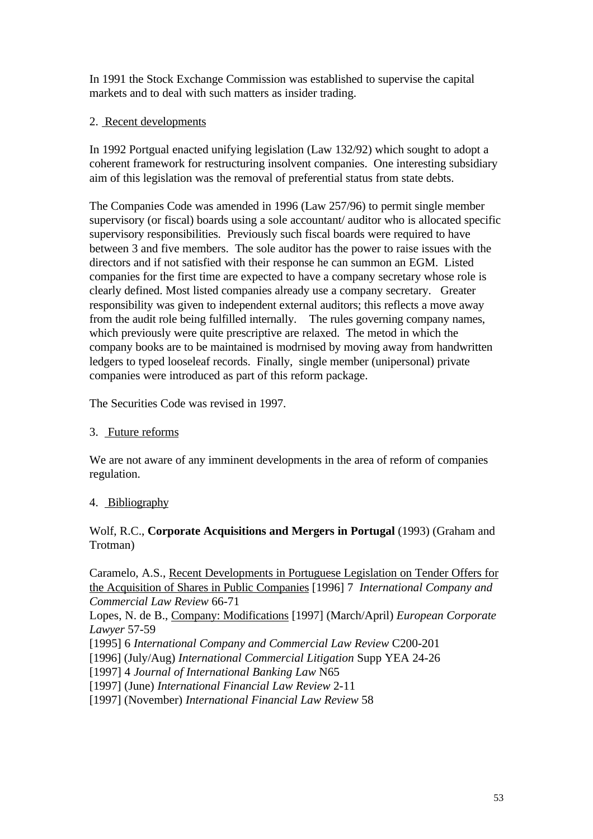In 1991 the Stock Exchange Commission was established to supervise the capital markets and to deal with such matters as insider trading.

## 2. Recent developments

In 1992 Portgual enacted unifying legislation (Law 132/92) which sought to adopt a coherent framework for restructuring insolvent companies. One interesting subsidiary aim of this legislation was the removal of preferential status from state debts.

The Companies Code was amended in 1996 (Law 257/96) to permit single member supervisory (or fiscal) boards using a sole accountant/ auditor who is allocated specific supervisory responsibilities. Previously such fiscal boards were required to have between 3 and five members. The sole auditor has the power to raise issues with the directors and if not satisfied with their response he can summon an EGM. Listed companies for the first time are expected to have a company secretary whose role is clearly defined. Most listed companies already use a company secretary. Greater responsibility was given to independent external auditors; this reflects a move away from the audit role being fulfilled internally. The rules governing company names, which previously were quite prescriptive are relaxed. The metod in which the company books are to be maintained is modrnised by moving away from handwritten ledgers to typed looseleaf records. Finally, single member (unipersonal) private companies were introduced as part of this reform package.

The Securities Code was revised in 1997.

### 3. Future reforms

We are not aware of any imminent developments in the area of reform of companies regulation.

### 4. Bibliography

### Wolf, R.C., **Corporate Acquisitions and Mergers in Portugal** (1993) (Graham and Trotman)

Caramelo, A.S., Recent Developments in Portuguese Legislation on Tender Offers for the Acquisition of Shares in Public Companies [1996] 7 *International Company and Commercial Law Review* 66-71

Lopes, N. de B., Company: Modifications [1997] (March/April) *European Corporate Lawyer* 57-59

[1995] 6 *International Company and Commercial Law Review* C200-201

[1996] (July/Aug) *International Commercial Litigation* Supp YEA 24-26

[1997] 4 *Journal of International Banking Law* N65

[1997] (June) *International Financial Law Review* 2-11

[1997] (November) *International Financial Law Review* 58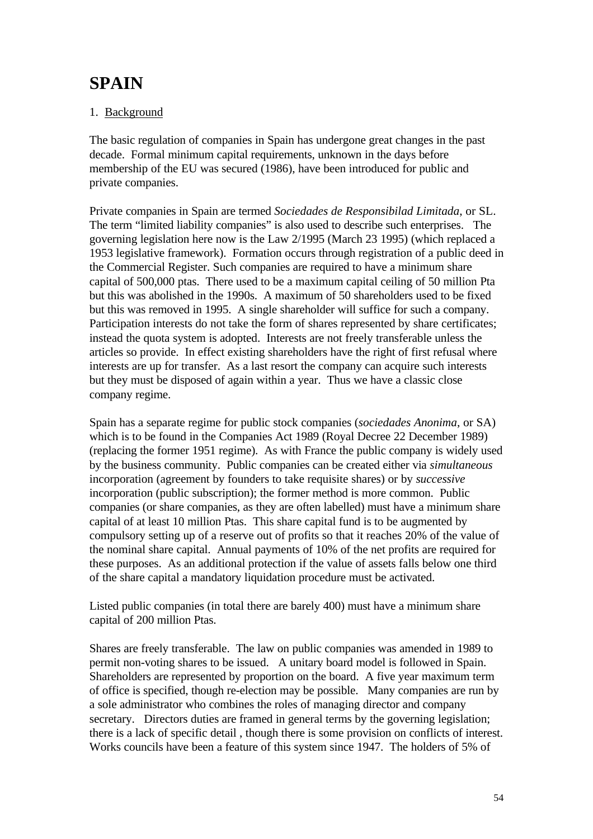# **SPAIN**

# 1. Background

The basic regulation of companies in Spain has undergone great changes in the past decade. Formal minimum capital requirements, unknown in the days before membership of the EU was secured (1986), have been introduced for public and private companies.

Private companies in Spain are termed *Sociedades de Responsibilad Limitada*, or SL. The term "limited liability companies" is also used to describe such enterprises. The governing legislation here now is the Law 2/1995 (March 23 1995) (which replaced a 1953 legislative framework). Formation occurs through registration of a public deed in the Commercial Register. Such companies are required to have a minimum share capital of 500,000 ptas. There used to be a maximum capital ceiling of 50 million Pta but this was abolished in the 1990s. A maximum of 50 shareholders used to be fixed but this was removed in 1995. A single shareholder will suffice for such a company. Participation interests do not take the form of shares represented by share certificates; instead the quota system is adopted. Interests are not freely transferable unless the articles so provide. In effect existing shareholders have the right of first refusal where interests are up for transfer. As a last resort the company can acquire such interests but they must be disposed of again within a year. Thus we have a classic close company regime.

Spain has a separate regime for public stock companies (*sociedades Anonima*, or SA) which is to be found in the Companies Act 1989 (Royal Decree 22 December 1989) (replacing the former 1951 regime). As with France the public company is widely used by the business community. Public companies can be created either via *simultaneous* incorporation (agreement by founders to take requisite shares) or by *successive* incorporation (public subscription); the former method is more common. Public companies (or share companies, as they are often labelled) must have a minimum share capital of at least 10 million Ptas. This share capital fund is to be augmented by compulsory setting up of a reserve out of profits so that it reaches 20% of the value of the nominal share capital. Annual payments of 10% of the net profits are required for these purposes. As an additional protection if the value of assets falls below one third of the share capital a mandatory liquidation procedure must be activated.

Listed public companies (in total there are barely 400) must have a minimum share capital of 200 million Ptas.

Shares are freely transferable. The law on public companies was amended in 1989 to permit non-voting shares to be issued. A unitary board model is followed in Spain. Shareholders are represented by proportion on the board. A five year maximum term of office is specified, though re-election may be possible. Many companies are run by a sole administrator who combines the roles of managing director and company secretary. Directors duties are framed in general terms by the governing legislation; there is a lack of specific detail , though there is some provision on conflicts of interest. Works councils have been a feature of this system since 1947. The holders of 5% of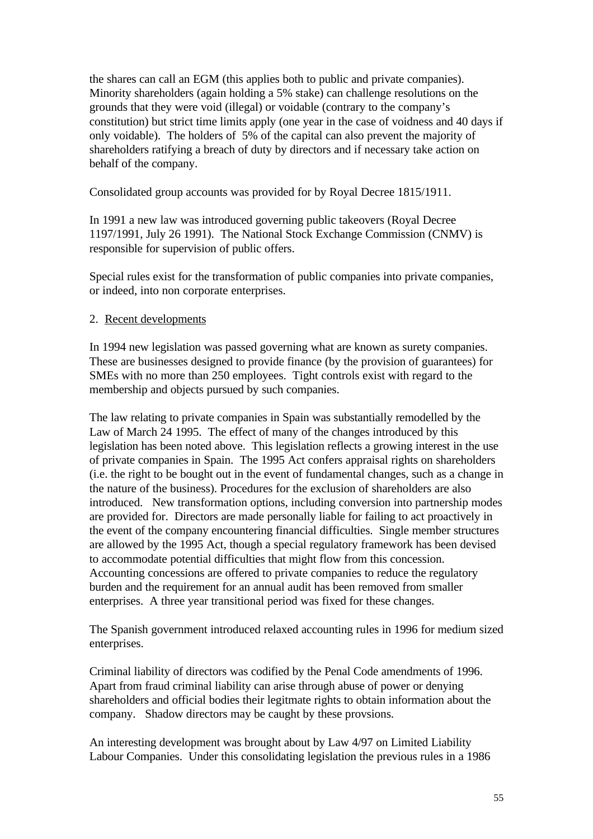the shares can call an EGM (this applies both to public and private companies). Minority shareholders (again holding a 5% stake) can challenge resolutions on the grounds that they were void (illegal) or voidable (contrary to the company's constitution) but strict time limits apply (one year in the case of voidness and 40 days if only voidable). The holders of 5% of the capital can also prevent the majority of shareholders ratifying a breach of duty by directors and if necessary take action on behalf of the company.

Consolidated group accounts was provided for by Royal Decree 1815/1911.

In 1991 a new law was introduced governing public takeovers (Royal Decree 1197/1991, July 26 1991). The National Stock Exchange Commission (CNMV) is responsible for supervision of public offers.

Special rules exist for the transformation of public companies into private companies, or indeed, into non corporate enterprises.

### 2. Recent developments

In 1994 new legislation was passed governing what are known as surety companies. These are businesses designed to provide finance (by the provision of guarantees) for SMEs with no more than 250 employees. Tight controls exist with regard to the membership and objects pursued by such companies.

The law relating to private companies in Spain was substantially remodelled by the Law of March 24 1995. The effect of many of the changes introduced by this legislation has been noted above. This legislation reflects a growing interest in the use of private companies in Spain. The 1995 Act confers appraisal rights on shareholders (i.e. the right to be bought out in the event of fundamental changes, such as a change in the nature of the business). Procedures for the exclusion of shareholders are also introduced. New transformation options, including conversion into partnership modes are provided for. Directors are made personally liable for failing to act proactively in the event of the company encountering financial difficulties. Single member structures are allowed by the 1995 Act, though a special regulatory framework has been devised to accommodate potential difficulties that might flow from this concession. Accounting concessions are offered to private companies to reduce the regulatory burden and the requirement for an annual audit has been removed from smaller enterprises. A three year transitional period was fixed for these changes.

The Spanish government introduced relaxed accounting rules in 1996 for medium sized enterprises.

Criminal liability of directors was codified by the Penal Code amendments of 1996. Apart from fraud criminal liability can arise through abuse of power or denying shareholders and official bodies their legitmate rights to obtain information about the company. Shadow directors may be caught by these provsions.

An interesting development was brought about by Law 4/97 on Limited Liability Labour Companies. Under this consolidating legislation the previous rules in a 1986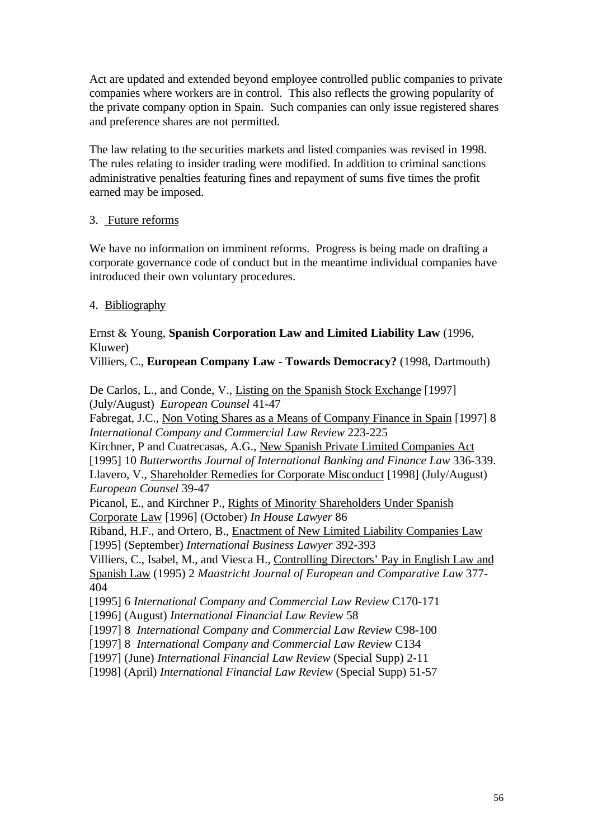Act are updated and extended beyond employee controlled public companies to private companies where workers are in control. This also reflects the growing popularity of the private company option in Spain. Such companies can only issue registered shares and preference shares are not permitted.

The law relating to the securities markets and listed companies was revised in 1998. The rules relating to insider trading were modified. In addition to criminal sanctions administrative penalties featuring fines and repayment of sums five times the profit earned may be imposed.

### 3. Future reforms

We have no information on imminent reforms. Progress is being made on drafting a corporate governance code of conduct but in the meantime individual companies have introduced their own voluntary procedures.

### 4. Bibliography

Ernst & Young, **Spanish Corporation Law and Limited Liability Law** (1996, Kluwer)

Villiers, C., **European Company Law - Towards Democracy?** (1998, Dartmouth)

De Carlos, L., and Conde, V., Listing on the Spanish Stock Exchange [1997] (July/August) *European Counsel* 41-47

Fabregat, J.C., Non Voting Shares as a Means of Company Finance in Spain [1997] 8 *International Company and Commercial Law Review* 223-225

Kirchner, P and Cuatrecasas, A.G., New Spanish Private Limited Companies Act [1995] 10 *Butterworths Journal of International Banking and Finance Law* 336-339. Llavero, V., Shareholder Remedies for Corporate Misconduct [1998] (July/August) *European Counsel* 39-47

Picanol, E., and Kirchner P., Rights of Minority Shareholders Under Spanish Corporate Law [1996] (October) *In House Lawyer* 86

Riband, H.F., and Ortero, B., Enactment of New Limited Liability Companies Law [1995] (September) *International Business Lawyer* 392-393

Villiers, C., Isabel, M., and Viesca H., Controlling Directors' Pay in English Law and Spanish Law (1995) 2 *Maastricht Journal of European and Comparative Law* 377- 404

[1995] 6 *International Company and Commercial Law Review* C170-171

[1996] (August) *International Financial Law Review* 58

[1997] 8 *International Company and Commercial Law Review* C98-100

[1997] 8 *International Company and Commercial Law Review* C134

[1997] (June) *International Financial Law Review* (Special Supp) 2-11

[1998] (April) *International Financial Law Review* (Special Supp) 51-57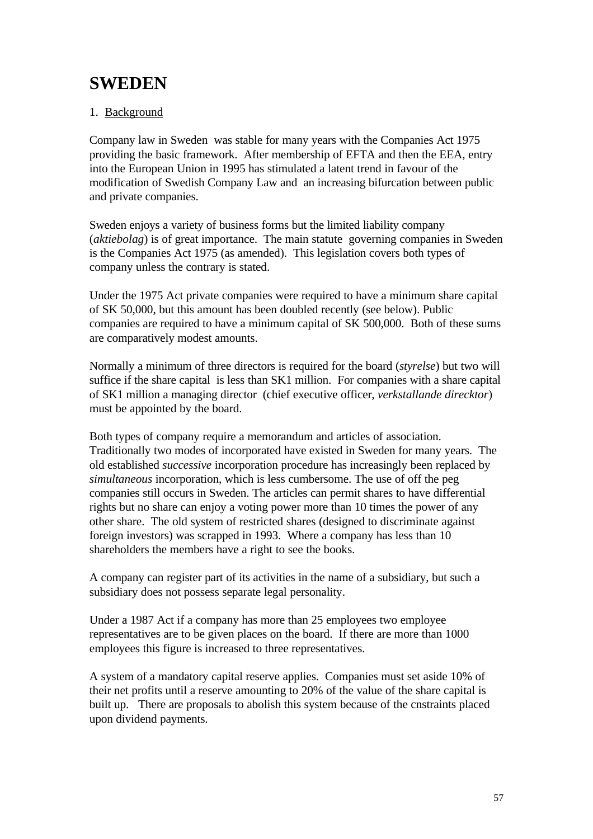# **SWEDEN**

# 1. Background

Company law in Sweden was stable for many years with the Companies Act 1975 providing the basic framework. After membership of EFTA and then the EEA, entry into the European Union in 1995 has stimulated a latent trend in favour of the modification of Swedish Company Law and an increasing bifurcation between public and private companies.

Sweden enjoys a variety of business forms but the limited liability company (*aktiebolag*) is of great importance. The main statute governing companies in Sweden is the Companies Act 1975 (as amended). This legislation covers both types of company unless the contrary is stated.

Under the 1975 Act private companies were required to have a minimum share capital of SK 50,000, but this amount has been doubled recently (see below). Public companies are required to have a minimum capital of SK 500,000. Both of these sums are comparatively modest amounts.

Normally a minimum of three directors is required for the board (*styrelse*) but two will suffice if the share capital is less than SK1 million. For companies with a share capital of SK1 million a managing director (chief executive officer, *verkstallande direcktor*) must be appointed by the board.

Both types of company require a memorandum and articles of association. Traditionally two modes of incorporated have existed in Sweden for many years. The old established *successive* incorporation procedure has increasingly been replaced by *simultaneous* incorporation, which is less cumbersome. The use of off the peg companies still occurs in Sweden. The articles can permit shares to have differential rights but no share can enjoy a voting power more than 10 times the power of any other share. The old system of restricted shares (designed to discriminate against foreign investors) was scrapped in 1993. Where a company has less than 10 shareholders the members have a right to see the books.

A company can register part of its activities in the name of a subsidiary, but such a subsidiary does not possess separate legal personality.

Under a 1987 Act if a company has more than 25 employees two employee representatives are to be given places on the board. If there are more than 1000 employees this figure is increased to three representatives.

A system of a mandatory capital reserve applies. Companies must set aside 10% of their net profits until a reserve amounting to 20% of the value of the share capital is built up. There are proposals to abolish this system because of the cnstraints placed upon dividend payments.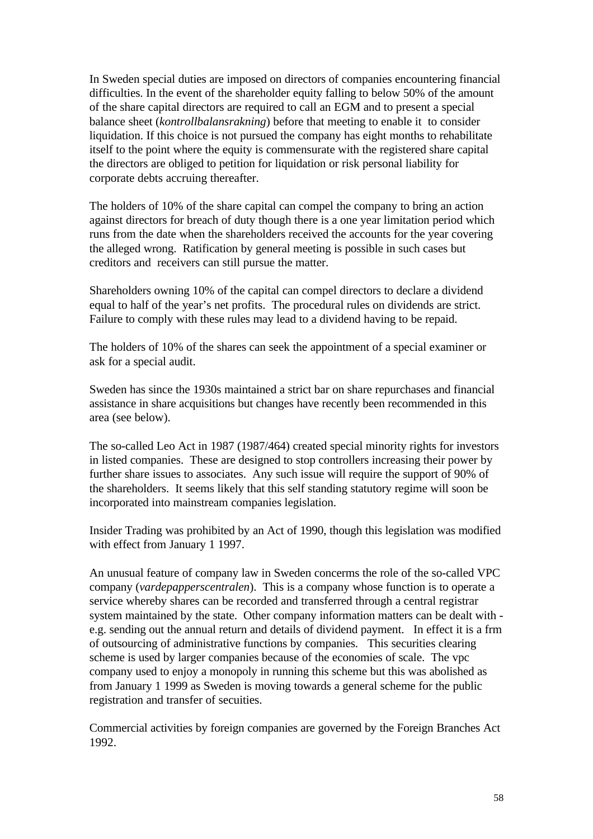In Sweden special duties are imposed on directors of companies encountering financial difficulties. In the event of the shareholder equity falling to below 50% of the amount of the share capital directors are required to call an EGM and to present a special balance sheet (*kontrollbalansrakning*) before that meeting to enable it to consider liquidation. If this choice is not pursued the company has eight months to rehabilitate itself to the point where the equity is commensurate with the registered share capital the directors are obliged to petition for liquidation or risk personal liability for corporate debts accruing thereafter.

The holders of 10% of the share capital can compel the company to bring an action against directors for breach of duty though there is a one year limitation period which runs from the date when the shareholders received the accounts for the year covering the alleged wrong. Ratification by general meeting is possible in such cases but creditors and receivers can still pursue the matter.

Shareholders owning 10% of the capital can compel directors to declare a dividend equal to half of the year's net profits. The procedural rules on dividends are strict. Failure to comply with these rules may lead to a dividend having to be repaid.

The holders of 10% of the shares can seek the appointment of a special examiner or ask for a special audit.

Sweden has since the 1930s maintained a strict bar on share repurchases and financial assistance in share acquisitions but changes have recently been recommended in this area (see below).

The so-called Leo Act in 1987 (1987/464) created special minority rights for investors in listed companies. These are designed to stop controllers increasing their power by further share issues to associates. Any such issue will require the support of 90% of the shareholders. It seems likely that this self standing statutory regime will soon be incorporated into mainstream companies legislation.

Insider Trading was prohibited by an Act of 1990, though this legislation was modified with effect from January 1 1997.

An unusual feature of company law in Sweden concerms the role of the so-called VPC company (*vardepapperscentralen*). This is a company whose function is to operate a service whereby shares can be recorded and transferred through a central registrar system maintained by the state. Other company information matters can be dealt with e.g. sending out the annual return and details of dividend payment. In effect it is a frm of outsourcing of administrative functions by companies. This securities clearing scheme is used by larger companies because of the economies of scale. The vpc company used to enjoy a monopoly in running this scheme but this was abolished as from January 1 1999 as Sweden is moving towards a general scheme for the public registration and transfer of secuities.

Commercial activities by foreign companies are governed by the Foreign Branches Act 1992.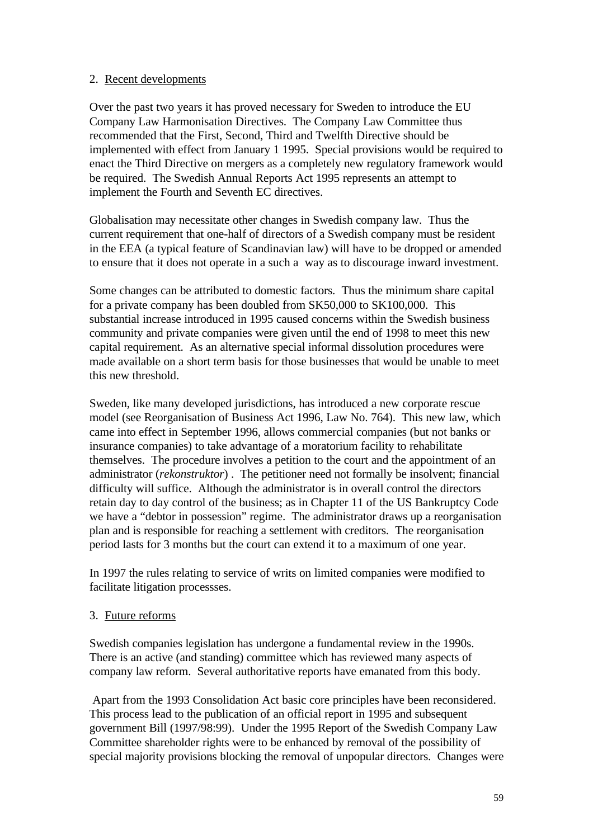### 2. Recent developments

Over the past two years it has proved necessary for Sweden to introduce the EU Company Law Harmonisation Directives. The Company Law Committee thus recommended that the First, Second, Third and Twelfth Directive should be implemented with effect from January 1 1995. Special provisions would be required to enact the Third Directive on mergers as a completely new regulatory framework would be required. The Swedish Annual Reports Act 1995 represents an attempt to implement the Fourth and Seventh EC directives.

Globalisation may necessitate other changes in Swedish company law. Thus the current requirement that one-half of directors of a Swedish company must be resident in the EEA (a typical feature of Scandinavian law) will have to be dropped or amended to ensure that it does not operate in a such a way as to discourage inward investment.

Some changes can be attributed to domestic factors. Thus the minimum share capital for a private company has been doubled from SK50,000 to SK100,000. This substantial increase introduced in 1995 caused concerns within the Swedish business community and private companies were given until the end of 1998 to meet this new capital requirement. As an alternative special informal dissolution procedures were made available on a short term basis for those businesses that would be unable to meet this new threshold.

Sweden, like many developed jurisdictions, has introduced a new corporate rescue model (see Reorganisation of Business Act 1996, Law No. 764). This new law, which came into effect in September 1996, allows commercial companies (but not banks or insurance companies) to take advantage of a moratorium facility to rehabilitate themselves. The procedure involves a petition to the court and the appointment of an administrator (*rekonstruktor*) . The petitioner need not formally be insolvent; financial difficulty will suffice. Although the administrator is in overall control the directors retain day to day control of the business; as in Chapter 11 of the US Bankruptcy Code we have a "debtor in possession" regime. The administrator draws up a reorganisation plan and is responsible for reaching a settlement with creditors. The reorganisation period lasts for 3 months but the court can extend it to a maximum of one year.

In 1997 the rules relating to service of writs on limited companies were modified to facilitate litigation processses.

### 3. Future reforms

Swedish companies legislation has undergone a fundamental review in the 1990s. There is an active (and standing) committee which has reviewed many aspects of company law reform. Several authoritative reports have emanated from this body.

 Apart from the 1993 Consolidation Act basic core principles have been reconsidered. This process lead to the publication of an official report in 1995 and subsequent government Bill (1997/98:99). Under the 1995 Report of the Swedish Company Law Committee shareholder rights were to be enhanced by removal of the possibility of special majority provisions blocking the removal of unpopular directors. Changes were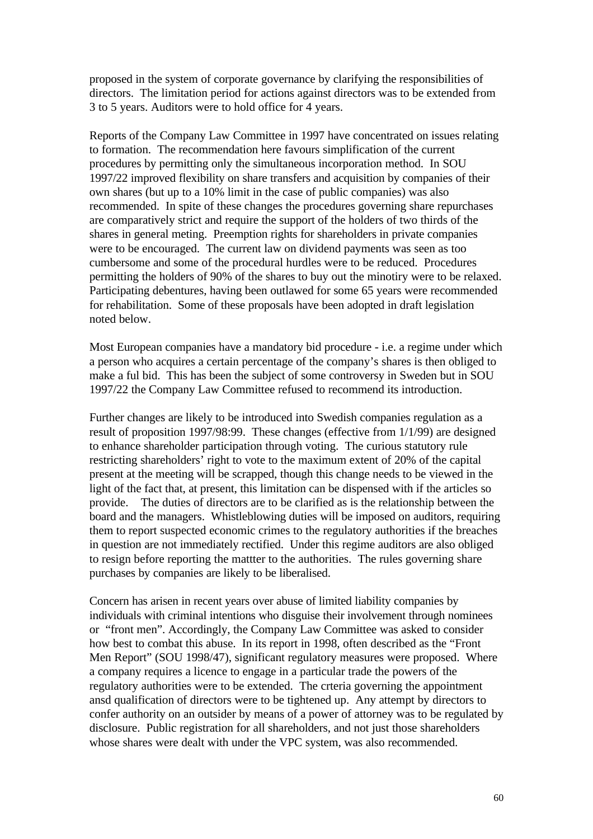proposed in the system of corporate governance by clarifying the responsibilities of directors. The limitation period for actions against directors was to be extended from 3 to 5 years. Auditors were to hold office for 4 years.

Reports of the Company Law Committee in 1997 have concentrated on issues relating to formation. The recommendation here favours simplification of the current procedures by permitting only the simultaneous incorporation method. In SOU 1997/22 improved flexibility on share transfers and acquisition by companies of their own shares (but up to a 10% limit in the case of public companies) was also recommended. In spite of these changes the procedures governing share repurchases are comparatively strict and require the support of the holders of two thirds of the shares in general meting. Preemption rights for shareholders in private companies were to be encouraged. The current law on dividend payments was seen as too cumbersome and some of the procedural hurdles were to be reduced. Procedures permitting the holders of 90% of the shares to buy out the minotiry were to be relaxed. Participating debentures, having been outlawed for some 65 years were recommended for rehabilitation. Some of these proposals have been adopted in draft legislation noted below.

Most European companies have a mandatory bid procedure - i.e. a regime under which a person who acquires a certain percentage of the company's shares is then obliged to make a ful bid. This has been the subject of some controversy in Sweden but in SOU 1997/22 the Company Law Committee refused to recommend its introduction.

Further changes are likely to be introduced into Swedish companies regulation as a result of proposition 1997/98:99. These changes (effective from 1/1/99) are designed to enhance shareholder participation through voting. The curious statutory rule restricting shareholders' right to vote to the maximum extent of 20% of the capital present at the meeting will be scrapped, though this change needs to be viewed in the light of the fact that, at present, this limitation can be dispensed with if the articles so provide. The duties of directors are to be clarified as is the relationship between the board and the managers. Whistleblowing duties will be imposed on auditors, requiring them to report suspected economic crimes to the regulatory authorities if the breaches in question are not immediately rectified. Under this regime auditors are also obliged to resign before reporting the mattter to the authorities. The rules governing share purchases by companies are likely to be liberalised.

Concern has arisen in recent years over abuse of limited liability companies by individuals with criminal intentions who disguise their involvement through nominees or "front men". Accordingly, the Company Law Committee was asked to consider how best to combat this abuse. In its report in 1998, often described as the "Front Men Report" (SOU 1998/47), significant regulatory measures were proposed. Where a company requires a licence to engage in a particular trade the powers of the regulatory authorities were to be extended. The crteria governing the appointment ansd qualification of directors were to be tightened up. Any attempt by directors to confer authority on an outsider by means of a power of attorney was to be regulated by disclosure. Public registration for all shareholders, and not just those shareholders whose shares were dealt with under the VPC system, was also recommended.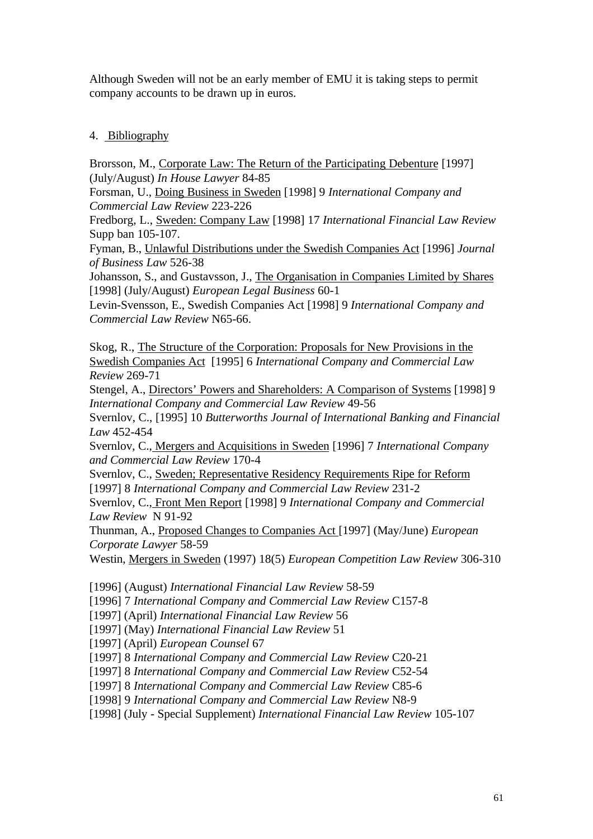Although Sweden will not be an early member of EMU it is taking steps to permit company accounts to be drawn up in euros.

### 4. Bibliography

Brorsson, M., Corporate Law: The Return of the Participating Debenture [1997] (July/August) *In House Lawyer* 84-85

Forsman, U., Doing Business in Sweden [1998] 9 *International Company and Commercial Law Review* 223-226

Fredborg, L., Sweden: Company Law [1998] 17 *International Financial Law Review* Supp ban 105-107.

Fyman, B., Unlawful Distributions under the Swedish Companies Act [1996] *Journal of Business Law* 526-38

Johansson, S., and Gustavsson, J., The Organisation in Companies Limited by Shares [1998] (July/August) *European Legal Business* 60-1

Levin-Svensson, E., Swedish Companies Act [1998] 9 *International Company and Commercial Law Review* N65-66.

Skog, R., The Structure of the Corporation: Proposals for New Provisions in the Swedish Companies Act [1995] 6 *International Company and Commercial Law Review* 269-71

Stengel, A., Directors' Powers and Shareholders: A Comparison of Systems [1998] 9 *International Company and Commercial Law Review* 49-56

Svernlov, C., [1995] 10 *Butterworths Journal of International Banking and Financial Law* 452-454

Svernlov, C., Mergers and Acquisitions in Sweden [1996] 7 *International Company and Commercial Law Review* 170-4

Svernlov, C., Sweden; Representative Residency Requirements Ripe for Reform [1997] 8 *International Company and Commercial Law Review* 231-2

Svernlov, C., Front Men Report [1998] 9 *International Company and Commercial Law Review* N 91-92

Thunman, A., Proposed Changes to Companies Act [1997] (May/June) *European Corporate Lawyer* 58-59

Westin, Mergers in Sweden (1997) 18(5) *European Competition Law Review* 306-310

[1996] (August) *International Financial Law Review* 58-59

[1996] 7 *International Company and Commercial Law Review* C157-8

[1997] (April) *International Financial Law Review* 56

[1997] (May) *International Financial Law Review* 51

[1997] (April) *European Counsel* 67

[1997] 8 *International Company and Commercial Law Review* C20-21

[1997] 8 *International Company and Commercial Law Review* C52-54

[1997] 8 *International Company and Commercial Law Review* C85-6

[1998] 9 *International Company and Commercial Law Review* N8-9

[1998] (July - Special Supplement) *International Financial Law Review* 105-107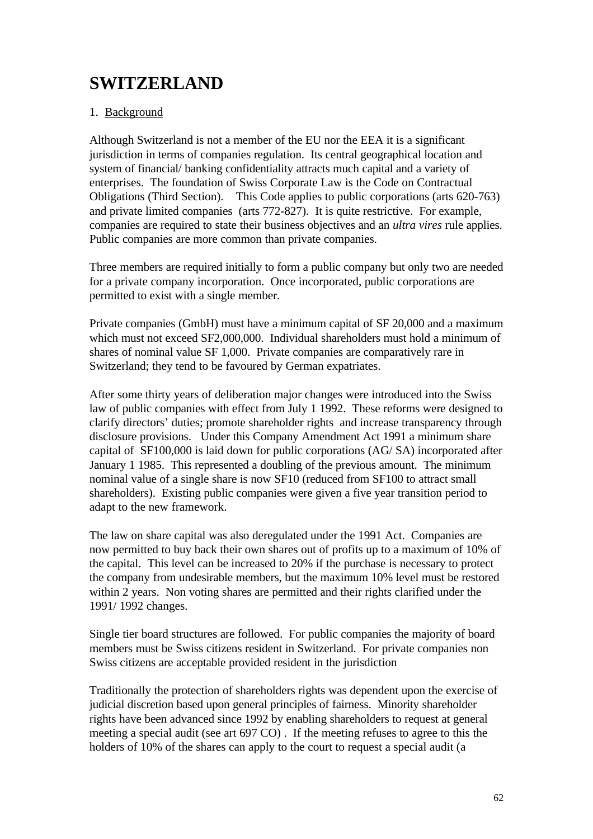# **SWITZERLAND**

### 1. Background

Although Switzerland is not a member of the EU nor the EEA it is a significant jurisdiction in terms of companies regulation. Its central geographical location and system of financial/ banking confidentiality attracts much capital and a variety of enterprises. The foundation of Swiss Corporate Law is the Code on Contractual Obligations (Third Section). This Code applies to public corporations (arts 620-763) and private limited companies (arts 772-827). It is quite restrictive. For example, companies are required to state their business objectives and an *ultra vires* rule applies. Public companies are more common than private companies.

Three members are required initially to form a public company but only two are needed for a private company incorporation. Once incorporated, public corporations are permitted to exist with a single member.

Private companies (GmbH) must have a minimum capital of SF 20,000 and a maximum which must not exceed SF2,000,000. Individual shareholders must hold a minimum of shares of nominal value SF 1,000. Private companies are comparatively rare in Switzerland; they tend to be favoured by German expatriates.

After some thirty years of deliberation major changes were introduced into the Swiss law of public companies with effect from July 1 1992. These reforms were designed to clarify directors' duties; promote shareholder rights and increase transparency through disclosure provisions. Under this Company Amendment Act 1991 a minimum share capital of SF100,000 is laid down for public corporations (AG/ SA) incorporated after January 1 1985. This represented a doubling of the previous amount. The minimum nominal value of a single share is now SF10 (reduced from SF100 to attract small shareholders). Existing public companies were given a five year transition period to adapt to the new framework.

The law on share capital was also deregulated under the 1991 Act. Companies are now permitted to buy back their own shares out of profits up to a maximum of 10% of the capital. This level can be increased to 20% if the purchase is necessary to protect the company from undesirable members, but the maximum 10% level must be restored within 2 years. Non voting shares are permitted and their rights clarified under the 1991/ 1992 changes.

Single tier board structures are followed. For public companies the majority of board members must be Swiss citizens resident in Switzerland. For private companies non Swiss citizens are acceptable provided resident in the jurisdiction

Traditionally the protection of shareholders rights was dependent upon the exercise of judicial discretion based upon general principles of fairness. Minority shareholder rights have been advanced since 1992 by enabling shareholders to request at general meeting a special audit (see art 697 CO) . If the meeting refuses to agree to this the holders of 10% of the shares can apply to the court to request a special audit (a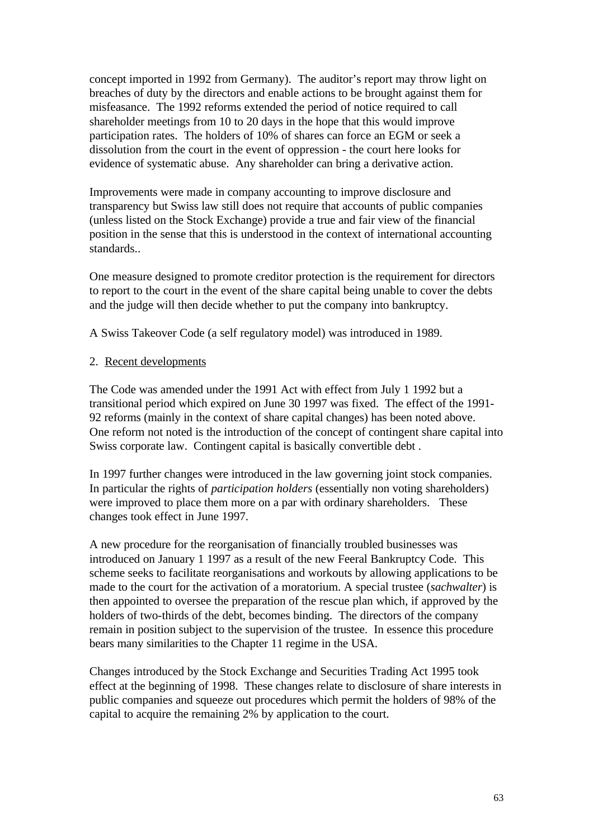concept imported in 1992 from Germany). The auditor's report may throw light on breaches of duty by the directors and enable actions to be brought against them for misfeasance. The 1992 reforms extended the period of notice required to call shareholder meetings from 10 to 20 days in the hope that this would improve participation rates. The holders of 10% of shares can force an EGM or seek a dissolution from the court in the event of oppression - the court here looks for evidence of systematic abuse. Any shareholder can bring a derivative action.

Improvements were made in company accounting to improve disclosure and transparency but Swiss law still does not require that accounts of public companies (unless listed on the Stock Exchange) provide a true and fair view of the financial position in the sense that this is understood in the context of international accounting standards..

One measure designed to promote creditor protection is the requirement for directors to report to the court in the event of the share capital being unable to cover the debts and the judge will then decide whether to put the company into bankruptcy.

A Swiss Takeover Code (a self regulatory model) was introduced in 1989.

### 2. Recent developments

The Code was amended under the 1991 Act with effect from July 1 1992 but a transitional period which expired on June 30 1997 was fixed. The effect of the 1991- 92 reforms (mainly in the context of share capital changes) has been noted above. One reform not noted is the introduction of the concept of contingent share capital into Swiss corporate law. Contingent capital is basically convertible debt .

In 1997 further changes were introduced in the law governing joint stock companies. In particular the rights of *participation holders* (essentially non voting shareholders) were improved to place them more on a par with ordinary shareholders. These changes took effect in June 1997.

A new procedure for the reorganisation of financially troubled businesses was introduced on January 1 1997 as a result of the new Feeral Bankruptcy Code. This scheme seeks to facilitate reorganisations and workouts by allowing applications to be made to the court for the activation of a moratorium. A special trustee (*sachwalter*) is then appointed to oversee the preparation of the rescue plan which, if approved by the holders of two-thirds of the debt, becomes binding. The directors of the company remain in position subject to the supervision of the trustee. In essence this procedure bears many similarities to the Chapter 11 regime in the USA.

Changes introduced by the Stock Exchange and Securities Trading Act 1995 took effect at the beginning of 1998. These changes relate to disclosure of share interests in public companies and squeeze out procedures which permit the holders of 98% of the capital to acquire the remaining 2% by application to the court.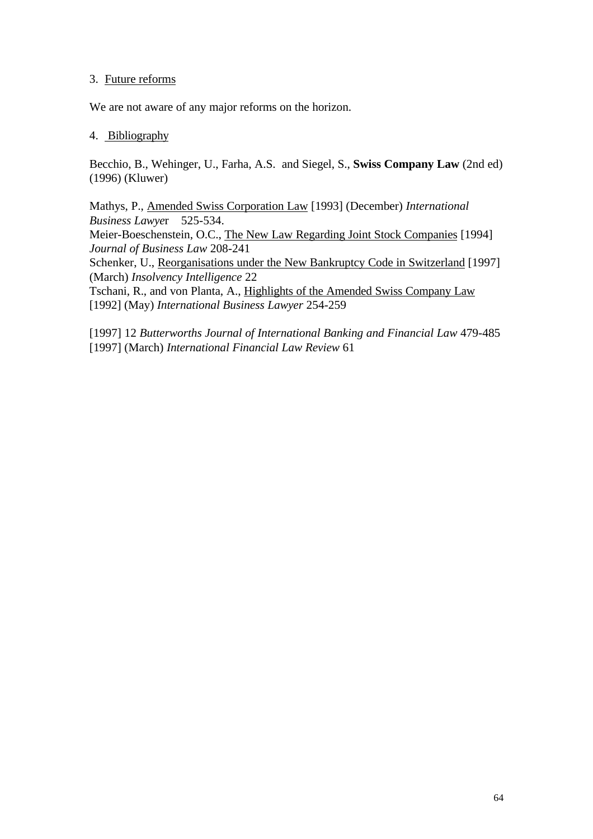### 3. Future reforms

We are not aware of any major reforms on the horizon.

### 4. Bibliography

Becchio, B., Wehinger, U., Farha, A.S. and Siegel, S., **Swiss Company Law** (2nd ed) (1996) (Kluwer)

Mathys, P., Amended Swiss Corporation Law [1993] (December) *International Business Lawye*r 525-534. Meier-Boeschenstein, O.C., The New Law Regarding Joint Stock Companies [1994] *Journal of Business Law* 208-241 Schenker, U., Reorganisations under the New Bankruptcy Code in Switzerland [1997] (March) *Insolvency Intelligence* 22 Tschani, R., and von Planta, A., Highlights of the Amended Swiss Company Law [1992] (May) *International Business Lawyer* 254-259

[1997] 12 *Butterworths Journal of International Banking and Financial Law* 479-485 [1997] (March) *International Financial Law Review* 61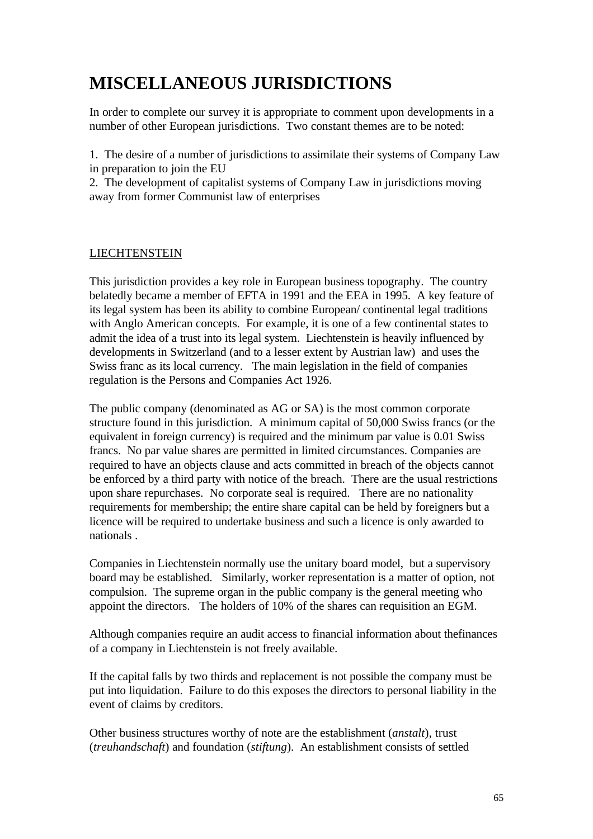# **MISCELLANEOUS JURISDICTIONS**

In order to complete our survey it is appropriate to comment upon developments in a number of other European jurisdictions. Two constant themes are to be noted:

1. The desire of a number of jurisdictions to assimilate their systems of Company Law in preparation to join the EU

2. The development of capitalist systems of Company Law in jurisdictions moving away from former Communist law of enterprises

### **LIECHTENSTEIN**

This jurisdiction provides a key role in European business topography. The country belatedly became a member of EFTA in 1991 and the EEA in 1995. A key feature of its legal system has been its ability to combine European/ continental legal traditions with Anglo American concepts. For example, it is one of a few continental states to admit the idea of a trust into its legal system. Liechtenstein is heavily influenced by developments in Switzerland (and to a lesser extent by Austrian law) and uses the Swiss franc as its local currency. The main legislation in the field of companies regulation is the Persons and Companies Act 1926.

The public company (denominated as AG or SA) is the most common corporate structure found in this jurisdiction. A minimum capital of 50,000 Swiss francs (or the equivalent in foreign currency) is required and the minimum par value is 0.01 Swiss francs. No par value shares are permitted in limited circumstances. Companies are required to have an objects clause and acts committed in breach of the objects cannot be enforced by a third party with notice of the breach. There are the usual restrictions upon share repurchases. No corporate seal is required. There are no nationality requirements for membership; the entire share capital can be held by foreigners but a licence will be required to undertake business and such a licence is only awarded to nationals .

Companies in Liechtenstein normally use the unitary board model, but a supervisory board may be established. Similarly, worker representation is a matter of option, not compulsion. The supreme organ in the public company is the general meeting who appoint the directors. The holders of 10% of the shares can requisition an EGM.

Although companies require an audit access to financial information about thefinances of a company in Liechtenstein is not freely available.

If the capital falls by two thirds and replacement is not possible the company must be put into liquidation. Failure to do this exposes the directors to personal liability in the event of claims by creditors.

Other business structures worthy of note are the establishment (*anstalt*), trust (*treuhandschaft*) and foundation (*stiftung*). An establishment consists of settled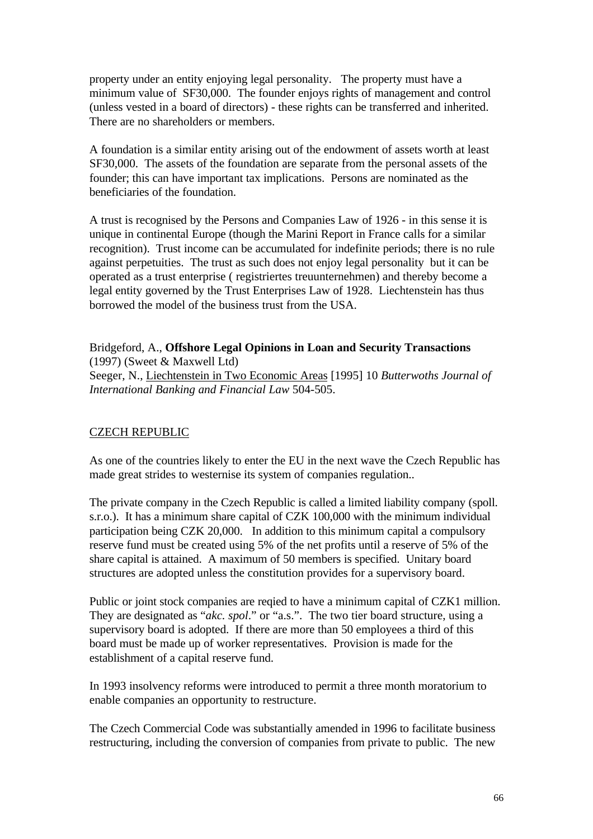property under an entity enjoying legal personality. The property must have a minimum value of SF30,000. The founder enjoys rights of management and control (unless vested in a board of directors) - these rights can be transferred and inherited. There are no shareholders or members.

A foundation is a similar entity arising out of the endowment of assets worth at least SF30,000. The assets of the foundation are separate from the personal assets of the founder; this can have important tax implications. Persons are nominated as the beneficiaries of the foundation.

A trust is recognised by the Persons and Companies Law of 1926 - in this sense it is unique in continental Europe (though the Marini Report in France calls for a similar recognition). Trust income can be accumulated for indefinite periods; there is no rule against perpetuities. The trust as such does not enjoy legal personality but it can be operated as a trust enterprise ( registriertes treuunternehmen) and thereby become a legal entity governed by the Trust Enterprises Law of 1928. Liechtenstein has thus borrowed the model of the business trust from the USA.

#### Bridgeford, A., **Offshore Legal Opinions in Loan and Security Transactions** (1997) (Sweet & Maxwell Ltd)

Seeger, N., Liechtenstein in Two Economic Areas [1995] 10 *Butterwoths Journal of International Banking and Financial Law* 504-505.

### CZECH REPUBLIC

As one of the countries likely to enter the EU in the next wave the Czech Republic has made great strides to westernise its system of companies regulation..

The private company in the Czech Republic is called a limited liability company (spoll. s.r.o.). It has a minimum share capital of CZK 100,000 with the minimum individual participation being CZK 20,000. In addition to this minimum capital a compulsory reserve fund must be created using 5% of the net profits until a reserve of 5% of the share capital is attained. A maximum of 50 members is specified. Unitary board structures are adopted unless the constitution provides for a supervisory board.

Public or joint stock companies are reqied to have a minimum capital of CZK1 million. They are designated as "*akc. spol*." or "a.s.". The two tier board structure, using a supervisory board is adopted. If there are more than 50 employees a third of this board must be made up of worker representatives. Provision is made for the establishment of a capital reserve fund.

In 1993 insolvency reforms were introduced to permit a three month moratorium to enable companies an opportunity to restructure.

The Czech Commercial Code was substantially amended in 1996 to facilitate business restructuring, including the conversion of companies from private to public. The new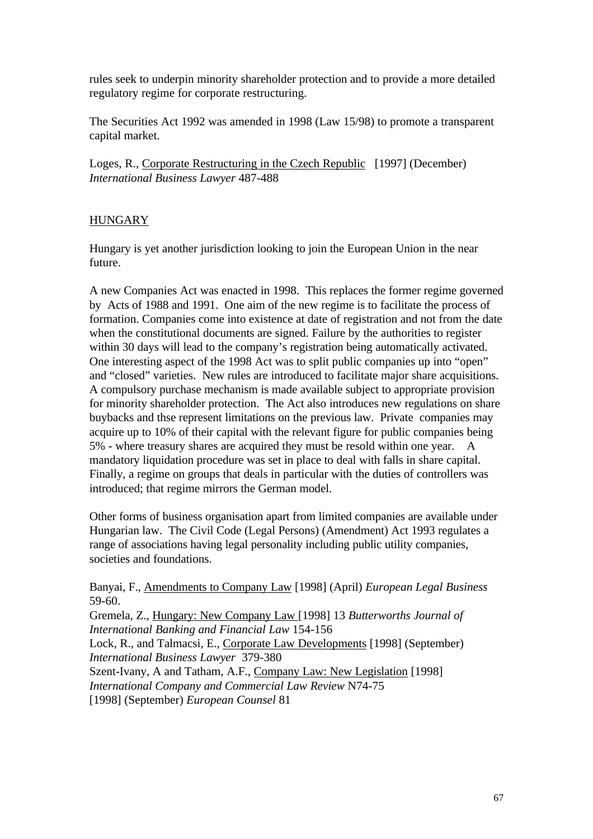rules seek to underpin minority shareholder protection and to provide a more detailed regulatory regime for corporate restructuring.

The Securities Act 1992 was amended in 1998 (Law 15/98) to promote a transparent capital market.

Loges, R., Corporate Restructuring in the Czech Republic [1997] (December) *International Business Lawyer* 487-488

### **HUNGARY**

Hungary is yet another jurisdiction looking to join the European Union in the near future.

A new Companies Act was enacted in 1998. This replaces the former regime governed by Acts of 1988 and 1991. One aim of the new regime is to facilitate the process of formation. Companies come into existence at date of registration and not from the date when the constitutional documents are signed. Failure by the authorities to register within 30 days will lead to the company's registration being automatically activated. One interesting aspect of the 1998 Act was to split public companies up into "open" and "closed" varieties. New rules are introduced to facilitate major share acquisitions. A compulsory purchase mechanism is made available subject to appropriate provision for minority shareholder protection. The Act also introduces new regulations on share buybacks and thse represent limitations on the previous law. Private companies may acquire up to 10% of their capital with the relevant figure for public companies being 5% - where treasury shares are acquired they must be resold within one year. A mandatory liquidation procedure was set in place to deal with falls in share capital. Finally, a regime on groups that deals in particular with the duties of controllers was introduced; that regime mirrors the German model.

Other forms of business organisation apart from limited companies are available under Hungarian law. The Civil Code (Legal Persons) (Amendment) Act 1993 regulates a range of associations having legal personality including public utility companies, societies and foundations.

Banyai, F., Amendments to Company Law [1998] (April) *European Legal Business* 59-60.

Gremela, Z., Hungary: New Company Law [1998] 13 *Butterworths Journal of International Banking and Financial Law* 154-156 Lock, R., and Talmacsi, E., Corporate Law Developments [1998] (September) *International Business Lawyer* 379-380 Szent-Ivany, A and Tatham, A.F., Company Law: New Legislation [1998] *International Company and Commercial Law Review* N74-75

[1998] (September) *European Counsel* 81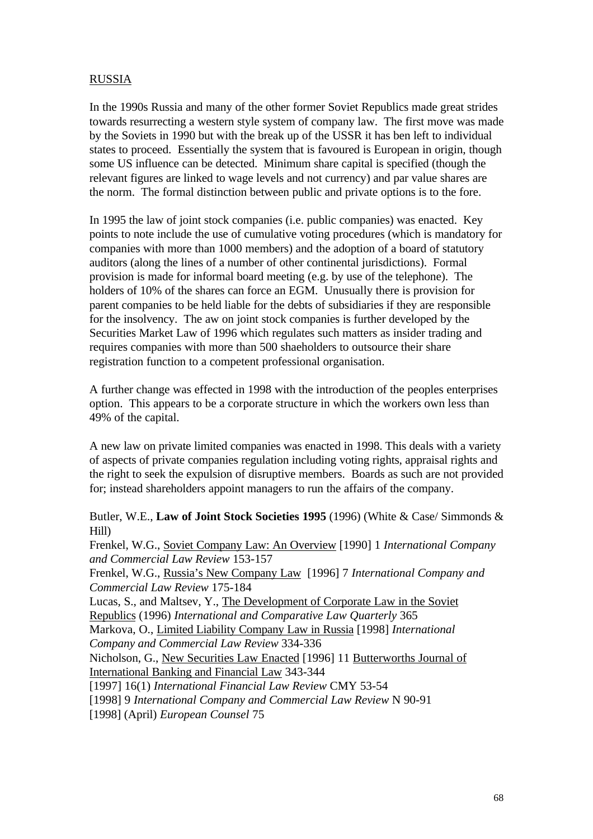## RUSSIA

In the 1990s Russia and many of the other former Soviet Republics made great strides towards resurrecting a western style system of company law. The first move was made by the Soviets in 1990 but with the break up of the USSR it has ben left to individual states to proceed. Essentially the system that is favoured is European in origin, though some US influence can be detected. Minimum share capital is specified (though the relevant figures are linked to wage levels and not currency) and par value shares are the norm. The formal distinction between public and private options is to the fore.

In 1995 the law of joint stock companies (i.e. public companies) was enacted. Key points to note include the use of cumulative voting procedures (which is mandatory for companies with more than 1000 members) and the adoption of a board of statutory auditors (along the lines of a number of other continental jurisdictions). Formal provision is made for informal board meeting (e.g. by use of the telephone). The holders of 10% of the shares can force an EGM. Unusually there is provision for parent companies to be held liable for the debts of subsidiaries if they are responsible for the insolvency. The aw on joint stock companies is further developed by the Securities Market Law of 1996 which regulates such matters as insider trading and requires companies with more than 500 shaeholders to outsource their share registration function to a competent professional organisation.

A further change was effected in 1998 with the introduction of the peoples enterprises option. This appears to be a corporate structure in which the workers own less than 49% of the capital.

A new law on private limited companies was enacted in 1998. This deals with a variety of aspects of private companies regulation including voting rights, appraisal rights and the right to seek the expulsion of disruptive members. Boards as such are not provided for; instead shareholders appoint managers to run the affairs of the company.

Butler, W.E., **Law of Joint Stock Societies 1995** (1996) (White & Case/ Simmonds & Hill)

Frenkel, W.G., Soviet Company Law: An Overview [1990] 1 *International Company and Commercial Law Review* 153-157

Frenkel, W.G., Russia's New Company Law [1996] 7 *International Company and Commercial Law Review* 175-184

Lucas, S., and Maltsev, Y., The Development of Corporate Law in the Soviet Republics (1996) *International and Comparative Law Quarterly* 365 Markova, O., Limited Liability Company Law in Russia [1998] *International*

*Company and Commercial Law Review* 334-336

Nicholson, G., New Securities Law Enacted [1996] 11 Butterworths Journal of International Banking and Financial Law 343-344

[1997] 16(1) *International Financial Law Review* CMY 53-54

[1998] 9 *International Company and Commercial Law Review* N 90-91

[1998] (April) *European Counsel* 75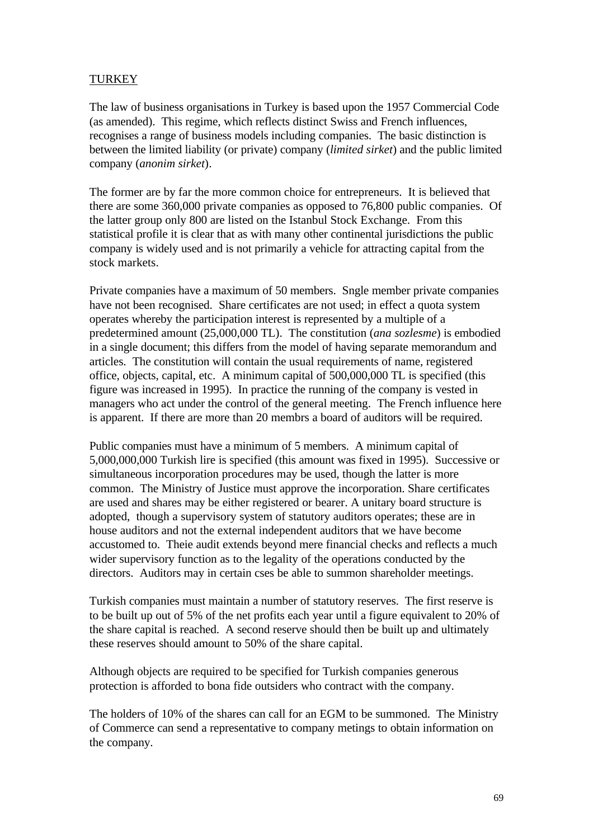# TURKEY

The law of business organisations in Turkey is based upon the 1957 Commercial Code (as amended). This regime, which reflects distinct Swiss and French influences, recognises a range of business models including companies. The basic distinction is between the limited liability (or private) company (*limited sirket*) and the public limited company (*anonim sirket*).

The former are by far the more common choice for entrepreneurs. It is believed that there are some 360,000 private companies as opposed to 76,800 public companies. Of the latter group only 800 are listed on the Istanbul Stock Exchange. From this statistical profile it is clear that as with many other continental jurisdictions the public company is widely used and is not primarily a vehicle for attracting capital from the stock markets.

Private companies have a maximum of 50 members. Sngle member private companies have not been recognised. Share certificates are not used; in effect a quota system operates whereby the participation interest is represented by a multiple of a predetermined amount (25,000,000 TL). The constitution (*ana sozlesme*) is embodied in a single document; this differs from the model of having separate memorandum and articles. The constitution will contain the usual requirements of name, registered office, objects, capital, etc. A minimum capital of 500,000,000 TL is specified (this figure was increased in 1995). In practice the running of the company is vested in managers who act under the control of the general meeting. The French influence here is apparent. If there are more than 20 membrs a board of auditors will be required.

Public companies must have a minimum of 5 members. A minimum capital of 5,000,000,000 Turkish lire is specified (this amount was fixed in 1995). Successive or simultaneous incorporation procedures may be used, though the latter is more common. The Ministry of Justice must approve the incorporation. Share certificates are used and shares may be either registered or bearer. A unitary board structure is adopted, though a supervisory system of statutory auditors operates; these are in house auditors and not the external independent auditors that we have become accustomed to. Theie audit extends beyond mere financial checks and reflects a much wider supervisory function as to the legality of the operations conducted by the directors. Auditors may in certain cses be able to summon shareholder meetings.

Turkish companies must maintain a number of statutory reserves. The first reserve is to be built up out of 5% of the net profits each year until a figure equivalent to 20% of the share capital is reached. A second reserve should then be built up and ultimately these reserves should amount to 50% of the share capital.

Although objects are required to be specified for Turkish companies generous protection is afforded to bona fide outsiders who contract with the company.

The holders of 10% of the shares can call for an EGM to be summoned. The Ministry of Commerce can send a representative to company metings to obtain information on the company.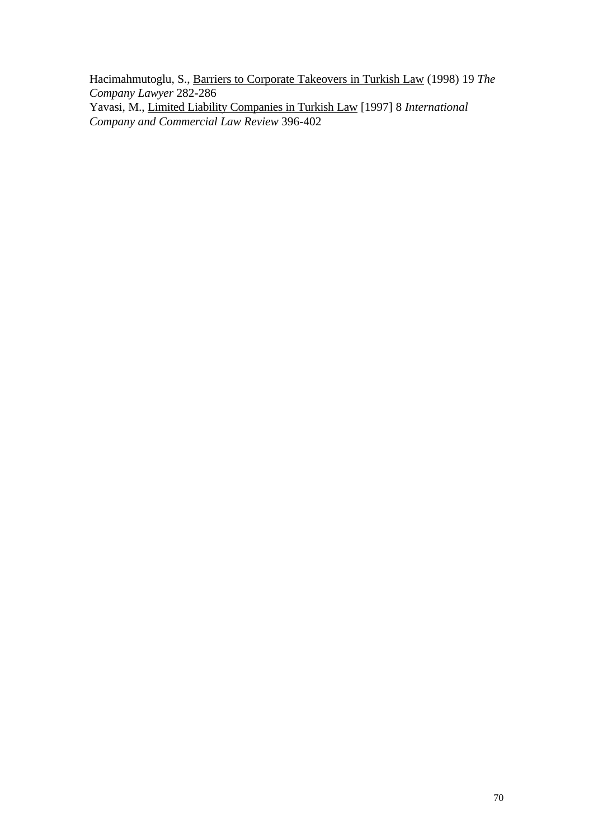Hacimahmutoglu, S., Barriers to Corporate Takeovers in Turkish Law (1998) 19 *The Company Lawyer* 282-286 Yavasi, M., Limited Liability Companies in Turkish Law [1997] 8 *International Company and Commercial Law Review* 396-402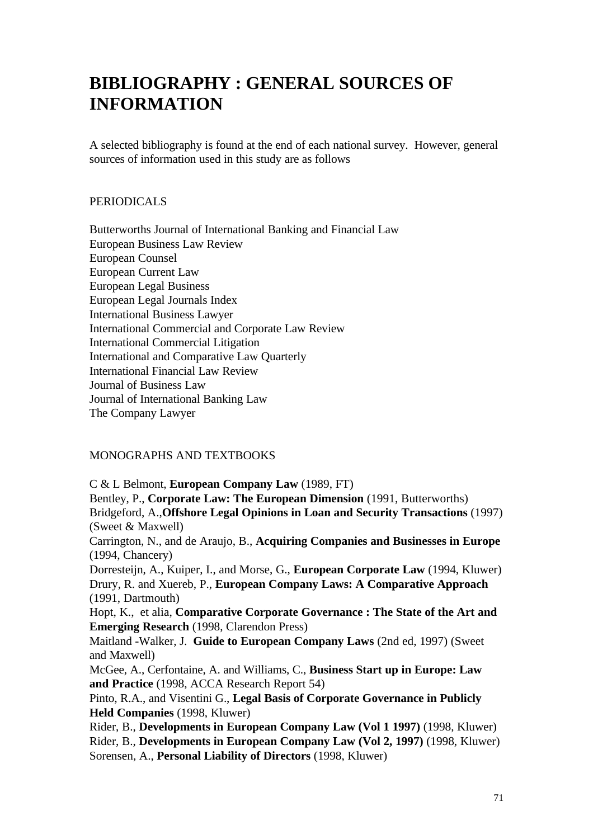# **BIBLIOGRAPHY : GENERAL SOURCES OF INFORMATION**

A selected bibliography is found at the end of each national survey. However, general sources of information used in this study are as follows

#### PERIODICALS

Butterworths Journal of International Banking and Financial Law European Business Law Review European Counsel European Current Law European Legal Business European Legal Journals Index International Business Lawyer International Commercial and Corporate Law Review International Commercial Litigation International and Comparative Law Quarterly International Financial Law Review Journal of Business Law Journal of International Banking Law The Company Lawyer

### MONOGRAPHS AND TEXTBOOKS

C & L Belmont, **European Company Law** (1989, FT) Bentley, P., **Corporate Law: The European Dimension** (1991, Butterworths) Bridgeford, A.,**Offshore Legal Opinions in Loan and Security Transactions** (1997) (Sweet & Maxwell) Carrington, N., and de Araujo, B., **Acquiring Companies and Businesses in Europe** (1994, Chancery) Dorresteijn, A., Kuiper, I., and Morse, G., **European Corporate Law** (1994, Kluwer) Drury, R. and Xuereb, P., **European Company Laws: A Comparative Approach** (1991, Dartmouth) Hopt, K., et alia, **Comparative Corporate Governance : The State of the Art and Emerging Research** (1998, Clarendon Press) Maitland -Walker, J. **Guide to European Company Laws** (2nd ed, 1997) (Sweet and Maxwell) McGee, A., Cerfontaine, A. and Williams, C., **Business Start up in Europe: Law and Practice** (1998, ACCA Research Report 54) Pinto, R.A., and Visentini G., **Legal Basis of Corporate Governance in Publicly Held Companies** (1998, Kluwer) Rider, B., **Developments in European Company Law (Vol 1 1997)** (1998, Kluwer) Rider, B., **Developments in European Company Law (Vol 2, 1997)** (1998, Kluwer) Sorensen, A., **Personal Liability of Directors** (1998, Kluwer)